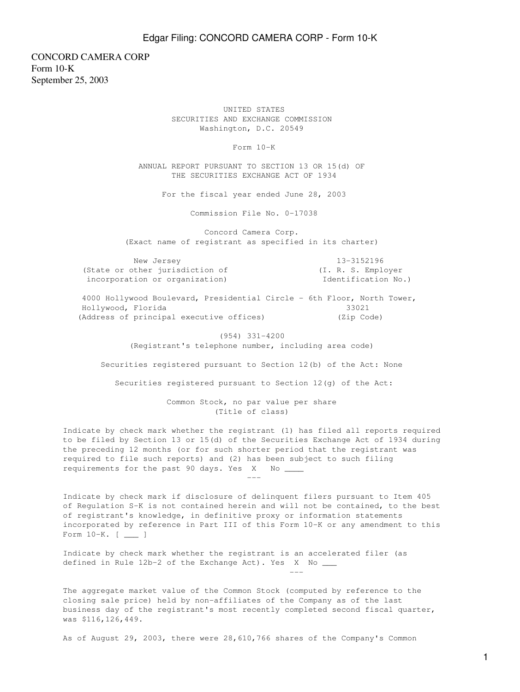CONCORD CAMERA CORP Form 10-K September 25, 2003

> UNITED STATES SECURITIES AND EXCHANGE COMMISSION Washington, D.C. 20549

> > Form 10-K

 ANNUAL REPORT PURSUANT TO SECTION 13 OR 15(d) OF THE SECURITIES EXCHANGE ACT OF 1934

For the fiscal year ended June 28, 2003

Commission File No. 0-17038

 Concord Camera Corp. (Exact name of registrant as specified in its charter)

 New Jersey 13-3152196 (State or other jurisdiction of (I. R. S. Employer incorporation or organization) Identification No.)

 4000 Hollywood Boulevard, Presidential Circle - 6th Floor, North Tower, Hollywood, Florida 33021 (Address of principal executive offices) (Zip Code)

> (954) 331-4200 (Registrant's telephone number, including area code)

Securities registered pursuant to Section 12(b) of the Act: None

Securities registered pursuant to Section 12(g) of the Act:

 Common Stock, no par value per share (Title of class)

Indicate by check mark whether the registrant (1) has filed all reports required to be filed by Section 13 or 15(d) of the Securities Exchange Act of 1934 during the preceding 12 months (or for such shorter period that the registrant was required to file such reports) and (2) has been subject to such filing requirements for the past 90 days. Yes X No ---

Indicate by check mark if disclosure of delinquent filers pursuant to Item 405 of Regulation S-K is not contained herein and will not be contained, to the best of registrant's knowledge, in definitive proxy or information statements incorporated by reference in Part III of this Form 10-K or any amendment to this Form 10-K. [ \_\_\_ ]

Indicate by check mark whether the registrant is an accelerated filer (as defined in Rule 12b-2 of the Exchange Act). Yes X No \_\_\_

---

The aggregate market value of the Common Stock (computed by reference to the closing sale price) held by non-affiliates of the Company as of the last business day of the registrant's most recently completed second fiscal quarter, was \$116,126,449.

As of August 29, 2003, there were 28,610,766 shares of the Company's Common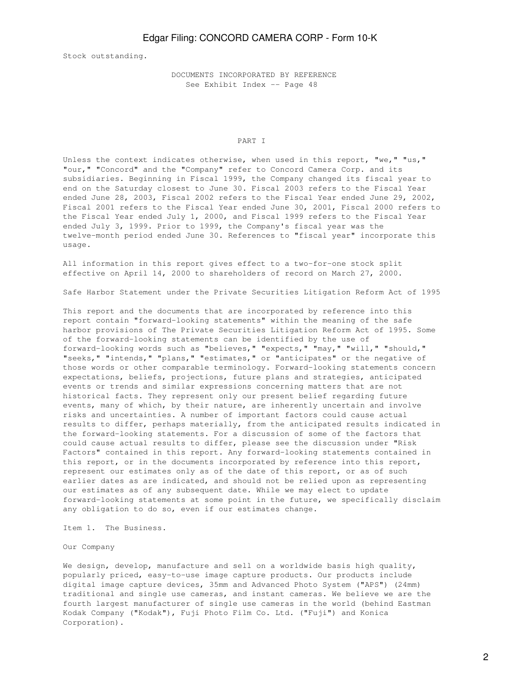Stock outstanding.

 DOCUMENTS INCORPORATED BY REFERENCE See Exhibit Index -- Page 48

### PART I

Unless the context indicates otherwise, when used in this report, "we," "us," "our," "Concord" and the "Company" refer to Concord Camera Corp. and its subsidiaries. Beginning in Fiscal 1999, the Company changed its fiscal year to end on the Saturday closest to June 30. Fiscal 2003 refers to the Fiscal Year ended June 28, 2003, Fiscal 2002 refers to the Fiscal Year ended June 29, 2002, Fiscal 2001 refers to the Fiscal Year ended June 30, 2001, Fiscal 2000 refers to the Fiscal Year ended July 1, 2000, and Fiscal 1999 refers to the Fiscal Year ended July 3, 1999. Prior to 1999, the Company's fiscal year was the twelve-month period ended June 30. References to "fiscal year" incorporate this usage.

All information in this report gives effect to a two-for-one stock split effective on April 14, 2000 to shareholders of record on March 27, 2000.

Safe Harbor Statement under the Private Securities Litigation Reform Act of 1995

This report and the documents that are incorporated by reference into this report contain "forward-looking statements" within the meaning of the safe harbor provisions of The Private Securities Litigation Reform Act of 1995. Some of the forward-looking statements can be identified by the use of forward-looking words such as "believes," "expects," "may," "will," "should," "seeks," "intends," "plans," "estimates," or "anticipates" or the negative of those words or other comparable terminology. Forward-looking statements concern expectations, beliefs, projections, future plans and strategies, anticipated events or trends and similar expressions concerning matters that are not historical facts. They represent only our present belief regarding future events, many of which, by their nature, are inherently uncertain and involve risks and uncertainties. A number of important factors could cause actual results to differ, perhaps materially, from the anticipated results indicated in the forward-looking statements. For a discussion of some of the factors that could cause actual results to differ, please see the discussion under "Risk Factors" contained in this report. Any forward-looking statements contained in this report, or in the documents incorporated by reference into this report, represent our estimates only as of the date of this report, or as of such earlier dates as are indicated, and should not be relied upon as representing our estimates as of any subsequent date. While we may elect to update forward-looking statements at some point in the future, we specifically disclaim any obligation to do so, even if our estimates change.

Item 1. The Business.

Our Company

We design, develop, manufacture and sell on a worldwide basis high quality, popularly priced, easy-to-use image capture products. Our products include digital image capture devices, 35mm and Advanced Photo System ("APS") (24mm) traditional and single use cameras, and instant cameras. We believe we are the fourth largest manufacturer of single use cameras in the world (behind Eastman Kodak Company ("Kodak"), Fuji Photo Film Co. Ltd. ("Fuji") and Konica Corporation).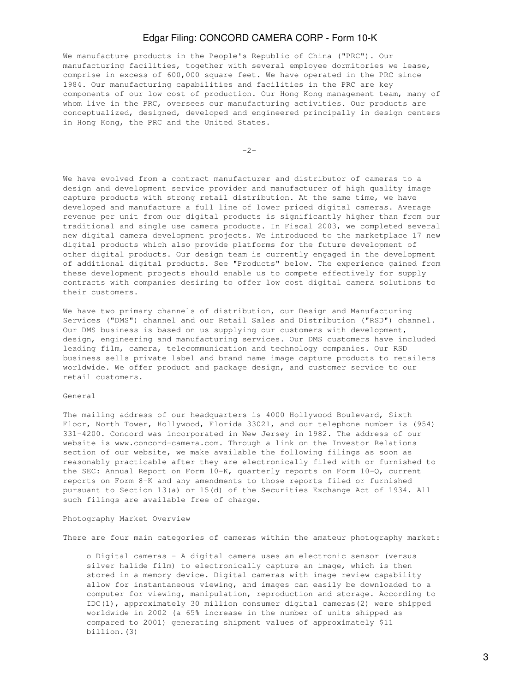We manufacture products in the People's Republic of China ("PRC"). Our manufacturing facilities, together with several employee dormitories we lease, comprise in excess of 600,000 square feet. We have operated in the PRC since 1984. Our manufacturing capabilities and facilities in the PRC are key components of our low cost of production. Our Hong Kong management team, many of whom live in the PRC, oversees our manufacturing activities. Our products are conceptualized, designed, developed and engineered principally in design centers in Hong Kong, the PRC and the United States.

-2-

We have evolved from a contract manufacturer and distributor of cameras to a design and development service provider and manufacturer of high quality image capture products with strong retail distribution. At the same time, we have developed and manufacture a full line of lower priced digital cameras. Average revenue per unit from our digital products is significantly higher than from our traditional and single use camera products. In Fiscal 2003, we completed several new digital camera development projects. We introduced to the marketplace 17 new digital products which also provide platforms for the future development of other digital products. Our design team is currently engaged in the development of additional digital products. See "Products" below. The experience gained from these development projects should enable us to compete effectively for supply contracts with companies desiring to offer low cost digital camera solutions to their customers.

We have two primary channels of distribution, our Design and Manufacturing Services ("DMS") channel and our Retail Sales and Distribution ("RSD") channel. Our DMS business is based on us supplying our customers with development, design, engineering and manufacturing services. Our DMS customers have included leading film, camera, telecommunication and technology companies. Our RSD business sells private label and brand name image capture products to retailers worldwide. We offer product and package design, and customer service to our retail customers.

### General

The mailing address of our headquarters is 4000 Hollywood Boulevard, Sixth Floor, North Tower, Hollywood, Florida 33021, and our telephone number is (954) 331-4200. Concord was incorporated in New Jersey in 1982. The address of our website is www.concord-camera.com. Through a link on the Investor Relations section of our website, we make available the following filings as soon as reasonably practicable after they are electronically filed with or furnished to the SEC: Annual Report on Form 10-K, quarterly reports on Form 10-Q, current reports on Form 8-K and any amendments to those reports filed or furnished pursuant to Section 13(a) or 15(d) of the Securities Exchange Act of 1934. All such filings are available free of charge.

### Photography Market Overview

There are four main categories of cameras within the amateur photography market:

 o Digital cameras - A digital camera uses an electronic sensor (versus silver halide film) to electronically capture an image, which is then stored in a memory device. Digital cameras with image review capability allow for instantaneous viewing, and images can easily be downloaded to a computer for viewing, manipulation, reproduction and storage. According to IDC(1), approximately 30 million consumer digital cameras(2) were shipped worldwide in 2002 (a 65% increase in the number of units shipped as compared to 2001) generating shipment values of approximately \$11 billion.(3)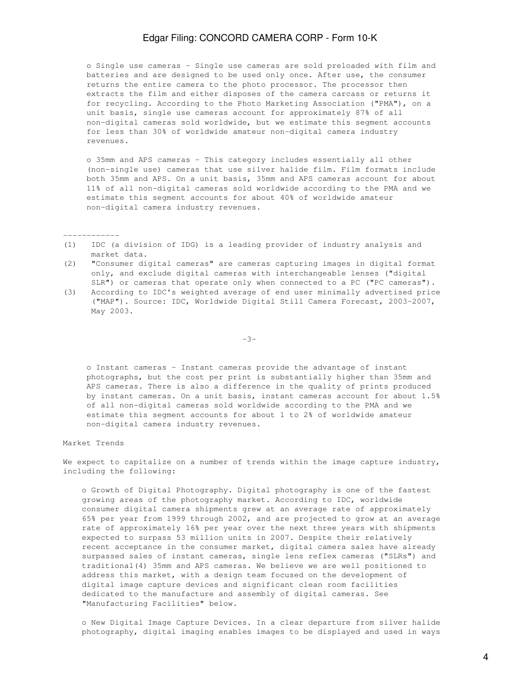o Single use cameras - Single use cameras are sold preloaded with film and batteries and are designed to be used only once. After use, the consumer returns the entire camera to the photo processor. The processor then extracts the film and either disposes of the camera carcass or returns it for recycling. According to the Photo Marketing Association ("PMA"), on a unit basis, single use cameras account for approximately 87% of all non-digital cameras sold worldwide, but we estimate this segment accounts for less than 30% of worldwide amateur non-digital camera industry revenues.

 o 35mm and APS cameras - This category includes essentially all other (non-single use) cameras that use silver halide film. Film formats include both 35mm and APS. On a unit basis, 35mm and APS cameras account for about 11% of all non-digital cameras sold worldwide according to the PMA and we estimate this segment accounts for about 40% of worldwide amateur non-digital camera industry revenues.

(1) IDC (a division of IDG) is a leading provider of industry analysis and market data.

(2) "Consumer digital cameras" are cameras capturing images in digital format only, and exclude digital cameras with interchangeable lenses ("digital SLR") or cameras that operate only when connected to a PC ("PC cameras").

(3) According to IDC's weighted average of end user minimally advertised price ("MAP"). Source: IDC, Worldwide Digital Still Camera Forecast, 2003-2007, May 2003.

-3-

 o Instant cameras - Instant cameras provide the advantage of instant photographs, but the cost per print is substantially higher than 35mm and APS cameras. There is also a difference in the quality of prints produced by instant cameras. On a unit basis, instant cameras account for about 1.5% of all non-digital cameras sold worldwide according to the PMA and we estimate this segment accounts for about 1 to 2% of worldwide amateur non-digital camera industry revenues.

Market Trends

------------

We expect to capitalize on a number of trends within the image capture industry, including the following:

 o Growth of Digital Photography. Digital photography is one of the fastest growing areas of the photography market. According to IDC, worldwide consumer digital camera shipments grew at an average rate of approximately 65% per year from 1999 through 2002, and are projected to grow at an average rate of approximately 16% per year over the next three years with shipments expected to surpass 53 million units in 2007. Despite their relatively recent acceptance in the consumer market, digital camera sales have already surpassed sales of instant cameras, single lens reflex cameras ("SLRs") and traditional(4) 35mm and APS cameras. We believe we are well positioned to address this market, with a design team focused on the development of digital image capture devices and significant clean room facilities dedicated to the manufacture and assembly of digital cameras. See "Manufacturing Facilities" below.

 o New Digital Image Capture Devices. In a clear departure from silver halide photography, digital imaging enables images to be displayed and used in ways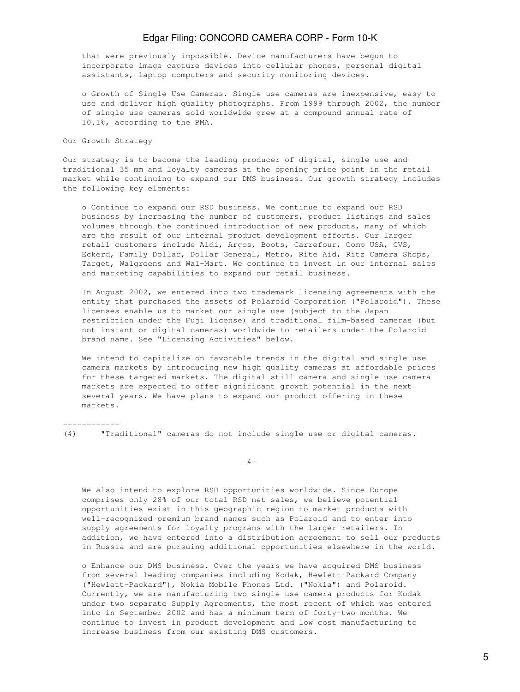that were previously impossible. Device manufacturers have begun to incorporate image capture devices into cellular phones, personal digital assistants, laptop computers and security monitoring devices.

 o Growth of Single Use Cameras. Single use cameras are inexpensive, easy to use and deliver high quality photographs. From 1999 through 2002, the number of single use cameras sold worldwide grew at a compound annual rate of 10.1%, according to the PMA.

Our Growth Strategy

Our strategy is to become the leading producer of digital, single use and traditional 35 mm and loyalty cameras at the opening price point in the retail market while continuing to expand our DMS business. Our growth strategy includes the following key elements:

 o Continue to expand our RSD business. We continue to expand our RSD business by increasing the number of customers, product listings and sales volumes through the continued introduction of new products, many of which are the result of our internal product development efforts. Our larger retail customers include Aldi, Argos, Boots, Carrefour, Comp USA, CVS, Eckerd, Family Dollar, Dollar General, Metro, Rite Aid, Ritz Camera Shops, Target, Walgreens and Wal-Mart. We continue to invest in our internal sales and marketing capabilities to expand our retail business.

 In August 2002, we entered into two trademark licensing agreements with the entity that purchased the assets of Polaroid Corporation ("Polaroid"). These licenses enable us to market our single use (subject to the Japan restriction under the Fuji license) and traditional film-based cameras (but not instant or digital cameras) worldwide to retailers under the Polaroid brand name. See "Licensing Activities" below.

 We intend to capitalize on favorable trends in the digital and single use camera markets by introducing new high quality cameras at affordable prices for these targeted markets. The digital still camera and single use camera markets are expected to offer significant growth potential in the next several years. We have plans to expand our product offering in these markets.

------------

(4) "Traditional" cameras do not include single use or digital cameras.

 $-4-$ 

 We also intend to explore RSD opportunities worldwide. Since Europe comprises only 28% of our total RSD net sales, we believe potential opportunities exist in this geographic region to market products with well-recognized premium brand names such as Polaroid and to enter into supply agreements for loyalty programs with the larger retailers. In addition, we have entered into a distribution agreement to sell our products in Russia and are pursuing additional opportunities elsewhere in the world.

 o Enhance our DMS business. Over the years we have acquired DMS business from several leading companies including Kodak, Hewlett-Packard Company ("Hewlett-Packard"), Nokia Mobile Phones Ltd. ("Nokia") and Polaroid. Currently, we are manufacturing two single use camera products for Kodak under two separate Supply Agreements, the most recent of which was entered into in September 2002 and has a minimum term of forty-two months. We continue to invest in product development and low cost manufacturing to increase business from our existing DMS customers.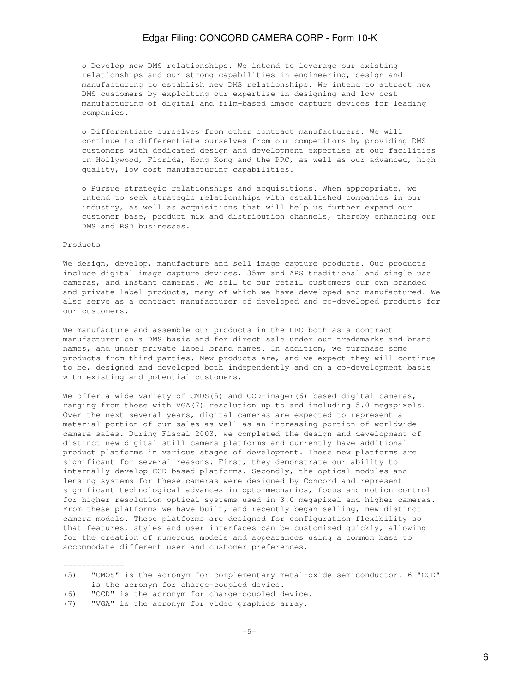o Develop new DMS relationships. We intend to leverage our existing relationships and our strong capabilities in engineering, design and manufacturing to establish new DMS relationships. We intend to attract new DMS customers by exploiting our expertise in designing and low cost manufacturing of digital and film-based image capture devices for leading companies.

 o Differentiate ourselves from other contract manufacturers. We will continue to differentiate ourselves from our competitors by providing DMS customers with dedicated design and development expertise at our facilities in Hollywood, Florida, Hong Kong and the PRC, as well as our advanced, high quality, low cost manufacturing capabilities.

 o Pursue strategic relationships and acquisitions. When appropriate, we intend to seek strategic relationships with established companies in our industry, as well as acquisitions that will help us further expand our customer base, product mix and distribution channels, thereby enhancing our DMS and RSD businesses.

### Products

We design, develop, manufacture and sell image capture products. Our products include digital image capture devices, 35mm and APS traditional and single use cameras, and instant cameras. We sell to our retail customers our own branded and private label products, many of which we have developed and manufactured. We also serve as a contract manufacturer of developed and co-developed products for our customers.

We manufacture and assemble our products in the PRC both as a contract manufacturer on a DMS basis and for direct sale under our trademarks and brand names, and under private label brand names. In addition, we purchase some products from third parties. New products are, and we expect they will continue to be, designed and developed both independently and on a co-development basis with existing and potential customers.

We offer a wide variety of CMOS(5) and CCD-imager(6) based digital cameras, ranging from those with VGA(7) resolution up to and including 5.0 megapixels. Over the next several years, digital cameras are expected to represent a material portion of our sales as well as an increasing portion of worldwide camera sales. During Fiscal 2003, we completed the design and development of distinct new digital still camera platforms and currently have additional product platforms in various stages of development. These new platforms are significant for several reasons. First, they demonstrate our ability to internally develop CCD-based platforms. Secondly, the optical modules and lensing systems for these cameras were designed by Concord and represent significant technological advances in opto-mechanics, focus and motion control for higher resolution optical systems used in 3.0 megapixel and higher cameras. From these platforms we have built, and recently began selling, new distinct camera models. These platforms are designed for configuration flexibility so that features, styles and user interfaces can be customized quickly, allowing for the creation of numerous models and appearances using a common base to accommodate different user and customer preferences.

- (6) "CCD" is the acronym for charge-coupled device.
- (7) "VGA" is the acronym for video graphics array.

<sup>-------------</sup> (5) "CMOS" is the acronym for complementary metal-oxide semiconductor. 6 "CCD" is the acronym for charge-coupled device.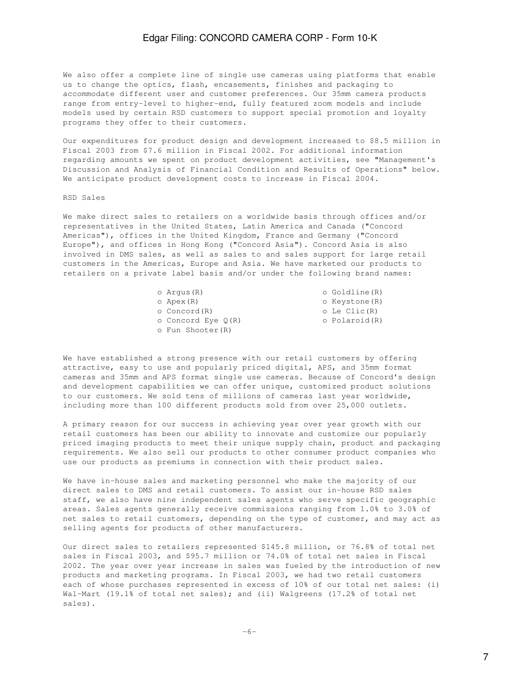We also offer a complete line of single use cameras using platforms that enable us to change the optics, flash, encasements, finishes and packaging to accommodate different user and customer preferences. Our 35mm camera products range from entry-level to higher-end, fully featured zoom models and include models used by certain RSD customers to support special promotion and loyalty programs they offer to their customers.

Our expenditures for product design and development increased to \$8.5 million in Fiscal 2003 from \$7.6 million in Fiscal 2002. For additional information regarding amounts we spent on product development activities, see "Management's Discussion and Analysis of Financial Condition and Results of Operations" below. We anticipate product development costs to increase in Fiscal 2004.

### RSD Sales

We make direct sales to retailers on a worldwide basis through offices and/or representatives in the United States, Latin America and Canada ("Concord Americas"), offices in the United Kingdom, France and Germany ("Concord Europe"), and offices in Hong Kong ("Concord Asia"). Concord Asia is also involved in DMS sales, as well as sales to and sales support for large retail customers in the Americas, Europe and Asia. We have marketed our products to retailers on a private label basis and/or under the following brand names:

| o Arqus (R)          | o Goldline(R)  |
|----------------------|----------------|
| o Apex(R)            | o Keystone (R) |
| o Concord(R)         | o Le Clic(R)   |
| o Concord Eye $O(R)$ | o Polaroid(R)  |
| o Fun Shooter (R)    |                |
|                      |                |

We have established a strong presence with our retail customers by offering attractive, easy to use and popularly priced digital, APS, and 35mm format cameras and 35mm and APS format single use cameras. Because of Concord's design and development capabilities we can offer unique, customized product solutions to our customers. We sold tens of millions of cameras last year worldwide, including more than 100 different products sold from over 25,000 outlets.

A primary reason for our success in achieving year over year growth with our retail customers has been our ability to innovate and customize our popularly priced imaging products to meet their unique supply chain, product and packaging requirements. We also sell our products to other consumer product companies who use our products as premiums in connection with their product sales.

We have in-house sales and marketing personnel who make the majority of our direct sales to DMS and retail customers. To assist our in-house RSD sales staff, we also have nine independent sales agents who serve specific geographic areas. Sales agents generally receive commissions ranging from 1.0% to 3.0% of net sales to retail customers, depending on the type of customer, and may act as selling agents for products of other manufacturers.

Our direct sales to retailers represented \$145.8 million, or 76.8% of total net sales in Fiscal 2003, and \$95.7 million or 74.0% of total net sales in Fiscal 2002. The year over year increase in sales was fueled by the introduction of new products and marketing programs. In Fiscal 2003, we had two retail customers each of whose purchases represented in excess of 10% of our total net sales: (i) Wal-Mart (19.1% of total net sales); and (ii) Walgreens (17.2% of total net sales).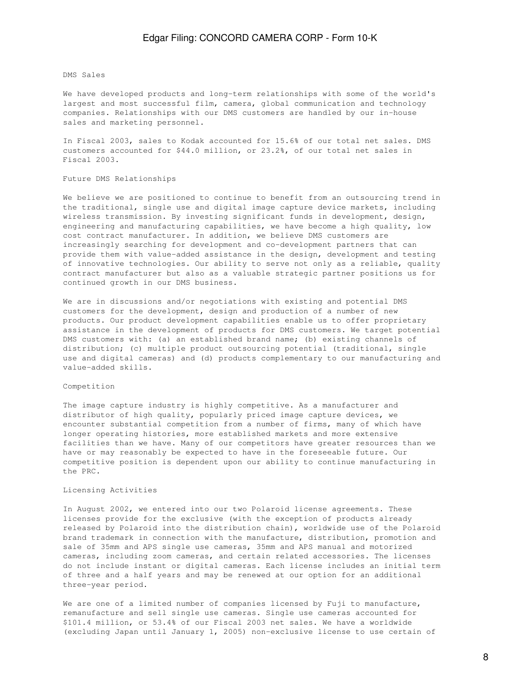#### DMS Sales

We have developed products and long-term relationships with some of the world's largest and most successful film, camera, global communication and technology companies. Relationships with our DMS customers are handled by our in-house sales and marketing personnel.

In Fiscal 2003, sales to Kodak accounted for 15.6% of our total net sales. DMS customers accounted for \$44.0 million, or 23.2%, of our total net sales in Fiscal 2003.

### Future DMS Relationships

We believe we are positioned to continue to benefit from an outsourcing trend in the traditional, single use and digital image capture device markets, including wireless transmission. By investing significant funds in development, design, engineering and manufacturing capabilities, we have become a high quality, low cost contract manufacturer. In addition, we believe DMS customers are increasingly searching for development and co-development partners that can provide them with value-added assistance in the design, development and testing of innovative technologies. Our ability to serve not only as a reliable, quality contract manufacturer but also as a valuable strategic partner positions us for continued growth in our DMS business.

We are in discussions and/or negotiations with existing and potential DMS customers for the development, design and production of a number of new products. Our product development capabilities enable us to offer proprietary assistance in the development of products for DMS customers. We target potential DMS customers with: (a) an established brand name; (b) existing channels of distribution; (c) multiple product outsourcing potential (traditional, single use and digital cameras) and (d) products complementary to our manufacturing and value-added skills.

### Competition

The image capture industry is highly competitive. As a manufacturer and distributor of high quality, popularly priced image capture devices, we encounter substantial competition from a number of firms, many of which have longer operating histories, more established markets and more extensive facilities than we have. Many of our competitors have greater resources than we have or may reasonably be expected to have in the foreseeable future. Our competitive position is dependent upon our ability to continue manufacturing in the PRC.

### Licensing Activities

In August 2002, we entered into our two Polaroid license agreements. These licenses provide for the exclusive (with the exception of products already released by Polaroid into the distribution chain), worldwide use of the Polaroid brand trademark in connection with the manufacture, distribution, promotion and sale of 35mm and APS single use cameras, 35mm and APS manual and motorized cameras, including zoom cameras, and certain related accessories. The licenses do not include instant or digital cameras. Each license includes an initial term of three and a half years and may be renewed at our option for an additional three-year period.

We are one of a limited number of companies licensed by Fuji to manufacture, remanufacture and sell single use cameras. Single use cameras accounted for \$101.4 million, or 53.4% of our Fiscal 2003 net sales. We have a worldwide (excluding Japan until January 1, 2005) non-exclusive license to use certain of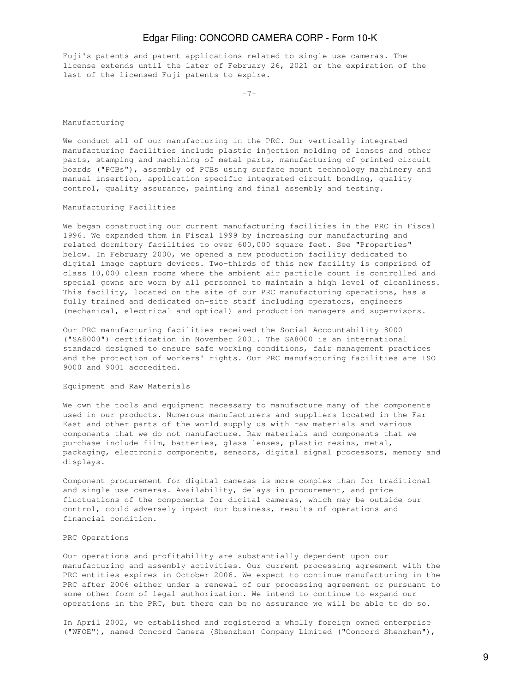Fuji's patents and patent applications related to single use cameras. The license extends until the later of February 26, 2021 or the expiration of the last of the licensed Fuji patents to expire.

-7-

### Manufacturing

We conduct all of our manufacturing in the PRC. Our vertically integrated manufacturing facilities include plastic injection molding of lenses and other parts, stamping and machining of metal parts, manufacturing of printed circuit boards ("PCBs"), assembly of PCBs using surface mount technology machinery and manual insertion, application specific integrated circuit bonding, quality control, quality assurance, painting and final assembly and testing.

### Manufacturing Facilities

We began constructing our current manufacturing facilities in the PRC in Fiscal 1996. We expanded them in Fiscal 1999 by increasing our manufacturing and related dormitory facilities to over 600,000 square feet. See "Properties" below. In February 2000, we opened a new production facility dedicated to digital image capture devices. Two-thirds of this new facility is comprised of class 10,000 clean rooms where the ambient air particle count is controlled and special gowns are worn by all personnel to maintain a high level of cleanliness. This facility, located on the site of our PRC manufacturing operations, has a fully trained and dedicated on-site staff including operators, engineers (mechanical, electrical and optical) and production managers and supervisors.

Our PRC manufacturing facilities received the Social Accountability 8000 ("SA8000") certification in November 2001. The SA8000 is an international standard designed to ensure safe working conditions, fair management practices and the protection of workers' rights. Our PRC manufacturing facilities are ISO 9000 and 9001 accredited.

### Equipment and Raw Materials

We own the tools and equipment necessary to manufacture many of the components used in our products. Numerous manufacturers and suppliers located in the Far East and other parts of the world supply us with raw materials and various components that we do not manufacture. Raw materials and components that we purchase include film, batteries, glass lenses, plastic resins, metal, packaging, electronic components, sensors, digital signal processors, memory and displays.

Component procurement for digital cameras is more complex than for traditional and single use cameras. Availability, delays in procurement, and price fluctuations of the components for digital cameras, which may be outside our control, could adversely impact our business, results of operations and financial condition.

### PRC Operations

Our operations and profitability are substantially dependent upon our manufacturing and assembly activities. Our current processing agreement with the PRC entities expires in October 2006. We expect to continue manufacturing in the PRC after 2006 either under a renewal of our processing agreement or pursuant to some other form of legal authorization. We intend to continue to expand our operations in the PRC, but there can be no assurance we will be able to do so.

In April 2002, we established and registered a wholly foreign owned enterprise ("WFOE"), named Concord Camera (Shenzhen) Company Limited ("Concord Shenzhen"),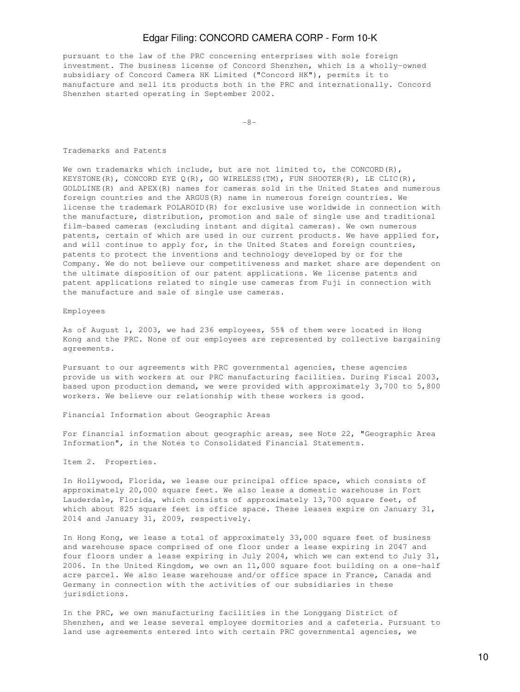pursuant to the law of the PRC concerning enterprises with sole foreign investment. The business license of Concord Shenzhen, which is a wholly-owned subsidiary of Concord Camera HK Limited ("Concord HK"), permits it to manufacture and sell its products both in the PRC and internationally. Concord Shenzhen started operating in September 2002.

 $-8-$ 

#### Trademarks and Patents

We own trademarks which include, but are not limited to, the CONCORD(R), KEYSTONE(R), CONCORD EYE Q(R), GO WIRELESS(TM), FUN SHOOTER(R), LE CLIC(R), GOLDLINE(R) and APEX(R) names for cameras sold in the United States and numerous foreign countries and the ARGUS(R) name in numerous foreign countries. We license the trademark POLAROID(R) for exclusive use worldwide in connection with the manufacture, distribution, promotion and sale of single use and traditional film-based cameras (excluding instant and digital cameras). We own numerous patents, certain of which are used in our current products. We have applied for, and will continue to apply for, in the United States and foreign countries, patents to protect the inventions and technology developed by or for the Company. We do not believe our competitiveness and market share are dependent on the ultimate disposition of our patent applications. We license patents and patent applications related to single use cameras from Fuji in connection with the manufacture and sale of single use cameras.

### Employees

As of August 1, 2003, we had 236 employees, 55% of them were located in Hong Kong and the PRC. None of our employees are represented by collective bargaining agreements.

Pursuant to our agreements with PRC governmental agencies, these agencies provide us with workers at our PRC manufacturing facilities. During Fiscal 2003, based upon production demand, we were provided with approximately 3,700 to 5,800 workers. We believe our relationship with these workers is good.

Financial Information about Geographic Areas

For financial information about geographic areas, see Note 22, "Geographic Area Information", in the Notes to Consolidated Financial Statements.

Item 2. Properties.

In Hollywood, Florida, we lease our principal office space, which consists of approximately 20,000 square feet. We also lease a domestic warehouse in Fort Lauderdale, Florida, which consists of approximately 13,700 square feet, of which about 825 square feet is office space. These leases expire on January 31, 2014 and January 31, 2009, respectively.

In Hong Kong, we lease a total of approximately 33,000 square feet of business and warehouse space comprised of one floor under a lease expiring in 2047 and four floors under a lease expiring in July 2004, which we can extend to July 31, 2006. In the United Kingdom, we own an 11,000 square foot building on a one-half acre parcel. We also lease warehouse and/or office space in France, Canada and Germany in connection with the activities of our subsidiaries in these jurisdictions.

In the PRC, we own manufacturing facilities in the Longgang District of Shenzhen, and we lease several employee dormitories and a cafeteria. Pursuant to land use agreements entered into with certain PRC governmental agencies, we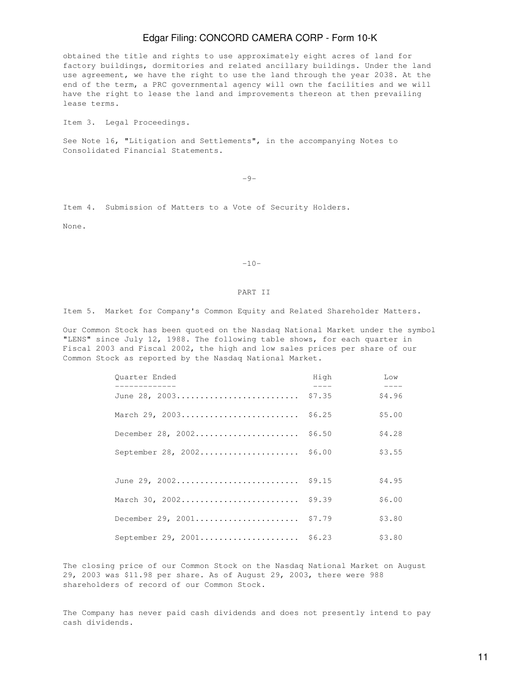obtained the title and rights to use approximately eight acres of land for factory buildings, dormitories and related ancillary buildings. Under the land use agreement, we have the right to use the land through the year 2038. At the end of the term, a PRC governmental agency will own the facilities and we will have the right to lease the land and improvements thereon at then prevailing lease terms.

Item 3. Legal Proceedings.

See Note 16, "Litigation and Settlements", in the accompanying Notes to Consolidated Financial Statements.

-9-

Item 4. Submission of Matters to a Vote of Security Holders.

None.

#### -10-

### PART II

Item 5. Market for Company's Common Equity and Related Shareholder Matters.

Our Common Stock has been quoted on the Nasdaq National Market under the symbol "LENS" since July 12, 1988. The following table shows, for each quarter in Fiscal 2003 and Fiscal 2002, the high and low sales prices per share of our Common Stock as reported by the Nasdaq National Market.

| Ouarter Ended<br>_____________ | High   | Low             |
|--------------------------------|--------|-----------------|
| June 28, 2003                  | \$7.35 | $---$<br>\$4.96 |
| March 29, 2003                 | \$6.25 | \$5.00          |
| December 28, $2002$            | \$6.50 | \$4.28          |
| September 28, 2002 \$6.00      |        | \$3.55          |
|                                |        |                 |
| June 29, 2002 \$9.15           |        | \$4.95          |
| March 30, 2002 \$9.39          |        | \$6.00          |
| December 29, 2001 \$7.79       |        | \$3.80          |
| September 29, 2001 \$6.23      |        | \$3.80          |

The closing price of our Common Stock on the Nasdaq National Market on August 29, 2003 was \$11.98 per share. As of August 29, 2003, there were 988 shareholders of record of our Common Stock.

The Company has never paid cash dividends and does not presently intend to pay cash dividends.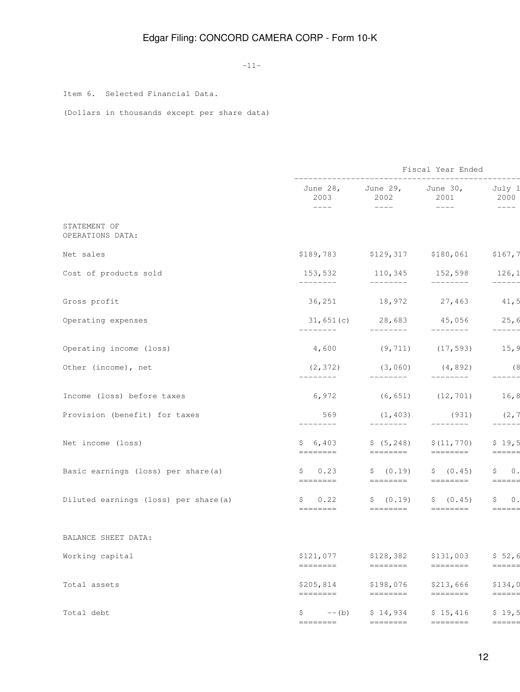-11-

Item 6. Selected Financial Data.

(Dollars in thousands except per share data)

|                                      |                       |                                                                                                                                                                                                                                                                                                                                                                                                                                                                                                                                                                         | Fiscal Year Ended                                                                                                     |                                                                                                      |
|--------------------------------------|-----------------------|-------------------------------------------------------------------------------------------------------------------------------------------------------------------------------------------------------------------------------------------------------------------------------------------------------------------------------------------------------------------------------------------------------------------------------------------------------------------------------------------------------------------------------------------------------------------------|-----------------------------------------------------------------------------------------------------------------------|------------------------------------------------------------------------------------------------------|
|                                      | 2003<br>$---$         | June $28$ , June $29$ , June $30$ ,<br>2002<br>$---$                                                                                                                                                                                                                                                                                                                                                                                                                                                                                                                    | 2001<br>$--- - - -$                                                                                                   | -------<br>July 1<br>2000<br>$\qquad \qquad - - - -$                                                 |
| STATEMENT OF<br>OPERATIONS DATA:     |                       |                                                                                                                                                                                                                                                                                                                                                                                                                                                                                                                                                                         |                                                                                                                       |                                                                                                      |
| Net sales                            |                       | \$189,783 \$129,317 \$180,061                                                                                                                                                                                                                                                                                                                                                                                                                                                                                                                                           |                                                                                                                       | \$167,7                                                                                              |
| Cost of products sold                | 153,532<br>---------  | 110,345 152,598<br>_________                                                                                                                                                                                                                                                                                                                                                                                                                                                                                                                                            | $- - - - - - - -$                                                                                                     | 126,1<br>$------ -$                                                                                  |
| Gross profit                         |                       | 36,251 18,972 27,463                                                                                                                                                                                                                                                                                                                                                                                                                                                                                                                                                    |                                                                                                                       | 41,5                                                                                                 |
| Operating expenses                   | ---------             | $31,651(c)$ 28,683 45,056<br>$---------$                                                                                                                                                                                                                                                                                                                                                                                                                                                                                                                                | $- - - - - - - -$                                                                                                     | 25,6<br>-----                                                                                        |
| Operating income (loss)              | 4,600                 |                                                                                                                                                                                                                                                                                                                                                                                                                                                                                                                                                                         | $(9, 711)$ $(17, 593)$                                                                                                | 15, 9                                                                                                |
| Other (income), net                  | (2, 372)<br>________  | (3,060)<br>$- - - - - - - -$                                                                                                                                                                                                                                                                                                                                                                                                                                                                                                                                            | (4, 892)<br>$- - - - - - - -$                                                                                         | (8<br>-----                                                                                          |
| Income (loss) before taxes           | 6,972                 |                                                                                                                                                                                                                                                                                                                                                                                                                                                                                                                                                                         | $(6, 651)$ $(12, 701)$                                                                                                | 16, 8                                                                                                |
| Provision (benefit) for taxes        | 569<br>------         | (1, 403)<br>--------                                                                                                                                                                                                                                                                                                                                                                                                                                                                                                                                                    | (931)<br>--------                                                                                                     | (2, 7)<br>-----                                                                                      |
| Net income (loss)                    | \$6,403               | \$(5, 248)                                                                                                                                                                                                                                                                                                                                                                                                                                                                                                                                                              | \$(11, 770)<br>$\qquad \qquad \displaystyle =\qquad \qquad \displaystyle =\qquad \qquad \displaystyle =\qquad \qquad$ | \$19,5<br>$\qquad \qquad \displaystyle =\!=\!=\!=\!=\!=\!=$                                          |
| Basic earnings (loss) per share(a)   | \$0.23<br>========    | \$ (0.19)<br>========                                                                                                                                                                                                                                                                                                                                                                                                                                                                                                                                                   | \$ (0.45)<br>========                                                                                                 | $\begin{array}{cc} \xi & 0 \end{array}$<br>======                                                    |
| Diluted earnings (loss) per share(a) | 0.22<br>Ş,            | \$ (0.19)<br>========                                                                                                                                                                                                                                                                                                                                                                                                                                                                                                                                                   | \$ (0.45)                                                                                                             | $\begin{array}{cc} \xi & 0 \end{array}$<br>$\qquad \qquad \equiv \equiv \equiv \equiv \equiv \equiv$ |
| BALANCE SHEET DATA:                  |                       |                                                                                                                                                                                                                                                                                                                                                                                                                                                                                                                                                                         |                                                                                                                       |                                                                                                      |
| Working capital                      | \$121,077<br>======== | \$128,382<br>========                                                                                                                                                                                                                                                                                                                                                                                                                                                                                                                                                   | \$131,003<br>========                                                                                                 | \$52,6<br>======                                                                                     |
| Total assets                         | \$205,814<br>-------- | \$198,076<br>$\begin{tabular}{ll} \multicolumn{3}{l}{{\color{red}\boldsymbol{=}}} & \multicolumn{3}{l}{\color{blue}\boldsymbol{=}} & \multicolumn{3}{l}{\color{blue}\boldsymbol{=}} & \multicolumn{3}{l}{\color{blue}\boldsymbol{=}} & \multicolumn{3}{l}{\color{blue}\boldsymbol{=}} & \multicolumn{3}{l}{\color{blue}\boldsymbol{=}} & \multicolumn{3}{l}{\color{blue}\boldsymbol{=}} & \multicolumn{3}{l}{\color{blue}\boldsymbol{=}} & \multicolumn{3}{l}{\color{blue}\boldsymbol{=}} & \multicolumn{3}{l}{\color{blue}\boldsymbol{=}} & \multicolumn{3}{l}{\color$ | \$213,666<br>$\begin{array}{cccccccccc} = & = & = & = & = & = & = & = & = & \end{array}$                              | \$134,0<br>======                                                                                    |
| Total debt                           | \$.<br>$--$ (b)       | \$14,934                                                                                                                                                                                                                                                                                                                                                                                                                                                                                                                                                                | \$15,416                                                                                                              | \$19,5                                                                                               |
|                                      | ========              | $=$ =======                                                                                                                                                                                                                                                                                                                                                                                                                                                                                                                                                             | ========                                                                                                              | =====                                                                                                |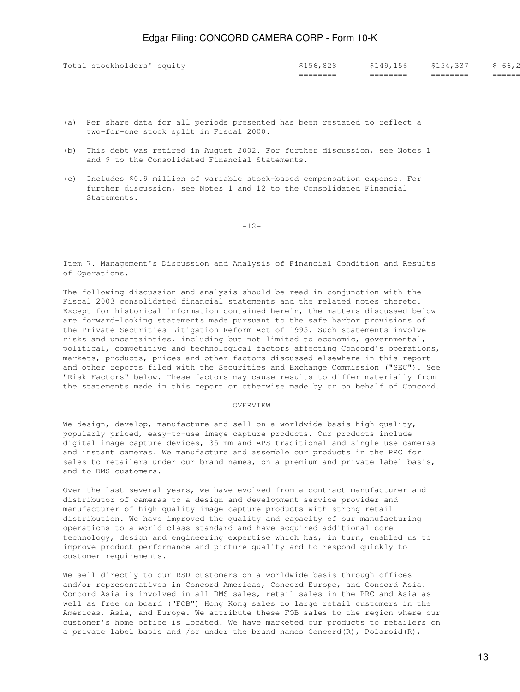|                            | _________<br>________ | _________<br>_________ | _________<br>________ | ====== |
|----------------------------|-----------------------|------------------------|-----------------------|--------|
| Total stockholders' equity | \$156,828             | 149,156                | \$154,337             | 66, Z  |

- (a) Per share data for all periods presented has been restated to reflect a two-for-one stock split in Fiscal 2000.
- (b) This debt was retired in August 2002. For further discussion, see Notes 1 and 9 to the Consolidated Financial Statements.
- (c) Includes \$0.9 million of variable stock-based compensation expense. For further discussion, see Notes 1 and 12 to the Consolidated Financial Statements.

-12-

Item 7. Management's Discussion and Analysis of Financial Condition and Results of Operations.

The following discussion and analysis should be read in conjunction with the Fiscal 2003 consolidated financial statements and the related notes thereto. Except for historical information contained herein, the matters discussed below are forward-looking statements made pursuant to the safe harbor provisions of the Private Securities Litigation Reform Act of 1995. Such statements involve risks and uncertainties, including but not limited to economic, governmental, political, competitive and technological factors affecting Concord's operations, markets, products, prices and other factors discussed elsewhere in this report and other reports filed with the Securities and Exchange Commission ("SEC"). See "Risk Factors" below. These factors may cause results to differ materially from the statements made in this report or otherwise made by or on behalf of Concord.

### OVERVIEW

We design, develop, manufacture and sell on a worldwide basis high quality, popularly priced, easy-to-use image capture products. Our products include digital image capture devices, 35 mm and APS traditional and single use cameras and instant cameras. We manufacture and assemble our products in the PRC for sales to retailers under our brand names, on a premium and private label basis, and to DMS customers.

Over the last several years, we have evolved from a contract manufacturer and distributor of cameras to a design and development service provider and manufacturer of high quality image capture products with strong retail distribution. We have improved the quality and capacity of our manufacturing operations to a world class standard and have acquired additional core technology, design and engineering expertise which has, in turn, enabled us to improve product performance and picture quality and to respond quickly to customer requirements.

We sell directly to our RSD customers on a worldwide basis through offices and/or representatives in Concord Americas, Concord Europe, and Concord Asia. Concord Asia is involved in all DMS sales, retail sales in the PRC and Asia as well as free on board ("FOB") Hong Kong sales to large retail customers in the Americas, Asia, and Europe. We attribute these FOB sales to the region where our customer's home office is located. We have marketed our products to retailers on a private label basis and /or under the brand names  $Concord(R)$ , Polaroid(R),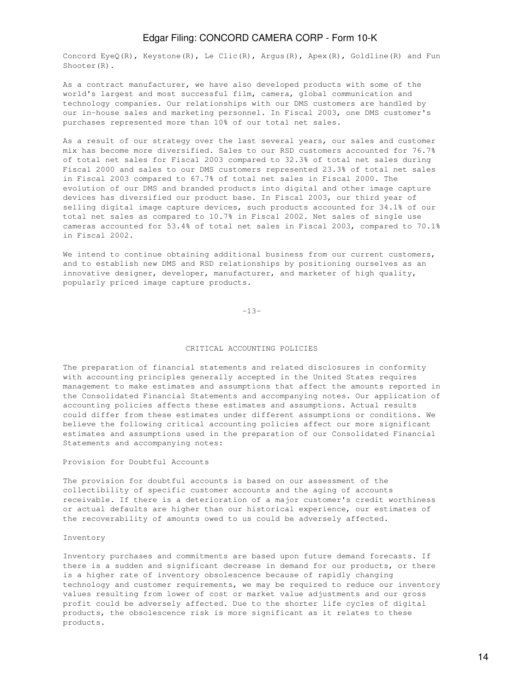Concord EyeQ(R), Keystone(R), Le Clic(R), Argus(R), Apex(R), Goldline(R) and Fun Shooter(R).

As a contract manufacturer, we have also developed products with some of the world's largest and most successful film, camera, global communication and technology companies. Our relationships with our DMS customers are handled by our in-house sales and marketing personnel. In Fiscal 2003, one DMS customer's purchases represented more than 10% of our total net sales.

As a result of our strategy over the last several years, our sales and customer mix has become more diversified. Sales to our RSD customers accounted for 76.7% of total net sales for Fiscal 2003 compared to 32.3% of total net sales during Fiscal 2000 and sales to our DMS customers represented 23.3% of total net sales in Fiscal 2003 compared to 67.7% of total net sales in Fiscal 2000. The evolution of our DMS and branded products into digital and other image capture devices has diversified our product base. In Fiscal 2003, our third year of selling digital image capture devices, such products accounted for 34.1% of our total net sales as compared to 10.7% in Fiscal 2002. Net sales of single use cameras accounted for 53.4% of total net sales in Fiscal 2003, compared to 70.1% in Fiscal 2002.

We intend to continue obtaining additional business from our current customers, and to establish new DMS and RSD relationships by positioning ourselves as an innovative designer, developer, manufacturer, and marketer of high quality, popularly priced image capture products.

-13-

### CRITICAL ACCOUNTING POLICIES

The preparation of financial statements and related disclosures in conformity with accounting principles generally accepted in the United States requires management to make estimates and assumptions that affect the amounts reported in the Consolidated Financial Statements and accompanying notes. Our application of accounting policies affects these estimates and assumptions. Actual results could differ from these estimates under different assumptions or conditions. We believe the following critical accounting policies affect our more significant estimates and assumptions used in the preparation of our Consolidated Financial Statements and accompanying notes:

### Provision for Doubtful Accounts

The provision for doubtful accounts is based on our assessment of the collectibility of specific customer accounts and the aging of accounts receivable. If there is a deterioration of a major customer's credit worthiness or actual defaults are higher than our historical experience, our estimates of the recoverability of amounts owed to us could be adversely affected.

### Inventory

Inventory purchases and commitments are based upon future demand forecasts. If there is a sudden and significant decrease in demand for our products, or there is a higher rate of inventory obsolescence because of rapidly changing technology and customer requirements, we may be required to reduce our inventory values resulting from lower of cost or market value adjustments and our gross profit could be adversely affected. Due to the shorter life cycles of digital products, the obsolescence risk is more significant as it relates to these products.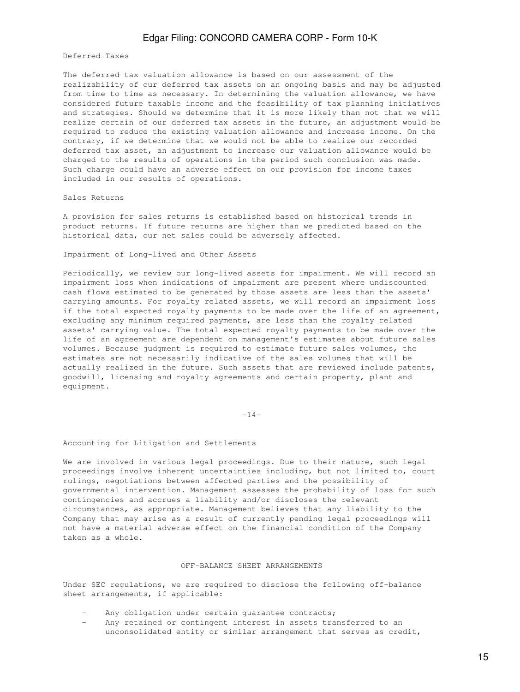Deferred Taxes

The deferred tax valuation allowance is based on our assessment of the realizability of our deferred tax assets on an ongoing basis and may be adjusted from time to time as necessary. In determining the valuation allowance, we have considered future taxable income and the feasibility of tax planning initiatives and strategies. Should we determine that it is more likely than not that we will realize certain of our deferred tax assets in the future, an adjustment would be required to reduce the existing valuation allowance and increase income. On the contrary, if we determine that we would not be able to realize our recorded deferred tax asset, an adjustment to increase our valuation allowance would be charged to the results of operations in the period such conclusion was made. Such charge could have an adverse effect on our provision for income taxes included in our results of operations.

### Sales Returns

A provision for sales returns is established based on historical trends in product returns. If future returns are higher than we predicted based on the historical data, our net sales could be adversely affected.

Impairment of Long-lived and Other Assets

Periodically, we review our long-lived assets for impairment. We will record an impairment loss when indications of impairment are present where undiscounted cash flows estimated to be generated by those assets are less than the assets' carrying amounts. For royalty related assets, we will record an impairment loss if the total expected royalty payments to be made over the life of an agreement, excluding any minimum required payments, are less than the royalty related assets' carrying value. The total expected royalty payments to be made over the life of an agreement are dependent on management's estimates about future sales volumes. Because judgment is required to estimate future sales volumes, the estimates are not necessarily indicative of the sales volumes that will be actually realized in the future. Such assets that are reviewed include patents, goodwill, licensing and royalty agreements and certain property, plant and equipment.

-14-

#### Accounting for Litigation and Settlements

We are involved in various legal proceedings. Due to their nature, such legal proceedings involve inherent uncertainties including, but not limited to, court rulings, negotiations between affected parties and the possibility of governmental intervention. Management assesses the probability of loss for such contingencies and accrues a liability and/or discloses the relevant circumstances, as appropriate. Management believes that any liability to the Company that may arise as a result of currently pending legal proceedings will not have a material adverse effect on the financial condition of the Company taken as a whole.

### OFF-BALANCE SHEET ARRANGEMENTS

Under SEC regulations, we are required to disclose the following off-balance sheet arrangements, if applicable:

- Any obligation under certain guarantee contracts;
- Any retained or contingent interest in assets transferred to an unconsolidated entity or similar arrangement that serves as credit,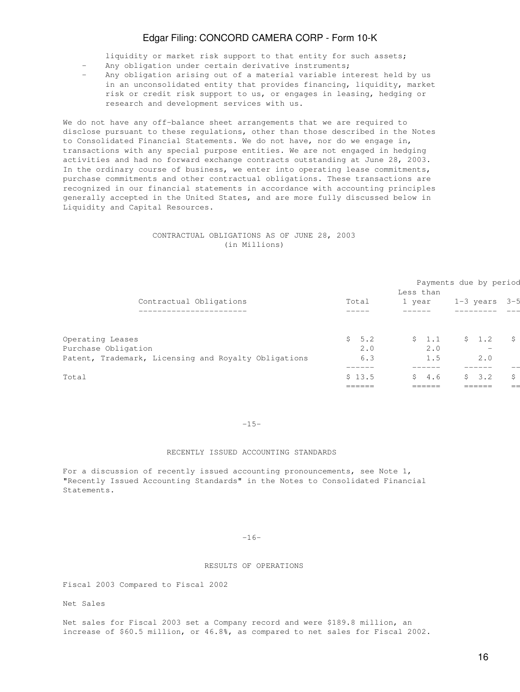liquidity or market risk support to that entity for such assets;

- Any obligation under certain derivative instruments;
- Any obligation arising out of a material variable interest held by us in an unconsolidated entity that provides financing, liquidity, market risk or credit risk support to us, or engages in leasing, hedging or research and development services with us.

We do not have any off-balance sheet arrangements that we are required to disclose pursuant to these regulations, other than those described in the Notes to Consolidated Financial Statements. We do not have, nor do we engage in, transactions with any special purpose entities. We are not engaged in hedging activities and had no forward exchange contracts outstanding at June 28, 2003. In the ordinary course of business, we enter into operating lease commitments, purchase commitments and other contractual obligations. These transactions are recognized in our financial statements in accordance with accounting principles generally accepted in the United States, and are more fully discussed below in Liquidity and Capital Resources.

### CONTRACTUAL OBLIGATIONS AS OF JUNE 28, 2003 (in Millions)

|                                                      |           | Less than      | Payments due by period          |    |
|------------------------------------------------------|-----------|----------------|---------------------------------|----|
| Contractual Obligations                              | Total     | 1 year         | $1-3$ years $3-5$               |    |
| -------------------                                  |           |                |                                 |    |
| Operating Leases                                     | S.<br>5.2 | \$1.1          | \$1.2                           | Ŝ. |
| Purchase Obligation                                  | 2.0       | 2.0            | $\hspace{0.1mm}-\hspace{0.1mm}$ |    |
| Patent, Trademark, Licensing and Royalty Obligations | 6.3       | 1.5            | 2.0                             |    |
| Total                                                | \$13.5    | S.<br>4.6      | 3.2<br>S.                       | Ŝ. |
|                                                      | ------    | ____<br>------ |                                 |    |

#### -15-

### RECENTLY ISSUED ACCOUNTING STANDARDS

For a discussion of recently issued accounting pronouncements, see Note 1, "Recently Issued Accounting Standards" in the Notes to Consolidated Financial Statements.

### -16-

### RESULTS OF OPERATIONS

Fiscal 2003 Compared to Fiscal 2002

Net Sales

Net sales for Fiscal 2003 set a Company record and were \$189.8 million, an increase of \$60.5 million, or 46.8%, as compared to net sales for Fiscal 2002.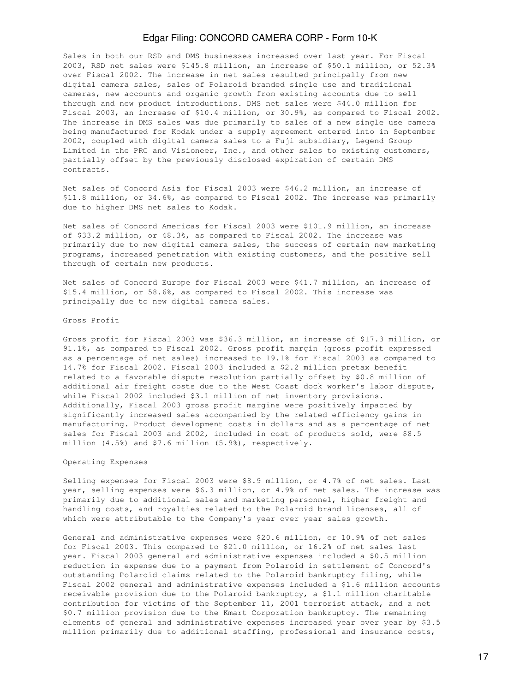Sales in both our RSD and DMS businesses increased over last year. For Fiscal 2003, RSD net sales were \$145.8 million, an increase of \$50.1 million, or 52.3% over Fiscal 2002. The increase in net sales resulted principally from new digital camera sales, sales of Polaroid branded single use and traditional cameras, new accounts and organic growth from existing accounts due to sell through and new product introductions. DMS net sales were \$44.0 million for Fiscal 2003, an increase of \$10.4 million, or 30.9%, as compared to Fiscal 2002. The increase in DMS sales was due primarily to sales of a new single use camera being manufactured for Kodak under a supply agreement entered into in September 2002, coupled with digital camera sales to a Fuji subsidiary, Legend Group Limited in the PRC and Visioneer, Inc., and other sales to existing customers, partially offset by the previously disclosed expiration of certain DMS contracts.

Net sales of Concord Asia for Fiscal 2003 were \$46.2 million, an increase of \$11.8 million, or 34.6%, as compared to Fiscal 2002. The increase was primarily due to higher DMS net sales to Kodak.

Net sales of Concord Americas for Fiscal 2003 were \$101.9 million, an increase of \$33.2 million, or 48.3%, as compared to Fiscal 2002. The increase was primarily due to new digital camera sales, the success of certain new marketing programs, increased penetration with existing customers, and the positive sell through of certain new products.

Net sales of Concord Europe for Fiscal 2003 were \$41.7 million, an increase of \$15.4 million, or 58.6%, as compared to Fiscal 2002. This increase was principally due to new digital camera sales.

### Gross Profit

Gross profit for Fiscal 2003 was \$36.3 million, an increase of \$17.3 million, or 91.1%, as compared to Fiscal 2002. Gross profit margin (gross profit expressed as a percentage of net sales) increased to 19.1% for Fiscal 2003 as compared to 14.7% for Fiscal 2002. Fiscal 2003 included a \$2.2 million pretax benefit related to a favorable dispute resolution partially offset by \$0.8 million of additional air freight costs due to the West Coast dock worker's labor dispute, while Fiscal 2002 included \$3.1 million of net inventory provisions. Additionally, Fiscal 2003 gross profit margins were positively impacted by significantly increased sales accompanied by the related efficiency gains in manufacturing. Product development costs in dollars and as a percentage of net sales for Fiscal 2003 and 2002, included in cost of products sold, were \$8.5 million (4.5%) and \$7.6 million (5.9%), respectively.

### Operating Expenses

Selling expenses for Fiscal 2003 were \$8.9 million, or 4.7% of net sales. Last year, selling expenses were \$6.3 million, or 4.9% of net sales. The increase was primarily due to additional sales and marketing personnel, higher freight and handling costs, and royalties related to the Polaroid brand licenses, all of which were attributable to the Company's year over year sales growth.

General and administrative expenses were \$20.6 million, or 10.9% of net sales for Fiscal 2003. This compared to \$21.0 million, or 16.2% of net sales last year. Fiscal 2003 general and administrative expenses included a \$0.5 million reduction in expense due to a payment from Polaroid in settlement of Concord's outstanding Polaroid claims related to the Polaroid bankruptcy filing, while Fiscal 2002 general and administrative expenses included a \$1.6 million accounts receivable provision due to the Polaroid bankruptcy, a \$1.1 million charitable contribution for victims of the September 11, 2001 terrorist attack, and a net \$0.7 million provision due to the Kmart Corporation bankruptcy. The remaining elements of general and administrative expenses increased year over year by \$3.5 million primarily due to additional staffing, professional and insurance costs,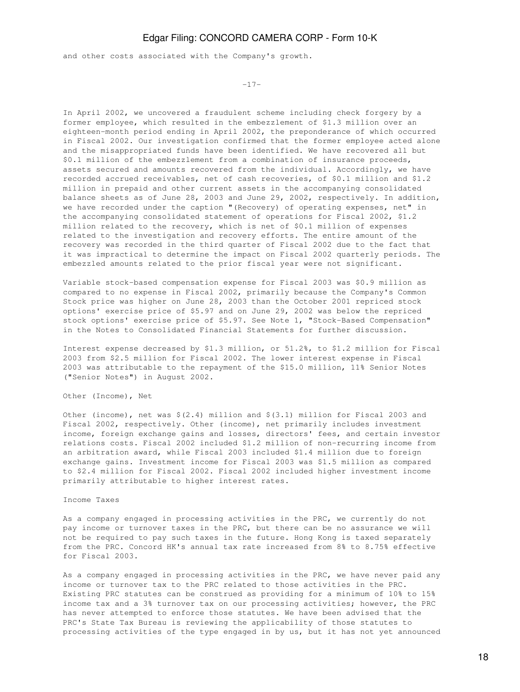and other costs associated with the Company's growth.

-17-

In April 2002, we uncovered a fraudulent scheme including check forgery by a former employee, which resulted in the embezzlement of \$1.3 million over an eighteen-month period ending in April 2002, the preponderance of which occurred in Fiscal 2002. Our investigation confirmed that the former employee acted alone and the misappropriated funds have been identified. We have recovered all but \$0.1 million of the embezzlement from a combination of insurance proceeds, assets secured and amounts recovered from the individual. Accordingly, we have recorded accrued receivables, net of cash recoveries, of \$0.1 million and \$1.2 million in prepaid and other current assets in the accompanying consolidated balance sheets as of June 28, 2003 and June 29, 2002, respectively. In addition, we have recorded under the caption "(Recovery) of operating expenses, net" in the accompanying consolidated statement of operations for Fiscal 2002, \$1.2 million related to the recovery, which is net of \$0.1 million of expenses related to the investigation and recovery efforts. The entire amount of the recovery was recorded in the third quarter of Fiscal 2002 due to the fact that it was impractical to determine the impact on Fiscal 2002 quarterly periods. The embezzled amounts related to the prior fiscal year were not significant.

Variable stock-based compensation expense for Fiscal 2003 was \$0.9 million as compared to no expense in Fiscal 2002, primarily because the Company's Common Stock price was higher on June 28, 2003 than the October 2001 repriced stock options' exercise price of \$5.97 and on June 29, 2002 was below the repriced stock options' exercise price of \$5.97. See Note 1, "Stock-Based Compensation" in the Notes to Consolidated Financial Statements for further discussion.

Interest expense decreased by \$1.3 million, or 51.2%, to \$1.2 million for Fiscal 2003 from \$2.5 million for Fiscal 2002. The lower interest expense in Fiscal 2003 was attributable to the repayment of the \$15.0 million, 11% Senior Notes ("Senior Notes") in August 2002.

Other (Income), Net

Other (income), net was  $\S(2.4)$  million and  $\S(3.1)$  million for Fiscal 2003 and Fiscal 2002, respectively. Other (income), net primarily includes investment income, foreign exchange gains and losses, directors' fees, and certain investor relations costs. Fiscal 2002 included \$1.2 million of non-recurring income from an arbitration award, while Fiscal 2003 included \$1.4 million due to foreign exchange gains. Investment income for Fiscal 2003 was \$1.5 million as compared to \$2.4 million for Fiscal 2002. Fiscal 2002 included higher investment income primarily attributable to higher interest rates.

#### Income Taxes

As a company engaged in processing activities in the PRC, we currently do not pay income or turnover taxes in the PRC, but there can be no assurance we will not be required to pay such taxes in the future. Hong Kong is taxed separately from the PRC. Concord HK's annual tax rate increased from 8% to 8.75% effective for Fiscal 2003.

As a company engaged in processing activities in the PRC, we have never paid any income or turnover tax to the PRC related to those activities in the PRC. Existing PRC statutes can be construed as providing for a minimum of 10% to 15% income tax and a 3% turnover tax on our processing activities; however, the PRC has never attempted to enforce those statutes. We have been advised that the PRC's State Tax Bureau is reviewing the applicability of those statutes to processing activities of the type engaged in by us, but it has not yet announced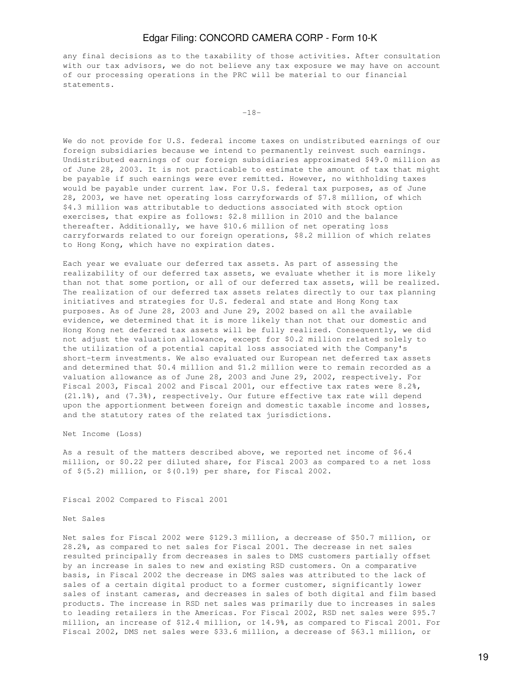any final decisions as to the taxability of those activities. After consultation with our tax advisors, we do not believe any tax exposure we may have on account of our processing operations in the PRC will be material to our financial statements.

-18-

We do not provide for U.S. federal income taxes on undistributed earnings of our foreign subsidiaries because we intend to permanently reinvest such earnings. Undistributed earnings of our foreign subsidiaries approximated \$49.0 million as of June 28, 2003. It is not practicable to estimate the amount of tax that might be payable if such earnings were ever remitted. However, no withholding taxes would be payable under current law. For U.S. federal tax purposes, as of June 28, 2003, we have net operating loss carryforwards of \$7.8 million, of which \$4.3 million was attributable to deductions associated with stock option exercises, that expire as follows: \$2.8 million in 2010 and the balance thereafter. Additionally, we have \$10.6 million of net operating loss carryforwards related to our foreign operations, \$8.2 million of which relates to Hong Kong, which have no expiration dates.

Each year we evaluate our deferred tax assets. As part of assessing the realizability of our deferred tax assets, we evaluate whether it is more likely than not that some portion, or all of our deferred tax assets, will be realized. The realization of our deferred tax assets relates directly to our tax planning initiatives and strategies for U.S. federal and state and Hong Kong tax purposes. As of June 28, 2003 and June 29, 2002 based on all the available evidence, we determined that it is more likely than not that our domestic and Hong Kong net deferred tax assets will be fully realized. Consequently, we did not adjust the valuation allowance, except for \$0.2 million related solely to the utilization of a potential capital loss associated with the Company's short-term investments. We also evaluated our European net deferred tax assets and determined that \$0.4 million and \$1.2 million were to remain recorded as a valuation allowance as of June 28, 2003 and June 29, 2002, respectively. For Fiscal 2003, Fiscal 2002 and Fiscal 2001, our effective tax rates were 8.2%, (21.1%), and (7.3%), respectively. Our future effective tax rate will depend upon the apportionment between foreign and domestic taxable income and losses, and the statutory rates of the related tax jurisdictions.

Net Income (Loss)

As a result of the matters described above, we reported net income of \$6.4 million, or \$0.22 per diluted share, for Fiscal 2003 as compared to a net loss of \$(5.2) million, or \$(0.19) per share, for Fiscal 2002.

Fiscal 2002 Compared to Fiscal 2001

#### Net Sales

Net sales for Fiscal 2002 were \$129.3 million, a decrease of \$50.7 million, or 28.2%, as compared to net sales for Fiscal 2001. The decrease in net sales resulted principally from decreases in sales to DMS customers partially offset by an increase in sales to new and existing RSD customers. On a comparative basis, in Fiscal 2002 the decrease in DMS sales was attributed to the lack of sales of a certain digital product to a former customer, significantly lower sales of instant cameras, and decreases in sales of both digital and film based products. The increase in RSD net sales was primarily due to increases in sales to leading retailers in the Americas. For Fiscal 2002, RSD net sales were \$95.7 million, an increase of \$12.4 million, or 14.9%, as compared to Fiscal 2001. For Fiscal 2002, DMS net sales were \$33.6 million, a decrease of \$63.1 million, or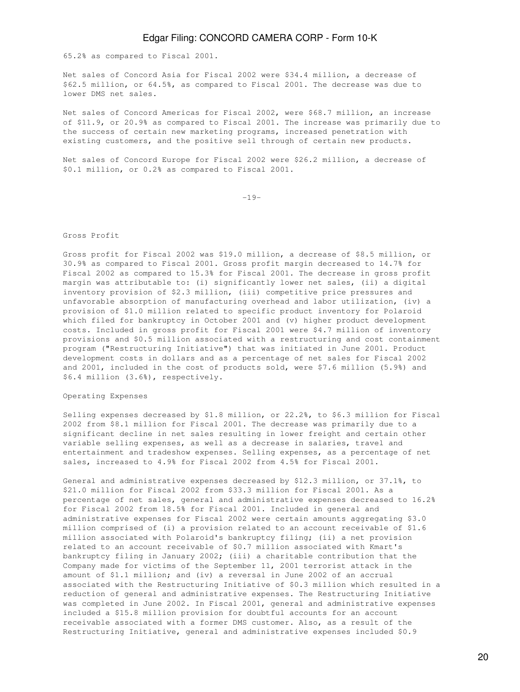65.2% as compared to Fiscal 2001.

Net sales of Concord Asia for Fiscal 2002 were \$34.4 million, a decrease of \$62.5 million, or 64.5%, as compared to Fiscal 2001. The decrease was due to lower DMS net sales.

Net sales of Concord Americas for Fiscal 2002, were \$68.7 million, an increase of \$11.9, or 20.9% as compared to Fiscal 2001. The increase was primarily due to the success of certain new marketing programs, increased penetration with existing customers, and the positive sell through of certain new products.

Net sales of Concord Europe for Fiscal 2002 were \$26.2 million, a decrease of \$0.1 million, or 0.2% as compared to Fiscal 2001.

-19-

### Gross Profit

Gross profit for Fiscal 2002 was \$19.0 million, a decrease of \$8.5 million, or 30.9% as compared to Fiscal 2001. Gross profit margin decreased to 14.7% for Fiscal 2002 as compared to 15.3% for Fiscal 2001. The decrease in gross profit margin was attributable to: (i) significantly lower net sales, (ii) a digital inventory provision of \$2.3 million, (iii) competitive price pressures and unfavorable absorption of manufacturing overhead and labor utilization, (iv) a provision of \$1.0 million related to specific product inventory for Polaroid which filed for bankruptcy in October 2001 and (v) higher product development costs. Included in gross profit for Fiscal 2001 were \$4.7 million of inventory provisions and \$0.5 million associated with a restructuring and cost containment program ("Restructuring Initiative") that was initiated in June 2001. Product development costs in dollars and as a percentage of net sales for Fiscal 2002 and 2001, included in the cost of products sold, were \$7.6 million (5.9%) and \$6.4 million (3.6%), respectively.

### Operating Expenses

Selling expenses decreased by \$1.8 million, or 22.2%, to \$6.3 million for Fiscal 2002 from \$8.1 million for Fiscal 2001. The decrease was primarily due to a significant decline in net sales resulting in lower freight and certain other variable selling expenses, as well as a decrease in salaries, travel and entertainment and tradeshow expenses. Selling expenses, as a percentage of net sales, increased to 4.9% for Fiscal 2002 from 4.5% for Fiscal 2001.

General and administrative expenses decreased by \$12.3 million, or 37.1%, to \$21.0 million for Fiscal 2002 from \$33.3 million for Fiscal 2001. As a percentage of net sales, general and administrative expenses decreased to 16.2% for Fiscal 2002 from 18.5% for Fiscal 2001. Included in general and administrative expenses for Fiscal 2002 were certain amounts aggregating \$3.0 million comprised of (i) a provision related to an account receivable of \$1.6 million associated with Polaroid's bankruptcy filing; (ii) a net provision related to an account receivable of \$0.7 million associated with Kmart's bankruptcy filing in January 2002; (iii) a charitable contribution that the Company made for victims of the September 11, 2001 terrorist attack in the amount of \$1.1 million; and (iv) a reversal in June 2002 of an accrual associated with the Restructuring Initiative of \$0.3 million which resulted in a reduction of general and administrative expenses. The Restructuring Initiative was completed in June 2002. In Fiscal 2001, general and administrative expenses included a \$15.8 million provision for doubtful accounts for an account receivable associated with a former DMS customer. Also, as a result of the Restructuring Initiative, general and administrative expenses included \$0.9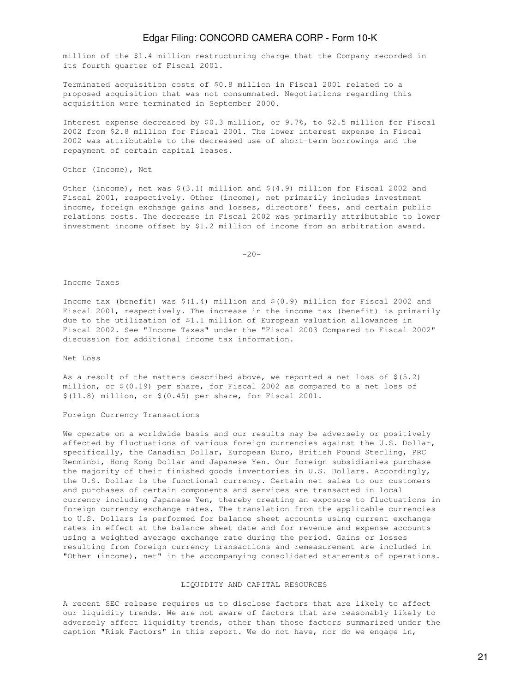million of the \$1.4 million restructuring charge that the Company recorded in its fourth quarter of Fiscal 2001.

Terminated acquisition costs of \$0.8 million in Fiscal 2001 related to a proposed acquisition that was not consummated. Negotiations regarding this acquisition were terminated in September 2000.

Interest expense decreased by \$0.3 million, or 9.7%, to \$2.5 million for Fiscal 2002 from \$2.8 million for Fiscal 2001. The lower interest expense in Fiscal 2002 was attributable to the decreased use of short-term borrowings and the repayment of certain capital leases.

Other (Income), Net

Other (income), net was  $\S(3.1)$  million and  $\S(4.9)$  million for Fiscal 2002 and Fiscal 2001, respectively. Other (income), net primarily includes investment income, foreign exchange gains and losses, directors' fees, and certain public relations costs. The decrease in Fiscal 2002 was primarily attributable to lower investment income offset by \$1.2 million of income from an arbitration award.

 $-20-$ 

Income Taxes

Income tax (benefit) was \$(1.4) million and \$(0.9) million for Fiscal 2002 and Fiscal 2001, respectively. The increase in the income tax (benefit) is primarily due to the utilization of \$1.1 million of European valuation allowances in Fiscal 2002. See "Income Taxes" under the "Fiscal 2003 Compared to Fiscal 2002" discussion for additional income tax information.

Net Loss

As a result of the matters described above, we reported a net loss of  $$(5.2)$ million, or \$(0.19) per share, for Fiscal 2002 as compared to a net loss of \$(11.8) million, or \$(0.45) per share, for Fiscal 2001.

Foreign Currency Transactions

We operate on a worldwide basis and our results may be adversely or positively affected by fluctuations of various foreign currencies against the U.S. Dollar, specifically, the Canadian Dollar, European Euro, British Pound Sterling, PRC Renminbi, Hong Kong Dollar and Japanese Yen. Our foreign subsidiaries purchase the majority of their finished goods inventories in U.S. Dollars. Accordingly, the U.S. Dollar is the functional currency. Certain net sales to our customers and purchases of certain components and services are transacted in local currency including Japanese Yen, thereby creating an exposure to fluctuations in foreign currency exchange rates. The translation from the applicable currencies to U.S. Dollars is performed for balance sheet accounts using current exchange rates in effect at the balance sheet date and for revenue and expense accounts using a weighted average exchange rate during the period. Gains or losses resulting from foreign currency transactions and remeasurement are included in "Other (income), net" in the accompanying consolidated statements of operations.

### LIQUIDITY AND CAPITAL RESOURCES

A recent SEC release requires us to disclose factors that are likely to affect our liquidity trends. We are not aware of factors that are reasonably likely to adversely affect liquidity trends, other than those factors summarized under the caption "Risk Factors" in this report. We do not have, nor do we engage in,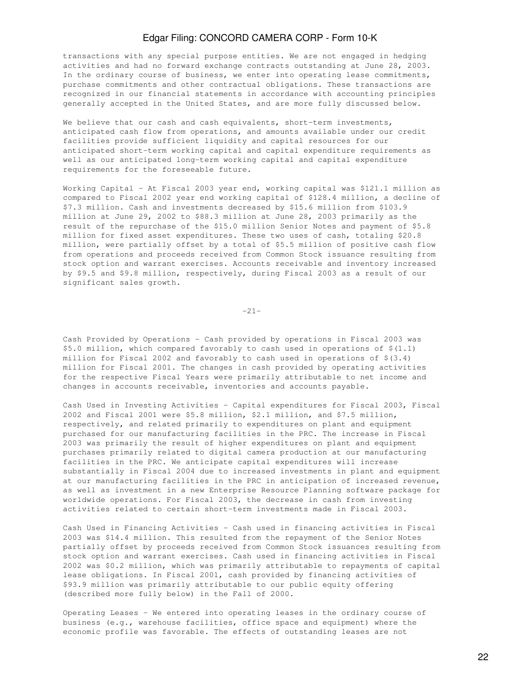transactions with any special purpose entities. We are not engaged in hedging activities and had no forward exchange contracts outstanding at June 28, 2003. In the ordinary course of business, we enter into operating lease commitments, purchase commitments and other contractual obligations. These transactions are recognized in our financial statements in accordance with accounting principles generally accepted in the United States, and are more fully discussed below.

We believe that our cash and cash equivalents, short-term investments, anticipated cash flow from operations, and amounts available under our credit facilities provide sufficient liquidity and capital resources for our anticipated short-term working capital and capital expenditure requirements as well as our anticipated long-term working capital and capital expenditure requirements for the foreseeable future.

Working Capital - At Fiscal 2003 year end, working capital was \$121.1 million as compared to Fiscal 2002 year end working capital of \$128.4 million, a decline of \$7.3 million. Cash and investments decreased by \$15.6 million from \$103.9 million at June 29, 2002 to \$88.3 million at June 28, 2003 primarily as the result of the repurchase of the \$15.0 million Senior Notes and payment of \$5.8 million for fixed asset expenditures. These two uses of cash, totaling \$20.8 million, were partially offset by a total of \$5.5 million of positive cash flow from operations and proceeds received from Common Stock issuance resulting from stock option and warrant exercises. Accounts receivable and inventory increased by \$9.5 and \$9.8 million, respectively, during Fiscal 2003 as a result of our significant sales growth.

-21-

Cash Provided by Operations - Cash provided by operations in Fiscal 2003 was \$5.0 million, which compared favorably to cash used in operations of  $$(1.1)$ million for Fiscal 2002 and favorably to cash used in operations of  $$(3.4)$ million for Fiscal 2001. The changes in cash provided by operating activities for the respective Fiscal Years were primarily attributable to net income and changes in accounts receivable, inventories and accounts payable.

Cash Used in Investing Activities - Capital expenditures for Fiscal 2003, Fiscal 2002 and Fiscal 2001 were \$5.8 million, \$2.1 million, and \$7.5 million, respectively, and related primarily to expenditures on plant and equipment purchased for our manufacturing facilities in the PRC. The increase in Fiscal 2003 was primarily the result of higher expenditures on plant and equipment purchases primarily related to digital camera production at our manufacturing facilities in the PRC. We anticipate capital expenditures will increase substantially in Fiscal 2004 due to increased investments in plant and equipment at our manufacturing facilities in the PRC in anticipation of increased revenue, as well as investment in a new Enterprise Resource Planning software package for worldwide operations. For Fiscal 2003, the decrease in cash from investing activities related to certain short-term investments made in Fiscal 2003.

Cash Used in Financing Activities - Cash used in financing activities in Fiscal 2003 was \$14.4 million. This resulted from the repayment of the Senior Notes partially offset by proceeds received from Common Stock issuances resulting from stock option and warrant exercises. Cash used in financing activities in Fiscal 2002 was \$0.2 million, which was primarily attributable to repayments of capital lease obligations. In Fiscal 2001, cash provided by financing activities of \$93.9 million was primarily attributable to our public equity offering (described more fully below) in the Fall of 2000.

Operating Leases - We entered into operating leases in the ordinary course of business (e.g., warehouse facilities, office space and equipment) where the economic profile was favorable. The effects of outstanding leases are not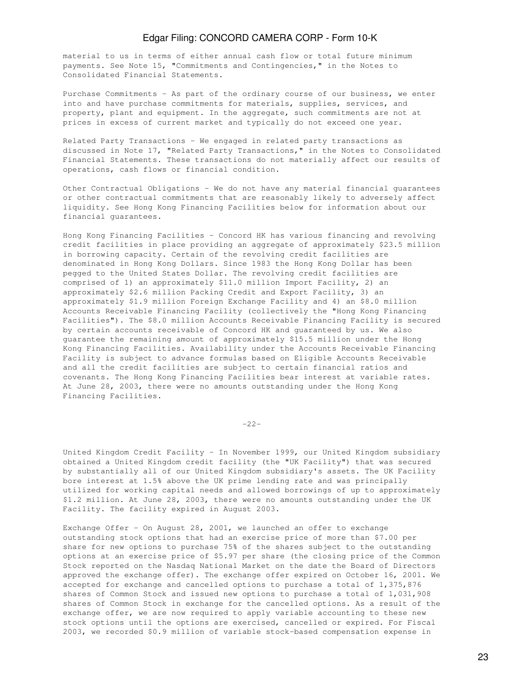material to us in terms of either annual cash flow or total future minimum payments. See Note 15, "Commitments and Contingencies," in the Notes to Consolidated Financial Statements.

Purchase Commitments - As part of the ordinary course of our business, we enter into and have purchase commitments for materials, supplies, services, and property, plant and equipment. In the aggregate, such commitments are not at prices in excess of current market and typically do not exceed one year.

Related Party Transactions - We engaged in related party transactions as discussed in Note 17, "Related Party Transactions," in the Notes to Consolidated Financial Statements. These transactions do not materially affect our results of operations, cash flows or financial condition.

Other Contractual Obligations - We do not have any material financial guarantees or other contractual commitments that are reasonably likely to adversely affect liquidity. See Hong Kong Financing Facilities below for information about our financial guarantees.

Hong Kong Financing Facilities - Concord HK has various financing and revolving credit facilities in place providing an aggregate of approximately \$23.5 million in borrowing capacity. Certain of the revolving credit facilities are denominated in Hong Kong Dollars. Since 1983 the Hong Kong Dollar has been pegged to the United States Dollar. The revolving credit facilities are comprised of 1) an approximately \$11.0 million Import Facility, 2) an approximately \$2.6 million Packing Credit and Export Facility, 3) an approximately \$1.9 million Foreign Exchange Facility and 4) an \$8.0 million Accounts Receivable Financing Facility (collectively the "Hong Kong Financing Facilities"). The \$8.0 million Accounts Receivable Financing Facility is secured by certain accounts receivable of Concord HK and guaranteed by us. We also guarantee the remaining amount of approximately \$15.5 million under the Hong Kong Financing Facilities. Availability under the Accounts Receivable Financing Facility is subject to advance formulas based on Eligible Accounts Receivable and all the credit facilities are subject to certain financial ratios and covenants. The Hong Kong Financing Facilities bear interest at variable rates. At June 28, 2003, there were no amounts outstanding under the Hong Kong Financing Facilities.

-22-

United Kingdom Credit Facility - In November 1999, our United Kingdom subsidiary obtained a United Kingdom credit facility (the "UK Facility") that was secured by substantially all of our United Kingdom subsidiary's assets. The UK Facility bore interest at 1.5% above the UK prime lending rate and was principally utilized for working capital needs and allowed borrowings of up to approximately \$1.2 million. At June 28, 2003, there were no amounts outstanding under the UK Facility. The facility expired in August 2003.

Exchange Offer - On August 28, 2001, we launched an offer to exchange outstanding stock options that had an exercise price of more than \$7.00 per share for new options to purchase 75% of the shares subject to the outstanding options at an exercise price of \$5.97 per share (the closing price of the Common Stock reported on the Nasdaq National Market on the date the Board of Directors approved the exchange offer). The exchange offer expired on October 16, 2001. We accepted for exchange and cancelled options to purchase a total of 1,375,876 shares of Common Stock and issued new options to purchase a total of 1,031,908 shares of Common Stock in exchange for the cancelled options. As a result of the exchange offer, we are now required to apply variable accounting to these new stock options until the options are exercised, cancelled or expired. For Fiscal 2003, we recorded \$0.9 million of variable stock-based compensation expense in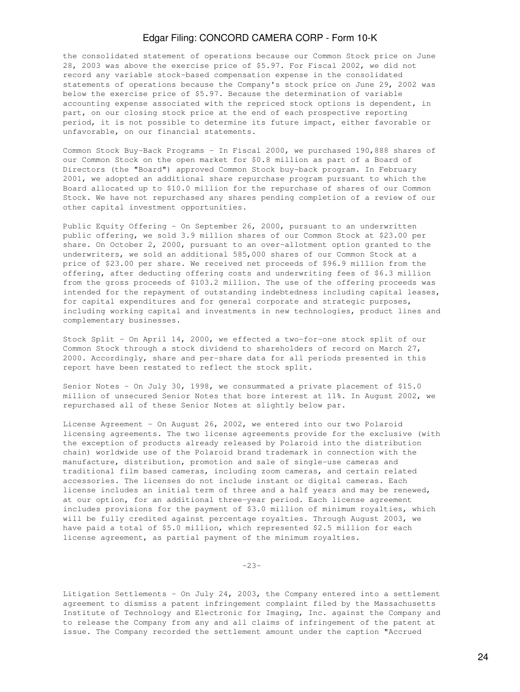the consolidated statement of operations because our Common Stock price on June 28, 2003 was above the exercise price of \$5.97. For Fiscal 2002, we did not record any variable stock-based compensation expense in the consolidated statements of operations because the Company's stock price on June 29, 2002 was below the exercise price of \$5.97. Because the determination of variable accounting expense associated with the repriced stock options is dependent, in part, on our closing stock price at the end of each prospective reporting period, it is not possible to determine its future impact, either favorable or unfavorable, on our financial statements.

Common Stock Buy-Back Programs - In Fiscal 2000, we purchased 190,888 shares of our Common Stock on the open market for \$0.8 million as part of a Board of Directors (the "Board") approved Common Stock buy-back program. In February 2001, we adopted an additional share repurchase program pursuant to which the Board allocated up to \$10.0 million for the repurchase of shares of our Common Stock. We have not repurchased any shares pending completion of a review of our other capital investment opportunities.

Public Equity Offering - On September 26, 2000, pursuant to an underwritten public offering, we sold 3.9 million shares of our Common Stock at \$23.00 per share. On October 2, 2000, pursuant to an over-allotment option granted to the underwriters, we sold an additional 585,000 shares of our Common Stock at a price of \$23.00 per share. We received net proceeds of \$96.9 million from the offering, after deducting offering costs and underwriting fees of \$6.3 million from the gross proceeds of \$103.2 million. The use of the offering proceeds was intended for the repayment of outstanding indebtedness including capital leases, for capital expenditures and for general corporate and strategic purposes, including working capital and investments in new technologies, product lines and complementary businesses.

Stock Split - On April 14, 2000, we effected a two-for-one stock split of our Common Stock through a stock dividend to shareholders of record on March 27, 2000. Accordingly, share and per-share data for all periods presented in this report have been restated to reflect the stock split.

Senior Notes - On July 30, 1998, we consummated a private placement of \$15.0 million of unsecured Senior Notes that bore interest at 11%. In August 2002, we repurchased all of these Senior Notes at slightly below par.

License Agreement - On August 26, 2002, we entered into our two Polaroid licensing agreements. The two license agreements provide for the exclusive (with the exception of products already released by Polaroid into the distribution chain) worldwide use of the Polaroid brand trademark in connection with the manufacture, distribution, promotion and sale of single-use cameras and traditional film based cameras, including zoom cameras, and certain related accessories. The licenses do not include instant or digital cameras. Each license includes an initial term of three and a half years and may be renewed, at our option, for an additional three-year period. Each license agreement includes provisions for the payment of \$3.0 million of minimum royalties, which will be fully credited against percentage royalties. Through August 2003, we have paid a total of \$5.0 million, which represented \$2.5 million for each license agreement, as partial payment of the minimum royalties.

-23-

Litigation Settlements - On July 24, 2003, the Company entered into a settlement agreement to dismiss a patent infringement complaint filed by the Massachusetts Institute of Technology and Electronic for Imaging, Inc. against the Company and to release the Company from any and all claims of infringement of the patent at issue. The Company recorded the settlement amount under the caption "Accrued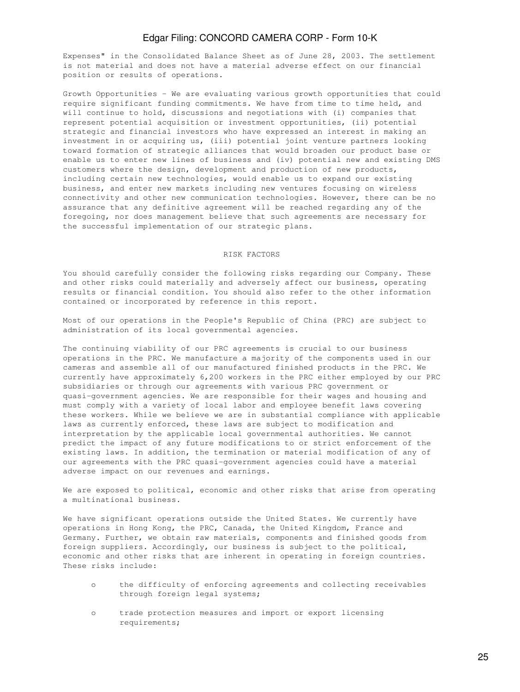Expenses" in the Consolidated Balance Sheet as of June 28, 2003. The settlement is not material and does not have a material adverse effect on our financial position or results of operations.

Growth Opportunities - We are evaluating various growth opportunities that could require significant funding commitments. We have from time to time held, and will continue to hold, discussions and negotiations with (i) companies that represent potential acquisition or investment opportunities, (ii) potential strategic and financial investors who have expressed an interest in making an investment in or acquiring us, (iii) potential joint venture partners looking toward formation of strategic alliances that would broaden our product base or enable us to enter new lines of business and (iv) potential new and existing DMS customers where the design, development and production of new products, including certain new technologies, would enable us to expand our existing business, and enter new markets including new ventures focusing on wireless connectivity and other new communication technologies. However, there can be no assurance that any definitive agreement will be reached regarding any of the foregoing, nor does management believe that such agreements are necessary for the successful implementation of our strategic plans.

### RISK FACTORS

You should carefully consider the following risks regarding our Company. These and other risks could materially and adversely affect our business, operating results or financial condition. You should also refer to the other information contained or incorporated by reference in this report.

Most of our operations in the People's Republic of China (PRC) are subject to administration of its local governmental agencies.

The continuing viability of our PRC agreements is crucial to our business operations in the PRC. We manufacture a majority of the components used in our cameras and assemble all of our manufactured finished products in the PRC. We currently have approximately 6,200 workers in the PRC either employed by our PRC subsidiaries or through our agreements with various PRC government or quasi-government agencies. We are responsible for their wages and housing and must comply with a variety of local labor and employee benefit laws covering these workers. While we believe we are in substantial compliance with applicable laws as currently enforced, these laws are subject to modification and interpretation by the applicable local governmental authorities. We cannot predict the impact of any future modifications to or strict enforcement of the existing laws. In addition, the termination or material modification of any of our agreements with the PRC quasi-government agencies could have a material adverse impact on our revenues and earnings.

We are exposed to political, economic and other risks that arise from operating a multinational business.

We have significant operations outside the United States. We currently have operations in Hong Kong, the PRC, Canada, the United Kingdom, France and Germany. Further, we obtain raw materials, components and finished goods from foreign suppliers. Accordingly, our business is subject to the political, economic and other risks that are inherent in operating in foreign countries. These risks include:

- o the difficulty of enforcing agreements and collecting receivables through foreign legal systems;
- o trade protection measures and import or export licensing requirements;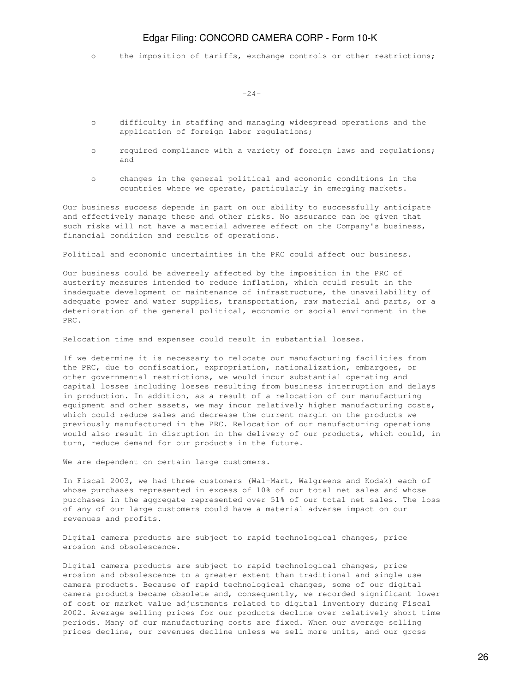o the imposition of tariffs, exchange controls or other restrictions;

 $-24-$ 

- o difficulty in staffing and managing widespread operations and the application of foreign labor regulations;
- o required compliance with a variety of foreign laws and regulations; and
- o changes in the general political and economic conditions in the countries where we operate, particularly in emerging markets.

Our business success depends in part on our ability to successfully anticipate and effectively manage these and other risks. No assurance can be given that such risks will not have a material adverse effect on the Company's business, financial condition and results of operations.

Political and economic uncertainties in the PRC could affect our business.

Our business could be adversely affected by the imposition in the PRC of austerity measures intended to reduce inflation, which could result in the inadequate development or maintenance of infrastructure, the unavailability of adequate power and water supplies, transportation, raw material and parts, or a deterioration of the general political, economic or social environment in the PRC.

Relocation time and expenses could result in substantial losses.

If we determine it is necessary to relocate our manufacturing facilities from the PRC, due to confiscation, expropriation, nationalization, embargoes, or other governmental restrictions, we would incur substantial operating and capital losses including losses resulting from business interruption and delays in production. In addition, as a result of a relocation of our manufacturing equipment and other assets, we may incur relatively higher manufacturing costs, which could reduce sales and decrease the current margin on the products we previously manufactured in the PRC. Relocation of our manufacturing operations would also result in disruption in the delivery of our products, which could, in turn, reduce demand for our products in the future.

We are dependent on certain large customers.

In Fiscal 2003, we had three customers (Wal-Mart, Walgreens and Kodak) each of whose purchases represented in excess of 10% of our total net sales and whose purchases in the aggregate represented over 51% of our total net sales. The loss of any of our large customers could have a material adverse impact on our revenues and profits.

Digital camera products are subject to rapid technological changes, price erosion and obsolescence.

Digital camera products are subject to rapid technological changes, price erosion and obsolescence to a greater extent than traditional and single use camera products. Because of rapid technological changes, some of our digital camera products became obsolete and, consequently, we recorded significant lower of cost or market value adjustments related to digital inventory during Fiscal 2002. Average selling prices for our products decline over relatively short time periods. Many of our manufacturing costs are fixed. When our average selling prices decline, our revenues decline unless we sell more units, and our gross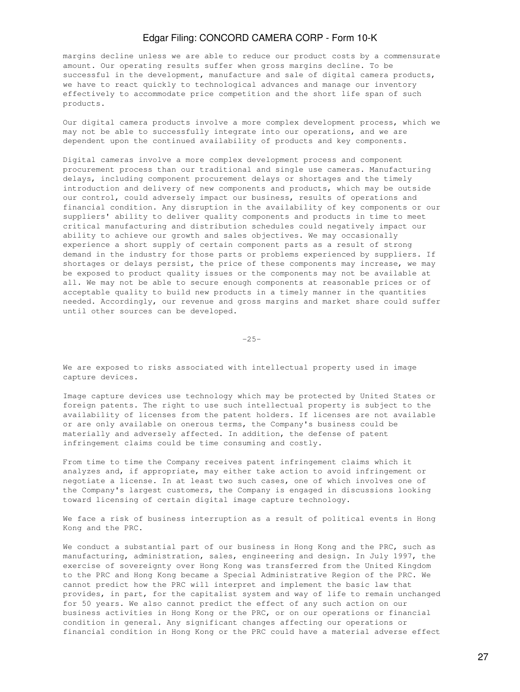margins decline unless we are able to reduce our product costs by a commensurate amount. Our operating results suffer when gross margins decline. To be successful in the development, manufacture and sale of digital camera products, we have to react quickly to technological advances and manage our inventory effectively to accommodate price competition and the short life span of such products.

Our digital camera products involve a more complex development process, which we may not be able to successfully integrate into our operations, and we are dependent upon the continued availability of products and key components.

Digital cameras involve a more complex development process and component procurement process than our traditional and single use cameras. Manufacturing delays, including component procurement delays or shortages and the timely introduction and delivery of new components and products, which may be outside our control, could adversely impact our business, results of operations and financial condition. Any disruption in the availability of key components or our suppliers' ability to deliver quality components and products in time to meet critical manufacturing and distribution schedules could negatively impact our ability to achieve our growth and sales objectives. We may occasionally experience a short supply of certain component parts as a result of strong demand in the industry for those parts or problems experienced by suppliers. If shortages or delays persist, the price of these components may increase, we may be exposed to product quality issues or the components may not be available at all. We may not be able to secure enough components at reasonable prices or of acceptable quality to build new products in a timely manner in the quantities needed. Accordingly, our revenue and gross margins and market share could suffer until other sources can be developed.

 $-25-$ 

We are exposed to risks associated with intellectual property used in image capture devices.

Image capture devices use technology which may be protected by United States or foreign patents. The right to use such intellectual property is subject to the availability of licenses from the patent holders. If licenses are not available or are only available on onerous terms, the Company's business could be materially and adversely affected. In addition, the defense of patent infringement claims could be time consuming and costly.

From time to time the Company receives patent infringement claims which it analyzes and, if appropriate, may either take action to avoid infringement or negotiate a license. In at least two such cases, one of which involves one of the Company's largest customers, the Company is engaged in discussions looking toward licensing of certain digital image capture technology.

We face a risk of business interruption as a result of political events in Hong Kong and the PRC.

We conduct a substantial part of our business in Hong Kong and the PRC, such as manufacturing, administration, sales, engineering and design. In July 1997, the exercise of sovereignty over Hong Kong was transferred from the United Kingdom to the PRC and Hong Kong became a Special Administrative Region of the PRC. We cannot predict how the PRC will interpret and implement the basic law that provides, in part, for the capitalist system and way of life to remain unchanged for 50 years. We also cannot predict the effect of any such action on our business activities in Hong Kong or the PRC, or on our operations or financial condition in general. Any significant changes affecting our operations or financial condition in Hong Kong or the PRC could have a material adverse effect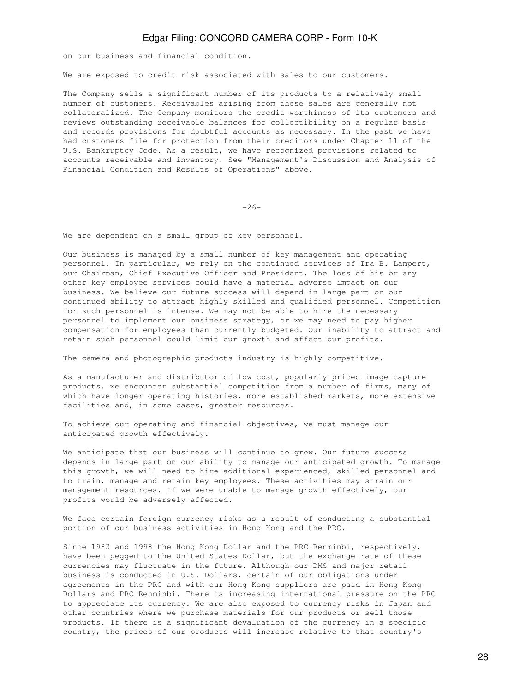on our business and financial condition.

We are exposed to credit risk associated with sales to our customers.

The Company sells a significant number of its products to a relatively small number of customers. Receivables arising from these sales are generally not collateralized. The Company monitors the credit worthiness of its customers and reviews outstanding receivable balances for collectibility on a regular basis and records provisions for doubtful accounts as necessary. In the past we have had customers file for protection from their creditors under Chapter 11 of the U.S. Bankruptcy Code. As a result, we have recognized provisions related to accounts receivable and inventory. See "Management's Discussion and Analysis of Financial Condition and Results of Operations" above.

 $-26-$ 

We are dependent on a small group of key personnel.

Our business is managed by a small number of key management and operating personnel. In particular, we rely on the continued services of Ira B. Lampert, our Chairman, Chief Executive Officer and President. The loss of his or any other key employee services could have a material adverse impact on our business. We believe our future success will depend in large part on our continued ability to attract highly skilled and qualified personnel. Competition for such personnel is intense. We may not be able to hire the necessary personnel to implement our business strategy, or we may need to pay higher compensation for employees than currently budgeted. Our inability to attract and retain such personnel could limit our growth and affect our profits.

The camera and photographic products industry is highly competitive.

As a manufacturer and distributor of low cost, popularly priced image capture products, we encounter substantial competition from a number of firms, many of which have longer operating histories, more established markets, more extensive facilities and, in some cases, greater resources.

To achieve our operating and financial objectives, we must manage our anticipated growth effectively.

We anticipate that our business will continue to grow. Our future success depends in large part on our ability to manage our anticipated growth. To manage this growth, we will need to hire additional experienced, skilled personnel and to train, manage and retain key employees. These activities may strain our management resources. If we were unable to manage growth effectively, our profits would be adversely affected.

We face certain foreign currency risks as a result of conducting a substantial portion of our business activities in Hong Kong and the PRC.

Since 1983 and 1998 the Hong Kong Dollar and the PRC Renminbi, respectively, have been pegged to the United States Dollar, but the exchange rate of these currencies may fluctuate in the future. Although our DMS and major retail business is conducted in U.S. Dollars, certain of our obligations under agreements in the PRC and with our Hong Kong suppliers are paid in Hong Kong Dollars and PRC Renminbi. There is increasing international pressure on the PRC to appreciate its currency. We are also exposed to currency risks in Japan and other countries where we purchase materials for our products or sell those products. If there is a significant devaluation of the currency in a specific country, the prices of our products will increase relative to that country's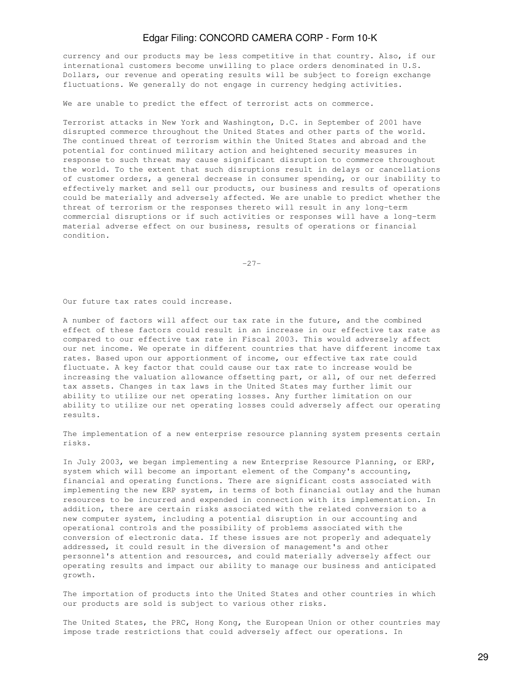currency and our products may be less competitive in that country. Also, if our international customers become unwilling to place orders denominated in U.S. Dollars, our revenue and operating results will be subject to foreign exchange fluctuations. We generally do not engage in currency hedging activities.

We are unable to predict the effect of terrorist acts on commerce.

Terrorist attacks in New York and Washington, D.C. in September of 2001 have disrupted commerce throughout the United States and other parts of the world. The continued threat of terrorism within the United States and abroad and the potential for continued military action and heightened security measures in response to such threat may cause significant disruption to commerce throughout the world. To the extent that such disruptions result in delays or cancellations of customer orders, a general decrease in consumer spending, or our inability to effectively market and sell our products, our business and results of operations could be materially and adversely affected. We are unable to predict whether the threat of terrorism or the responses thereto will result in any long-term commercial disruptions or if such activities or responses will have a long-term material adverse effect on our business, results of operations or financial condition.

-27-

Our future tax rates could increase.

A number of factors will affect our tax rate in the future, and the combined effect of these factors could result in an increase in our effective tax rate as compared to our effective tax rate in Fiscal 2003. This would adversely affect our net income. We operate in different countries that have different income tax rates. Based upon our apportionment of income, our effective tax rate could fluctuate. A key factor that could cause our tax rate to increase would be increasing the valuation allowance offsetting part, or all, of our net deferred tax assets. Changes in tax laws in the United States may further limit our ability to utilize our net operating losses. Any further limitation on our ability to utilize our net operating losses could adversely affect our operating results.

The implementation of a new enterprise resource planning system presents certain risks.

In July 2003, we began implementing a new Enterprise Resource Planning, or ERP, system which will become an important element of the Company's accounting, financial and operating functions. There are significant costs associated with implementing the new ERP system, in terms of both financial outlay and the human resources to be incurred and expended in connection with its implementation. In addition, there are certain risks associated with the related conversion to a new computer system, including a potential disruption in our accounting and operational controls and the possibility of problems associated with the conversion of electronic data. If these issues are not properly and adequately addressed, it could result in the diversion of management's and other personnel's attention and resources, and could materially adversely affect our operating results and impact our ability to manage our business and anticipated growth.

The importation of products into the United States and other countries in which our products are sold is subject to various other risks.

The United States, the PRC, Hong Kong, the European Union or other countries may impose trade restrictions that could adversely affect our operations. In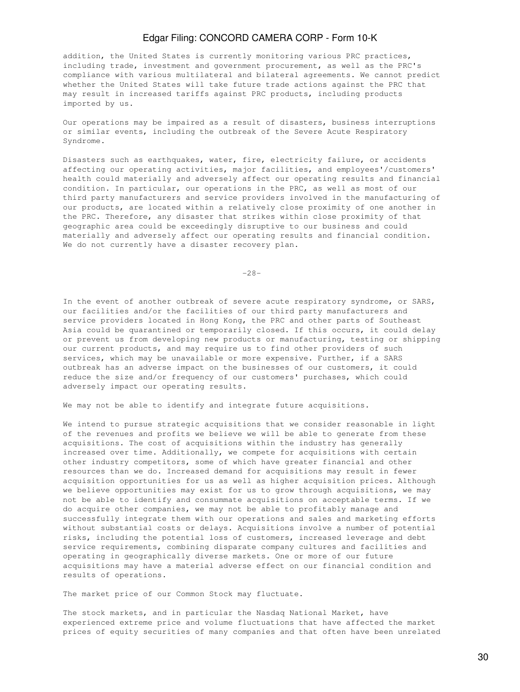addition, the United States is currently monitoring various PRC practices, including trade, investment and government procurement, as well as the PRC's compliance with various multilateral and bilateral agreements. We cannot predict whether the United States will take future trade actions against the PRC that may result in increased tariffs against PRC products, including products imported by us.

Our operations may be impaired as a result of disasters, business interruptions or similar events, including the outbreak of the Severe Acute Respiratory Syndrome.

Disasters such as earthquakes, water, fire, electricity failure, or accidents affecting our operating activities, major facilities, and employees'/customers' health could materially and adversely affect our operating results and financial condition. In particular, our operations in the PRC, as well as most of our third party manufacturers and service providers involved in the manufacturing of our products, are located within a relatively close proximity of one another in the PRC. Therefore, any disaster that strikes within close proximity of that geographic area could be exceedingly disruptive to our business and could materially and adversely affect our operating results and financial condition. We do not currently have a disaster recovery plan.

-28-

In the event of another outbreak of severe acute respiratory syndrome, or SARS, our facilities and/or the facilities of our third party manufacturers and service providers located in Hong Kong, the PRC and other parts of Southeast Asia could be quarantined or temporarily closed. If this occurs, it could delay or prevent us from developing new products or manufacturing, testing or shipping our current products, and may require us to find other providers of such services, which may be unavailable or more expensive. Further, if a SARS outbreak has an adverse impact on the businesses of our customers, it could reduce the size and/or frequency of our customers' purchases, which could adversely impact our operating results.

We may not be able to identify and integrate future acquisitions.

We intend to pursue strategic acquisitions that we consider reasonable in light of the revenues and profits we believe we will be able to generate from these acquisitions. The cost of acquisitions within the industry has generally increased over time. Additionally, we compete for acquisitions with certain other industry competitors, some of which have greater financial and other resources than we do. Increased demand for acquisitions may result in fewer acquisition opportunities for us as well as higher acquisition prices. Although we believe opportunities may exist for us to grow through acquisitions, we may not be able to identify and consummate acquisitions on acceptable terms. If we do acquire other companies, we may not be able to profitably manage and successfully integrate them with our operations and sales and marketing efforts without substantial costs or delays. Acquisitions involve a number of potential risks, including the potential loss of customers, increased leverage and debt service requirements, combining disparate company cultures and facilities and operating in geographically diverse markets. One or more of our future acquisitions may have a material adverse effect on our financial condition and results of operations.

The market price of our Common Stock may fluctuate.

The stock markets, and in particular the Nasdaq National Market, have experienced extreme price and volume fluctuations that have affected the market prices of equity securities of many companies and that often have been unrelated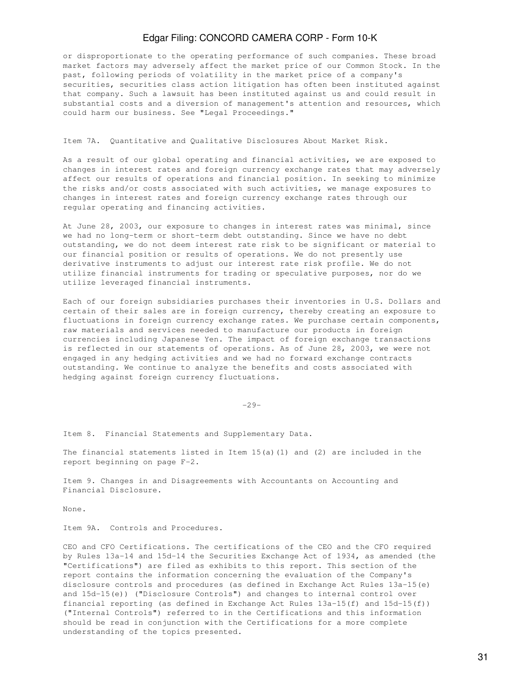or disproportionate to the operating performance of such companies. These broad market factors may adversely affect the market price of our Common Stock. In the past, following periods of volatility in the market price of a company's securities, securities class action litigation has often been instituted against that company. Such a lawsuit has been instituted against us and could result in substantial costs and a diversion of management's attention and resources, which could harm our business. See "Legal Proceedings."

### Item 7A. Quantitative and Qualitative Disclosures About Market Risk.

As a result of our global operating and financial activities, we are exposed to changes in interest rates and foreign currency exchange rates that may adversely affect our results of operations and financial position. In seeking to minimize the risks and/or costs associated with such activities, we manage exposures to changes in interest rates and foreign currency exchange rates through our regular operating and financing activities.

At June 28, 2003, our exposure to changes in interest rates was minimal, since we had no long-term or short-term debt outstanding. Since we have no debt outstanding, we do not deem interest rate risk to be significant or material to our financial position or results of operations. We do not presently use derivative instruments to adjust our interest rate risk profile. We do not utilize financial instruments for trading or speculative purposes, nor do we utilize leveraged financial instruments.

Each of our foreign subsidiaries purchases their inventories in U.S. Dollars and certain of their sales are in foreign currency, thereby creating an exposure to fluctuations in foreign currency exchange rates. We purchase certain components, raw materials and services needed to manufacture our products in foreign currencies including Japanese Yen. The impact of foreign exchange transactions is reflected in our statements of operations. As of June 28, 2003, we were not engaged in any hedging activities and we had no forward exchange contracts outstanding. We continue to analyze the benefits and costs associated with hedging against foreign currency fluctuations.

-29-

Item 8. Financial Statements and Supplementary Data.

The financial statements listed in Item  $15(a)(1)$  and  $(2)$  are included in the report beginning on page F-2.

Item 9. Changes in and Disagreements with Accountants on Accounting and Financial Disclosure.

None.

Item 9A. Controls and Procedures.

CEO and CFO Certifications. The certifications of the CEO and the CFO required by Rules 13a-14 and 15d-14 the Securities Exchange Act of 1934, as amended (the "Certifications") are filed as exhibits to this report. This section of the report contains the information concerning the evaluation of the Company's disclosure controls and procedures (as defined in Exchange Act Rules 13a-15(e) and 15d-15(e)) ("Disclosure Controls") and changes to internal control over financial reporting (as defined in Exchange Act Rules 13a-15(f) and 15d-15(f)) ("Internal Controls") referred to in the Certifications and this information should be read in conjunction with the Certifications for a more complete understanding of the topics presented.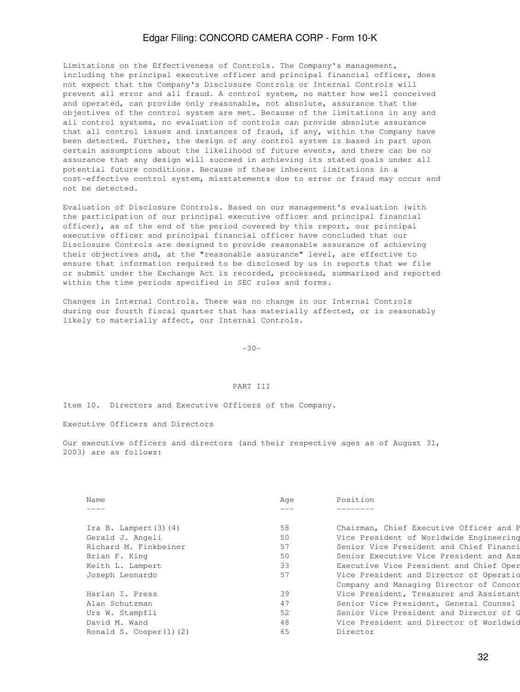Limitations on the Effectiveness of Controls. The Company's management, including the principal executive officer and principal financial officer, does not expect that the Company's Disclosure Controls or Internal Controls will prevent all error and all fraud. A control system, no matter how well conceived and operated, can provide only reasonable, not absolute, assurance that the objectives of the control system are met. Because of the limitations in any and all control systems, no evaluation of controls can provide absolute assurance that all control issues and instances of fraud, if any, within the Company have been detected. Further, the design of any control system is based in part upon certain assumptions about the likelihood of future events, and there can be no assurance that any design will succeed in achieving its stated goals under all potential future conditions. Because of these inherent limitations in a cost-effective control system, misstatements due to error or fraud may occur and not be detected.

Evaluation of Disclosure Controls. Based on our management's evaluation (with the participation of our principal executive officer and principal financial officer), as of the end of the period covered by this report, our principal executive officer and principal financial officer have concluded that our Disclosure Controls are designed to provide reasonable assurance of achieving their objectives and, at the "reasonable assurance" level, are effective to ensure that information required to be disclosed by us in reports that we file or submit under the Exchange Act is recorded, processed, summarized and reported within the time periods specified in SEC rules and forms.

Changes in Internal Controls. There was no change in our Internal Controls during our fourth fiscal quarter that has materially affected, or is reasonably likely to materially affect, our Internal Controls.

-30-

### PART TIT

Item 10. Directors and Executive Officers of the Company.

Executive Officers and Directors

Our executive officers and directors (and their respective ages as of August 31, 2003) are as follows:

| Name                         | Age | Position                                |
|------------------------------|-----|-----------------------------------------|
|                              |     |                                         |
|                              |     |                                         |
| Ira B. Lampert $(3)$ $(4)$   | 58  | Chairman, Chief Executive Officer and P |
| Gerald J. Angeli             | 50  | Vice President of Worldwide Engineering |
| Richard M. Finkbeiner        | 57  | Senior Vice President and Chief Financi |
| Brian F. King                | 50  | Senior Executive Vice President and Ass |
| Keith L. Lampert             | 33  | Executive Vice President and Chief Oper |
| Joseph Leonardo              | 57  | Vice President and Director of Operatio |
|                              |     | Company and Managing Director of Concor |
| Harlan I. Press              | 39  | Vice President, Treasurer and Assistant |
| Alan Schutzman               | 47  | Senior Vice President, General Counsel  |
| Urs W. Stampfli              | 52  | Senior Vice President and Director of G |
| David M. Wand                | 48  | Vice President and Director of Worldwid |
| Ronald S. Cooper $(1)$ $(2)$ | 65  | Director                                |
|                              |     |                                         |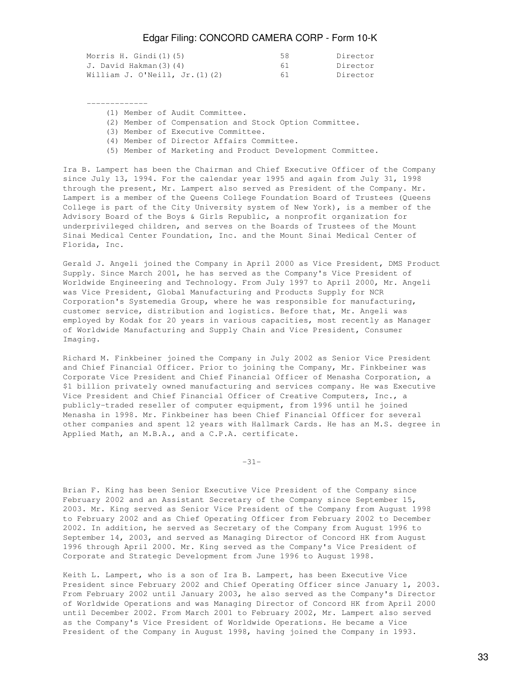| Morris H. Gindi(1)(5)               | 58. | Director |
|-------------------------------------|-----|----------|
| J. David Hakman(3)(4)               | 61  | Director |
| William J. O'Neill, Jr. $(1)$ $(2)$ | 61. | Director |

-------------

(1) Member of Audit Committee.

- (2) Member of Compensation and Stock Option Committee.
- (3) Member of Executive Committee.
- (4) Member of Director Affairs Committee.
- (5) Member of Marketing and Product Development Committee.

Ira B. Lampert has been the Chairman and Chief Executive Officer of the Company since July 13, 1994. For the calendar year 1995 and again from July 31, 1998 through the present, Mr. Lampert also served as President of the Company. Mr. Lampert is a member of the Queens College Foundation Board of Trustees (Queens College is part of the City University system of New York), is a member of the Advisory Board of the Boys & Girls Republic, a nonprofit organization for underprivileged children, and serves on the Boards of Trustees of the Mount Sinai Medical Center Foundation, Inc. and the Mount Sinai Medical Center of Florida, Inc.

Gerald J. Angeli joined the Company in April 2000 as Vice President, DMS Product Supply. Since March 2001, he has served as the Company's Vice President of Worldwide Engineering and Technology. From July 1997 to April 2000, Mr. Angeli was Vice President, Global Manufacturing and Products Supply for NCR Corporation's Systemedia Group, where he was responsible for manufacturing, customer service, distribution and logistics. Before that, Mr. Angeli was employed by Kodak for 20 years in various capacities, most recently as Manager of Worldwide Manufacturing and Supply Chain and Vice President, Consumer Imaging.

Richard M. Finkbeiner joined the Company in July 2002 as Senior Vice President and Chief Financial Officer. Prior to joining the Company, Mr. Finkbeiner was Corporate Vice President and Chief Financial Officer of Menasha Corporation, a \$1 billion privately owned manufacturing and services company. He was Executive Vice President and Chief Financial Officer of Creative Computers, Inc., a publicly-traded reseller of computer equipment, from 1996 until he joined Menasha in 1998. Mr. Finkbeiner has been Chief Financial Officer for several other companies and spent 12 years with Hallmark Cards. He has an M.S. degree in Applied Math, an M.B.A., and a C.P.A. certificate.

-31-

Brian F. King has been Senior Executive Vice President of the Company since February 2002 and an Assistant Secretary of the Company since September 15, 2003. Mr. King served as Senior Vice President of the Company from August 1998 to February 2002 and as Chief Operating Officer from February 2002 to December 2002. In addition, he served as Secretary of the Company from August 1996 to September 14, 2003, and served as Managing Director of Concord HK from August 1996 through April 2000. Mr. King served as the Company's Vice President of Corporate and Strategic Development from June 1996 to August 1998.

Keith L. Lampert, who is a son of Ira B. Lampert, has been Executive Vice President since February 2002 and Chief Operating Officer since January 1, 2003. From February 2002 until January 2003, he also served as the Company's Director of Worldwide Operations and was Managing Director of Concord HK from April 2000 until December 2002. From March 2001 to February 2002, Mr. Lampert also served as the Company's Vice President of Worldwide Operations. He became a Vice President of the Company in August 1998, having joined the Company in 1993.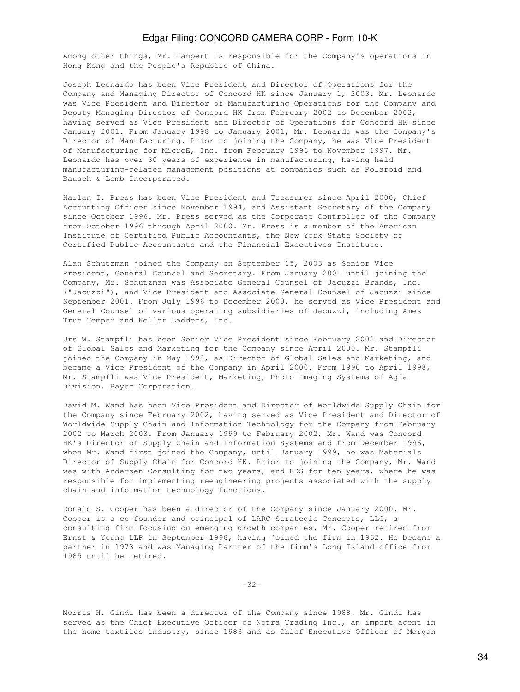Among other things, Mr. Lampert is responsible for the Company's operations in Hong Kong and the People's Republic of China.

Joseph Leonardo has been Vice President and Director of Operations for the Company and Managing Director of Concord HK since January 1, 2003. Mr. Leonardo was Vice President and Director of Manufacturing Operations for the Company and Deputy Managing Director of Concord HK from February 2002 to December 2002, having served as Vice President and Director of Operations for Concord HK since January 2001. From January 1998 to January 2001, Mr. Leonardo was the Company's Director of Manufacturing. Prior to joining the Company, he was Vice President of Manufacturing for MicroE, Inc. from February 1996 to November 1997. Mr. Leonardo has over 30 years of experience in manufacturing, having held manufacturing-related management positions at companies such as Polaroid and Bausch & Lomb Incorporated.

Harlan I. Press has been Vice President and Treasurer since April 2000, Chief Accounting Officer since November 1994, and Assistant Secretary of the Company since October 1996. Mr. Press served as the Corporate Controller of the Company from October 1996 through April 2000. Mr. Press is a member of the American Institute of Certified Public Accountants, the New York State Society of Certified Public Accountants and the Financial Executives Institute.

Alan Schutzman joined the Company on September 15, 2003 as Senior Vice President, General Counsel and Secretary. From January 2001 until joining the Company, Mr. Schutzman was Associate General Counsel of Jacuzzi Brands, Inc. ("Jacuzzi"), and Vice President and Associate General Counsel of Jacuzzi since September 2001. From July 1996 to December 2000, he served as Vice President and General Counsel of various operating subsidiaries of Jacuzzi, including Ames True Temper and Keller Ladders, Inc.

Urs W. Stampfli has been Senior Vice President since February 2002 and Director of Global Sales and Marketing for the Company since April 2000. Mr. Stampfli joined the Company in May 1998, as Director of Global Sales and Marketing, and became a Vice President of the Company in April 2000. From 1990 to April 1998, Mr. Stampfli was Vice President, Marketing, Photo Imaging Systems of Agfa Division, Bayer Corporation.

David M. Wand has been Vice President and Director of Worldwide Supply Chain for the Company since February 2002, having served as Vice President and Director of Worldwide Supply Chain and Information Technology for the Company from February 2002 to March 2003. From January 1999 to February 2002, Mr. Wand was Concord HK's Director of Supply Chain and Information Systems and from December 1996, when Mr. Wand first joined the Company, until January 1999, he was Materials Director of Supply Chain for Concord HK. Prior to joining the Company, Mr. Wand was with Andersen Consulting for two years, and EDS for ten years, where he was responsible for implementing reengineering projects associated with the supply chain and information technology functions.

Ronald S. Cooper has been a director of the Company since January 2000. Mr. Cooper is a co-founder and principal of LARC Strategic Concepts, LLC, a consulting firm focusing on emerging growth companies. Mr. Cooper retired from Ernst & Young LLP in September 1998, having joined the firm in 1962. He became a partner in 1973 and was Managing Partner of the firm's Long Island office from 1985 until he retired.

-32-

Morris H. Gindi has been a director of the Company since 1988. Mr. Gindi has served as the Chief Executive Officer of Notra Trading Inc., an import agent in the home textiles industry, since 1983 and as Chief Executive Officer of Morgan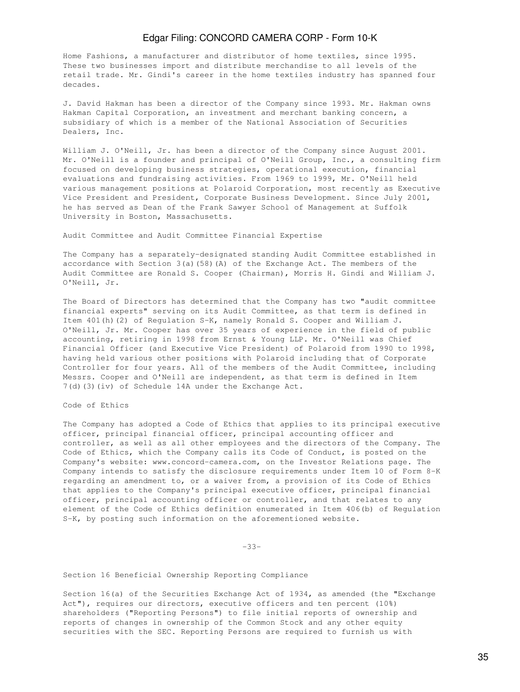Home Fashions, a manufacturer and distributor of home textiles, since 1995. These two businesses import and distribute merchandise to all levels of the retail trade. Mr. Gindi's career in the home textiles industry has spanned four decades.

J. David Hakman has been a director of the Company since 1993. Mr. Hakman owns Hakman Capital Corporation, an investment and merchant banking concern, a subsidiary of which is a member of the National Association of Securities Dealers, Inc.

William J. O'Neill, Jr. has been a director of the Company since August 2001. Mr. O'Neill is a founder and principal of O'Neill Group, Inc., a consulting firm focused on developing business strategies, operational execution, financial evaluations and fundraising activities. From 1969 to 1999, Mr. O'Neill held various management positions at Polaroid Corporation, most recently as Executive Vice President and President, Corporate Business Development. Since July 2001, he has served as Dean of the Frank Sawyer School of Management at Suffolk University in Boston, Massachusetts.

Audit Committee and Audit Committee Financial Expertise

The Company has a separately-designated standing Audit Committee established in accordance with Section 3(a)(58)(A) of the Exchange Act. The members of the Audit Committee are Ronald S. Cooper (Chairman), Morris H. Gindi and William J. O'Neill, Jr.

The Board of Directors has determined that the Company has two "audit committee financial experts" serving on its Audit Committee, as that term is defined in Item 401(h)(2) of Regulation S-K, namely Ronald S. Cooper and William J. O'Neill, Jr. Mr. Cooper has over 35 years of experience in the field of public accounting, retiring in 1998 from Ernst & Young LLP. Mr. O'Neill was Chief Financial Officer (and Executive Vice President) of Polaroid from 1990 to 1998, having held various other positions with Polaroid including that of Corporate Controller for four years. All of the members of the Audit Committee, including Messrs. Cooper and O'Neill are independent, as that term is defined in Item 7(d)(3)(iv) of Schedule 14A under the Exchange Act.

Code of Ethics

The Company has adopted a Code of Ethics that applies to its principal executive officer, principal financial officer, principal accounting officer and controller, as well as all other employees and the directors of the Company. The Code of Ethics, which the Company calls its Code of Conduct, is posted on the Company's website: www.concord-camera.com, on the Investor Relations page. The Company intends to satisfy the disclosure requirements under Item 10 of Form 8-K regarding an amendment to, or a waiver from, a provision of its Code of Ethics that applies to the Company's principal executive officer, principal financial officer, principal accounting officer or controller, and that relates to any element of the Code of Ethics definition enumerated in Item 406(b) of Regulation S-K, by posting such information on the aforementioned website.

-33-

Section 16 Beneficial Ownership Reporting Compliance

Section 16(a) of the Securities Exchange Act of 1934, as amended (the "Exchange Act"), requires our directors, executive officers and ten percent (10%) shareholders ("Reporting Persons") to file initial reports of ownership and reports of changes in ownership of the Common Stock and any other equity securities with the SEC. Reporting Persons are required to furnish us with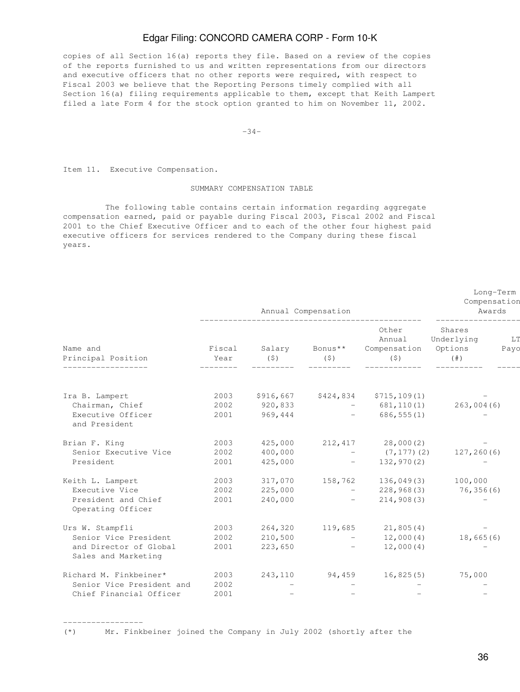copies of all Section 16(a) reports they file. Based on a review of the copies of the reports furnished to us and written representations from our directors and executive officers that no other reports were required, with respect to Fiscal 2003 we believe that the Reporting Persons timely complied with all Section 16(a) filing requirements applicable to them, except that Keith Lampert filed a late Form 4 for the stock option granted to him on November 11, 2002.

 $-34-$ 

Item 11. Executive Compensation.

-----------------

### SUMMARY COMPENSATION TABLE

 The following table contains certain information regarding aggregate compensation earned, paid or payable during Fiscal 2003, Fiscal 2002 and Fiscal 2001 to the Chief Executive Officer and to each of the other four highest paid executive officers for services rendered to the Company during these fiscal years.

|                                               | Annual Compensation         |               |                                                                          |                                                         | Long-Term<br>Compensation<br>Awards |            |  |
|-----------------------------------------------|-----------------------------|---------------|--------------------------------------------------------------------------|---------------------------------------------------------|-------------------------------------|------------|--|
| Name and<br>Principal Position                | Fiscal<br>Year<br>--------- | Salary<br>(5) | Bonus**<br>$(\text{S})$                                                  | Other<br>Annual<br>Compensation Options<br>$(\text{S})$ | Shares<br>Underlying<br>$(\# )$     | LT<br>Payo |  |
| Ira B. Lampert                                | 2003                        |               | \$916,667 \$424,834                                                      | \$715,109(1)                                            |                                     |            |  |
| Chairman, Chief                               | 2002                        | 920,833       |                                                                          | $-681, 110(1)$                                          | 263,004(6)                          |            |  |
| Executive Officer<br>and President            | 2001                        | 969,444       |                                                                          | $-686,555(1)$                                           |                                     |            |  |
| Brian F. King                                 | 2003                        | 425,000       |                                                                          | 212,417 28,000(2)                                       |                                     |            |  |
| Senior Executive Vice                         | 2002                        | 400,000       | <b>Contract Contract</b>                                                 | $(7, 177)$ $(2)$ 127, 260 $(6)$                         |                                     |            |  |
| President                                     | 2001                        | 425,000       | <b>Contract Contract Contract</b>                                        | 132,970(2)                                              |                                     |            |  |
| Keith L. Lampert                              | 2003                        |               |                                                                          | 317,070  158,762  136,049(3)  100,000                   |                                     |            |  |
| Executive Vice                                | 2002                        | 225,000       | and the state of the state of                                            | 228,968(3)                                              | 76,356(6)                           |            |  |
| President and Chief<br>Operating Officer      | 2001                        | 240,000       | the control of the control of                                            | 214,908(3)                                              |                                     |            |  |
| Urs W. Stampfli                               | 2003                        |               | 264,320 119,685                                                          | 21,805(4)                                               |                                     |            |  |
| Senior Vice President                         | 2002                        | 210,500       | <b>Contract Contract Contract</b>                                        | 12,000(4)                                               | 18,665(6)                           |            |  |
| and Director of Global<br>Sales and Marketing | 2001                        | 223,650       | $\mathcal{L}(\mathcal{L}(\mathcal{L}))$ , and $\mathcal{L}(\mathcal{L})$ | 12,000(4)                                               |                                     |            |  |
| Richard M. Finkbeiner*                        | 2003                        | 243,110       | 94,459                                                                   | 16,825(5)                                               | 75,000                              |            |  |
| Senior Vice President and                     | 2002                        |               |                                                                          |                                                         |                                     |            |  |
| Chief Financial Officer                       | 2001                        |               |                                                                          |                                                         |                                     |            |  |

(\*) Mr. Finkbeiner joined the Company in July 2002 (shortly after the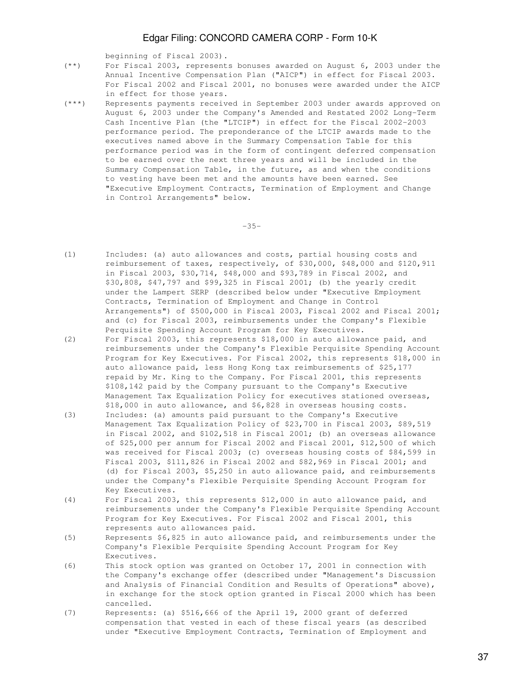- beginning of Fiscal 2003).<br>(\*\*) For Fiscal 2003, represent For Fiscal 2003, represents bonuses awarded on August 6, 2003 under the Annual Incentive Compensation Plan ("AICP") in effect for Fiscal 2003. For Fiscal 2002 and Fiscal 2001, no bonuses were awarded under the AICP in effect for those years.<br>(\*\*\*) Represents payments receive
- Represents payments received in September 2003 under awards approved on August 6, 2003 under the Company's Amended and Restated 2002 Long-Term Cash Incentive Plan (the "LTCIP") in effect for the Fiscal 2002-2003 performance period. The preponderance of the LTCIP awards made to the executives named above in the Summary Compensation Table for this performance period was in the form of contingent deferred compensation to be earned over the next three years and will be included in the Summary Compensation Table, in the future, as and when the conditions to vesting have been met and the amounts have been earned. See "Executive Employment Contracts, Termination of Employment and Change in Control Arrangements" below.

 $-35-$ 

- (1) Includes: (a) auto allowances and costs, partial housing costs and reimbursement of taxes, respectively, of \$30,000, \$48,000 and \$120,911 in Fiscal 2003, \$30,714, \$48,000 and \$93,789 in Fiscal 2002, and \$30,808, \$47,797 and \$99,325 in Fiscal 2001; (b) the yearly credit under the Lampert SERP (described below under "Executive Employment Contracts, Termination of Employment and Change in Control Arrangements") of \$500,000 in Fiscal 2003, Fiscal 2002 and Fiscal 2001; and (c) for Fiscal 2003, reimbursements under the Company's Flexible Perquisite Spending Account Program for Key Executives.
- (2) For Fiscal 2003, this represents \$18,000 in auto allowance paid, and reimbursements under the Company's Flexible Perquisite Spending Account Program for Key Executives. For Fiscal 2002, this represents \$18,000 in auto allowance paid, less Hong Kong tax reimbursements of \$25,177 repaid by Mr. King to the Company. For Fiscal 2001, this represents \$108,142 paid by the Company pursuant to the Company's Executive Management Tax Equalization Policy for executives stationed overseas, \$18,000 in auto allowance, and \$6,828 in overseas housing costs.
- (3) Includes: (a) amounts paid pursuant to the Company's Executive Management Tax Equalization Policy of \$23,700 in Fiscal 2003, \$89,519 in Fiscal 2002, and \$102,518 in Fiscal 2001; (b) an overseas allowance of \$25,000 per annum for Fiscal 2002 and Fiscal 2001, \$12,500 of which was received for Fiscal 2003; (c) overseas housing costs of \$84,599 in Fiscal 2003, \$111,826 in Fiscal 2002 and \$82,969 in Fiscal 2001; and (d) for Fiscal 2003, \$5,250 in auto allowance paid, and reimbursements under the Company's Flexible Perquisite Spending Account Program for Key Executives.
- (4) For Fiscal 2003, this represents \$12,000 in auto allowance paid, and reimbursements under the Company's Flexible Perquisite Spending Account Program for Key Executives. For Fiscal 2002 and Fiscal 2001, this represents auto allowances paid.
- (5) Represents \$6,825 in auto allowance paid, and reimbursements under the Company's Flexible Perquisite Spending Account Program for Key Executives.
- (6) This stock option was granted on October 17, 2001 in connection with the Company's exchange offer (described under "Management's Discussion and Analysis of Financial Condition and Results of Operations" above), in exchange for the stock option granted in Fiscal 2000 which has been cancelled.
- (7) Represents: (a) \$516,666 of the April 19, 2000 grant of deferred compensation that vested in each of these fiscal years (as described under "Executive Employment Contracts, Termination of Employment and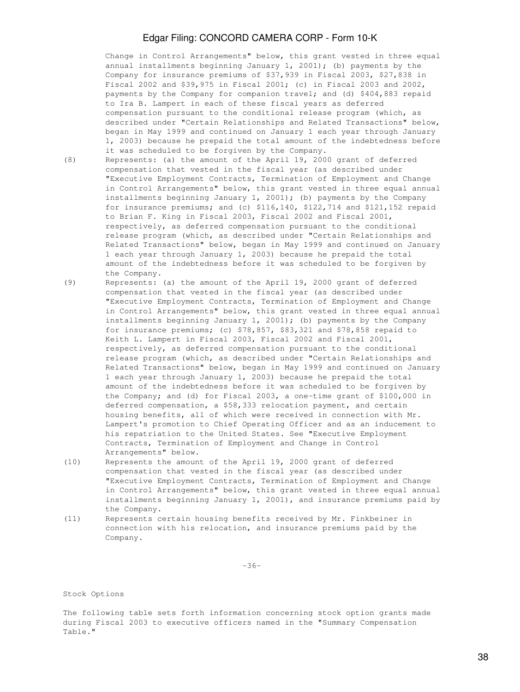Change in Control Arrangements" below, this grant vested in three equal annual installments beginning January 1, 2001); (b) payments by the Company for insurance premiums of \$37,939 in Fiscal 2003, \$27,838 in Fiscal 2002 and \$39,975 in Fiscal 2001; (c) in Fiscal 2003 and 2002, payments by the Company for companion travel; and (d) \$404,883 repaid to Ira B. Lampert in each of these fiscal years as deferred compensation pursuant to the conditional release program (which, as described under "Certain Relationships and Related Transactions" below, began in May 1999 and continued on January 1 each year through January 1, 2003) because he prepaid the total amount of the indebtedness before it was scheduled to be forgiven by the Company.

- (8) Represents: (a) the amount of the April 19, 2000 grant of deferred compensation that vested in the fiscal year (as described under "Executive Employment Contracts, Termination of Employment and Change in Control Arrangements" below, this grant vested in three equal annual installments beginning January 1, 2001); (b) payments by the Company for insurance premiums; and (c) \$116,140, \$122,714 and \$121,152 repaid to Brian F. King in Fiscal 2003, Fiscal 2002 and Fiscal 2001, respectively, as deferred compensation pursuant to the conditional release program (which, as described under "Certain Relationships and Related Transactions" below, began in May 1999 and continued on January 1 each year through January 1, 2003) because he prepaid the total amount of the indebtedness before it was scheduled to be forgiven by the Company.
- (9) Represents: (a) the amount of the April 19, 2000 grant of deferred compensation that vested in the fiscal year (as described under "Executive Employment Contracts, Termination of Employment and Change in Control Arrangements" below, this grant vested in three equal annual installments beginning January 1, 2001); (b) payments by the Company for insurance premiums; (c) \$78,857, \$83,321 and \$78,858 repaid to Keith L. Lampert in Fiscal 2003, Fiscal 2002 and Fiscal 2001, respectively, as deferred compensation pursuant to the conditional release program (which, as described under "Certain Relationships and Related Transactions" below, began in May 1999 and continued on January 1 each year through January 1, 2003) because he prepaid the total amount of the indebtedness before it was scheduled to be forgiven by the Company; and (d) for Fiscal 2003, a one-time grant of \$100,000 in deferred compensation, a \$58,333 relocation payment, and certain housing benefits, all of which were received in connection with Mr. Lampert's promotion to Chief Operating Officer and as an inducement to his repatriation to the United States. See "Executive Employment Contracts, Termination of Employment and Change in Control Arrangements" below.
- (10) Represents the amount of the April 19, 2000 grant of deferred compensation that vested in the fiscal year (as described under "Executive Employment Contracts, Termination of Employment and Change in Control Arrangements" below, this grant vested in three equal annual installments beginning January 1, 2001), and insurance premiums paid by the Company.
- (11) Represents certain housing benefits received by Mr. Finkbeiner in connection with his relocation, and insurance premiums paid by the Company.

-36-

#### Stock Options

The following table sets forth information concerning stock option grants made during Fiscal 2003 to executive officers named in the "Summary Compensation Table."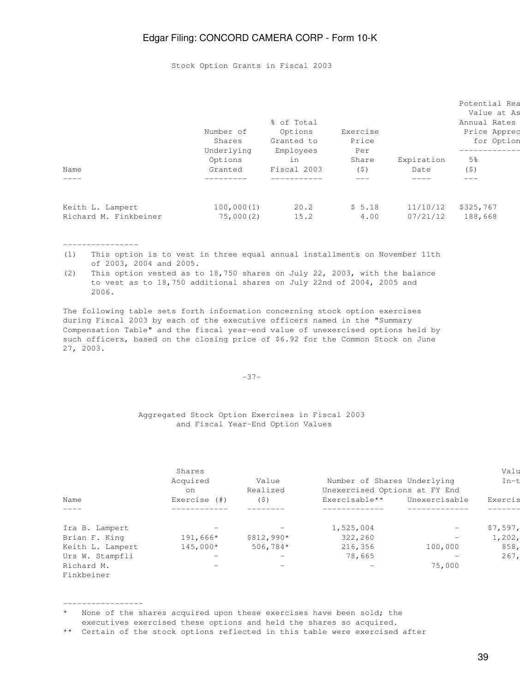Stock Option Grants in Fiscal 2003

|                       | Number of            | % of Total<br>Options   | Exercise     |            | Potential Rea<br>Value at As<br>Annual Rates<br>Price Apprec |
|-----------------------|----------------------|-------------------------|--------------|------------|--------------------------------------------------------------|
|                       | Shares<br>Underlying | Granted to<br>Employees | Price<br>Per |            | for Option                                                   |
|                       | Options              | in                      | Share        | Expiration | 5 <sup>°</sup>                                               |
| Name                  | Granted              | Fiscal 2003             | (\$)         | Date       | (S)                                                          |
| $\frac{1}{2}$         |                      |                         |              |            |                                                              |
| Keith L. Lampert      | 100,000(1)           | 20.2                    | \$5.18       | 11/10/12   | \$325,767                                                    |
| Richard M. Finkbeiner | 75,000(2)            | 15.2                    | 4.00         | 07/21/12   | 188,668                                                      |
|                       |                      |                         |              |            |                                                              |

#### ----------------

-----------------

- (1) This option is to vest in three equal annual installments on November 11th of 2003, 2004 and 2005.
- (2) This option vested as to 18,750 shares on July 22, 2003, with the balance to vest as to 18,750 additional shares on July 22nd of 2004, 2005 and 2006.

The following table sets forth information concerning stock option exercises during Fiscal 2003 by each of the executive officers named in the "Summary Compensation Table" and the fiscal year-end value of unexercised options held by such officers, based on the closing price of \$6.92 for the Common Stock on June 27, 2003.

#### -37-

#### Aggregated Stock Option Exercises in Fiscal 2003 and Fiscal Year-End Option Values

|                  | Shares<br>Acquired<br>on        | Value<br>Realized | Number of Shares Underlying<br>Unexercised Options at FY End |                          | Valu<br>$In-t$ |
|------------------|---------------------------------|-------------------|--------------------------------------------------------------|--------------------------|----------------|
| Name             | Exercise (#)                    | (5)               | Exercisable**                                                | Unexercisable            | Exercis        |
| $\frac{1}{2}$    |                                 |                   |                                                              |                          |                |
| Ira B. Lampert   | $\hspace{0.1mm}-\hspace{0.1mm}$ | $\qquad \qquad -$ | 1,525,004                                                    | $\overline{\phantom{0}}$ | \$7,597,       |
| Brian F. King    | $191,666*$                      | $$812,990*$       | 322,260                                                      |                          | 1,202,         |
| Keith L. Lampert | $145,000*$                      | $506,784*$        | 216,356                                                      | 100,000                  | 858,           |
| Urs W. Stampfli  |                                 |                   | 78,665                                                       |                          | 267,           |
| Richard M.       |                                 |                   | $\overline{\phantom{m}}$                                     | 75,000                   |                |
| Finkbeiner       |                                 |                   |                                                              |                          |                |

### \* None of the shares acquired upon these exercises have been sold; the executives exercised these options and held the shares so acquired.

<sup>\*\*</sup> Certain of the stock options reflected in this table were exercised after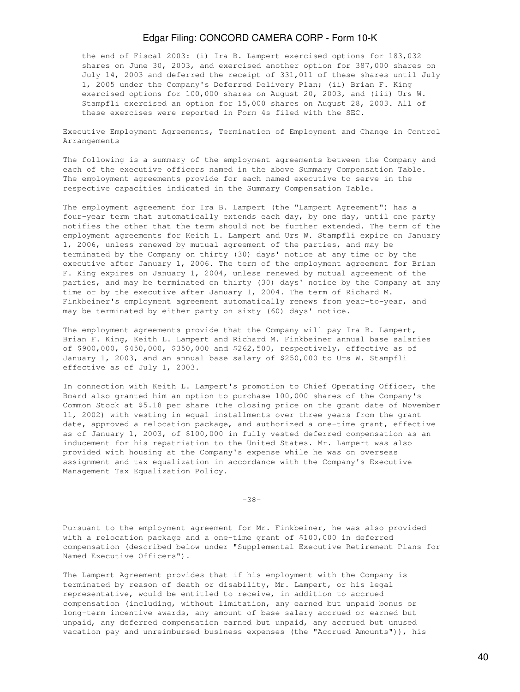the end of Fiscal 2003: (i) Ira B. Lampert exercised options for 183,032 shares on June 30, 2003, and exercised another option for 387,000 shares on July 14, 2003 and deferred the receipt of 331,011 of these shares until July 1, 2005 under the Company's Deferred Delivery Plan; (ii) Brian F. King exercised options for 100,000 shares on August 20, 2003, and (iii) Urs W. Stampfli exercised an option for 15,000 shares on August 28, 2003. All of these exercises were reported in Form 4s filed with the SEC.

Executive Employment Agreements, Termination of Employment and Change in Control Arrangements

The following is a summary of the employment agreements between the Company and each of the executive officers named in the above Summary Compensation Table. The employment agreements provide for each named executive to serve in the respective capacities indicated in the Summary Compensation Table.

The employment agreement for Ira B. Lampert (the "Lampert Agreement") has a four-year term that automatically extends each day, by one day, until one party notifies the other that the term should not be further extended. The term of the employment agreements for Keith L. Lampert and Urs W. Stampfli expire on January 1, 2006, unless renewed by mutual agreement of the parties, and may be terminated by the Company on thirty (30) days' notice at any time or by the executive after January 1, 2006. The term of the employment agreement for Brian F. King expires on January 1, 2004, unless renewed by mutual agreement of the parties, and may be terminated on thirty (30) days' notice by the Company at any time or by the executive after January 1, 2004. The term of Richard M. Finkbeiner's employment agreement automatically renews from year-to-year, and may be terminated by either party on sixty (60) days' notice.

The employment agreements provide that the Company will pay Ira B. Lampert, Brian F. King, Keith L. Lampert and Richard M. Finkbeiner annual base salaries of \$900,000, \$450,000, \$350,000 and \$262,500, respectively, effective as of January 1, 2003, and an annual base salary of \$250,000 to Urs W. Stampfli effective as of July 1, 2003.

In connection with Keith L. Lampert's promotion to Chief Operating Officer, the Board also granted him an option to purchase 100,000 shares of the Company's Common Stock at \$5.18 per share (the closing price on the grant date of November 11, 2002) with vesting in equal installments over three years from the grant date, approved a relocation package, and authorized a one-time grant, effective as of January 1, 2003, of \$100,000 in fully vested deferred compensation as an inducement for his repatriation to the United States. Mr. Lampert was also provided with housing at the Company's expense while he was on overseas assignment and tax equalization in accordance with the Company's Executive Management Tax Equalization Policy.

-38-

Pursuant to the employment agreement for Mr. Finkbeiner, he was also provided with a relocation package and a one-time grant of \$100,000 in deferred compensation (described below under "Supplemental Executive Retirement Plans for Named Executive Officers").

The Lampert Agreement provides that if his employment with the Company is terminated by reason of death or disability, Mr. Lampert, or his legal representative, would be entitled to receive, in addition to accrued compensation (including, without limitation, any earned but unpaid bonus or long-term incentive awards, any amount of base salary accrued or earned but unpaid, any deferred compensation earned but unpaid, any accrued but unused vacation pay and unreimbursed business expenses (the "Accrued Amounts")), his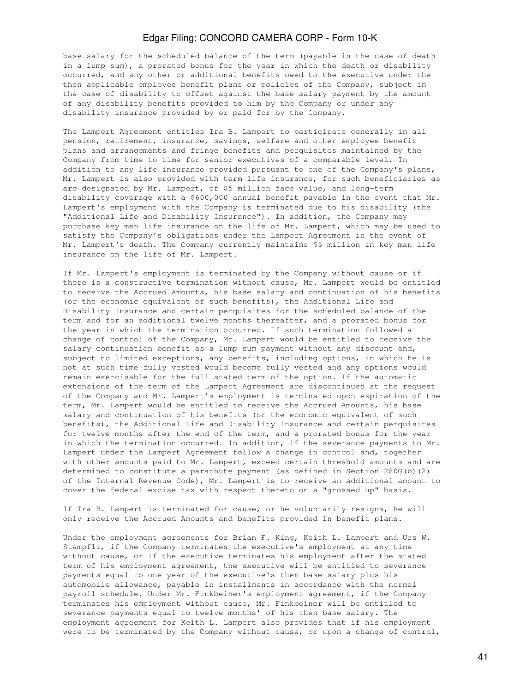base salary for the scheduled balance of the term (payable in the case of death in a lump sum), a prorated bonus for the year in which the death or disability occurred, and any other or additional benefits owed to the executive under the then applicable employee benefit plans or policies of the Company, subject in the case of disability to offset against the base salary payment by the amount of any disability benefits provided to him by the Company or under any disability insurance provided by or paid for by the Company.

The Lampert Agreement entitles Ira B. Lampert to participate generally in all pension, retirement, insurance, savings, welfare and other employee benefit plans and arrangements and fringe benefits and perquisites maintained by the Company from time to time for senior executives of a comparable level. In addition to any life insurance provided pursuant to one of the Company's plans, Mr. Lampert is also provided with term life insurance, for such beneficiaries as are designated by Mr. Lampert, of \$5 million face value, and long-term disability coverage with a \$600,000 annual benefit payable in the event that Mr. Lampert's employment with the Company is terminated due to his disability (the "Additional Life and Disability Insurance"). In addition, the Company may purchase key man life insurance on the life of Mr. Lampert, which may be used to satisfy the Company's obligations under the Lampert Agreement in the event of Mr. Lampert's death. The Company currently maintains \$5 million in key man life insurance on the life of Mr. Lampert.

If Mr. Lampert's employment is terminated by the Company without cause or if there is a constructive termination without cause, Mr. Lampert would be entitled to receive the Accrued Amounts, his base salary and continuation of his benefits (or the economic equivalent of such benefits), the Additional Life and Disability Insurance and certain perquisites for the scheduled balance of the term and for an additional twelve months thereafter, and a prorated bonus for the year in which the termination occurred. If such termination followed a change of control of the Company, Mr. Lampert would be entitled to receive the salary continuation benefit as a lump sum payment without any discount and, subject to limited exceptions, any benefits, including options, in which he is not at such time fully vested would become fully vested and any options would remain exercisable for the full stated term of the option. If the automatic extensions of the term of the Lampert Agreement are discontinued at the request of the Company and Mr. Lampert's employment is terminated upon expiration of the term, Mr. Lampert would be entitled to receive the Accrued Amounts, his base salary and continuation of his benefits (or the economic equivalent of such benefits), the Additional Life and Disability Insurance and certain perquisites for twelve months after the end of the term, and a prorated bonus for the year in which the termination occurred. In addition, if the severance payments to Mr. Lampert under the Lampert Agreement follow a change in control and, together with other amounts paid to Mr. Lampert, exceed certain threshold amounts and are determined to constitute a parachute payment (as defined in Section 280G(b)(2) of the Internal Revenue Code), Mr. Lampert is to receive an additional amount to cover the federal excise tax with respect thereto on a "grossed up" basis.

If Ira B. Lampert is terminated for cause, or he voluntarily resigns, he will only receive the Accrued Amounts and benefits provided in benefit plans.

Under the employment agreements for Brian F. King, Keith L. Lampert and Urs W. Stampfli, if the Company terminates the executive's employment at any time without cause, or if the executive terminates his employment after the stated term of his employment agreement, the executive will be entitled to severance payments equal to one year of the executive's then base salary plus his automobile allowance, payable in installments in accordance with the normal payroll schedule. Under Mr. Finkbeiner's employment agreement, if the Company terminates his employment without cause, Mr. Finkbeiner will be entitled to severance payments equal to twelve months' of his then base salary. The employment agreement for Keith L. Lampert also provides that if his employment were to be terminated by the Company without cause, or upon a change of control,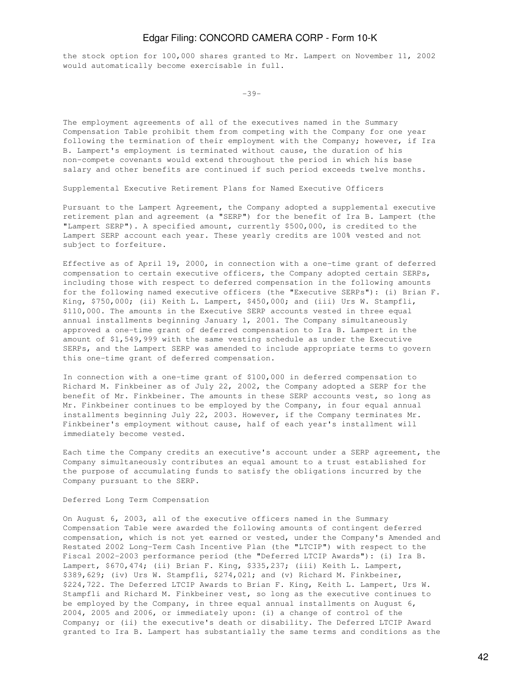the stock option for 100,000 shares granted to Mr. Lampert on November 11, 2002 would automatically become exercisable in full.

 $-39-$ 

The employment agreements of all of the executives named in the Summary Compensation Table prohibit them from competing with the Company for one year following the termination of their employment with the Company; however, if Ira B. Lampert's employment is terminated without cause, the duration of his non-compete covenants would extend throughout the period in which his base salary and other benefits are continued if such period exceeds twelve months.

Supplemental Executive Retirement Plans for Named Executive Officers

Pursuant to the Lampert Agreement, the Company adopted a supplemental executive retirement plan and agreement (a "SERP") for the benefit of Ira B. Lampert (the "Lampert SERP"). A specified amount, currently \$500,000, is credited to the Lampert SERP account each year. These yearly credits are 100% vested and not subject to forfeiture.

Effective as of April 19, 2000, in connection with a one-time grant of deferred compensation to certain executive officers, the Company adopted certain SERPs, including those with respect to deferred compensation in the following amounts for the following named executive officers (the "Executive SERPs"): (i) Brian F. King, \$750,000; (ii) Keith L. Lampert, \$450,000; and (iii) Urs W. Stampfli, \$110,000. The amounts in the Executive SERP accounts vested in three equal annual installments beginning January 1, 2001. The Company simultaneously approved a one-time grant of deferred compensation to Ira B. Lampert in the amount of \$1,549,999 with the same vesting schedule as under the Executive SERPs, and the Lampert SERP was amended to include appropriate terms to govern this one-time grant of deferred compensation.

In connection with a one-time grant of \$100,000 in deferred compensation to Richard M. Finkbeiner as of July 22, 2002, the Company adopted a SERP for the benefit of Mr. Finkbeiner. The amounts in these SERP accounts vest, so long as Mr. Finkbeiner continues to be employed by the Company, in four equal annual installments beginning July 22, 2003. However, if the Company terminates Mr. Finkbeiner's employment without cause, half of each year's installment will immediately become vested.

Each time the Company credits an executive's account under a SERP agreement, the Company simultaneously contributes an equal amount to a trust established for the purpose of accumulating funds to satisfy the obligations incurred by the Company pursuant to the SERP.

#### Deferred Long Term Compensation

On August 6, 2003, all of the executive officers named in the Summary Compensation Table were awarded the following amounts of contingent deferred compensation, which is not yet earned or vested, under the Company's Amended and Restated 2002 Long-Term Cash Incentive Plan (the "LTCIP") with respect to the Fiscal 2002-2003 performance period (the "Deferred LTCIP Awards"): (i) Ira B. Lampert, \$670,474; (ii) Brian F. King, \$335,237; (iii) Keith L. Lampert, \$389,629; (iv) Urs W. Stampfli, \$274,021; and (v) Richard M. Finkbeiner, \$224,722. The Deferred LTCIP Awards to Brian F. King, Keith L. Lampert, Urs W. Stampfli and Richard M. Finkbeiner vest, so long as the executive continues to be employed by the Company, in three equal annual installments on August 6, 2004, 2005 and 2006, or immediately upon: (i) a change of control of the Company; or (ii) the executive's death or disability. The Deferred LTCIP Award granted to Ira B. Lampert has substantially the same terms and conditions as the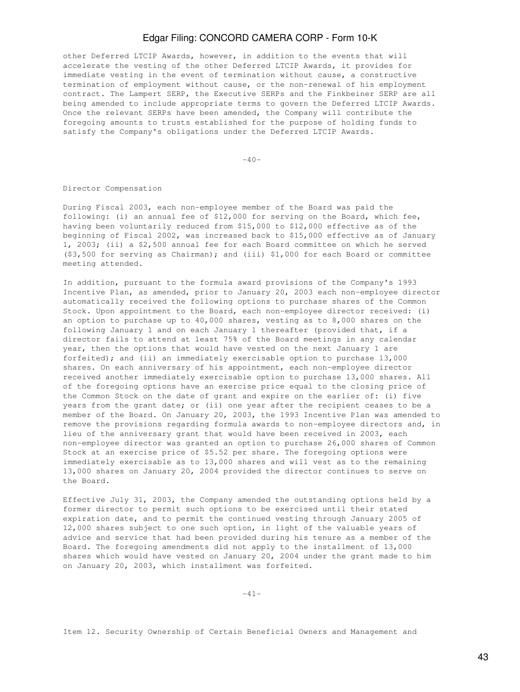other Deferred LTCIP Awards, however, in addition to the events that will accelerate the vesting of the other Deferred LTCIP Awards, it provides for immediate vesting in the event of termination without cause, a constructive termination of employment without cause, or the non-renewal of his employment contract. The Lampert SERP, the Executive SERPs and the Finkbeiner SERP are all being amended to include appropriate terms to govern the Deferred LTCIP Awards. Once the relevant SERPs have been amended, the Company will contribute the foregoing amounts to trusts established for the purpose of holding funds to satisfy the Company's obligations under the Deferred LTCIP Awards.

 $-40-$ 

Director Compensation

During Fiscal 2003, each non-employee member of the Board was paid the following: (i) an annual fee of \$12,000 for serving on the Board, which fee, having been voluntarily reduced from \$15,000 to \$12,000 effective as of the beginning of Fiscal 2002, was increased back to \$15,000 effective as of January 1, 2003; (ii) a \$2,500 annual fee for each Board committee on which he served (\$3,500 for serving as Chairman); and (iii) \$1,000 for each Board or committee meeting attended.

In addition, pursuant to the formula award provisions of the Company's 1993 Incentive Plan, as amended, prior to January 20, 2003 each non-employee director automatically received the following options to purchase shares of the Common Stock. Upon appointment to the Board, each non-employee director received: (i) an option to purchase up to 40,000 shares, vesting as to 8,000 shares on the following January 1 and on each January 1 thereafter (provided that, if a director fails to attend at least 75% of the Board meetings in any calendar year, then the options that would have vested on the next January 1 are forfeited); and (ii) an immediately exercisable option to purchase 13,000 shares. On each anniversary of his appointment, each non-employee director received another immediately exercisable option to purchase 13,000 shares. All of the foregoing options have an exercise price equal to the closing price of the Common Stock on the date of grant and expire on the earlier of: (i) five years from the grant date; or (ii) one year after the recipient ceases to be a member of the Board. On January 20, 2003, the 1993 Incentive Plan was amended to remove the provisions regarding formula awards to non-employee directors and, in lieu of the anniversary grant that would have been received in 2003, each non-employee director was granted an option to purchase 26,000 shares of Common Stock at an exercise price of \$5.52 per share. The foregoing options were immediately exercisable as to 13,000 shares and will vest as to the remaining 13,000 shares on January 20, 2004 provided the director continues to serve on the Board.

Effective July 31, 2003, the Company amended the outstanding options held by a former director to permit such options to be exercised until their stated expiration date, and to permit the continued vesting through January 2005 of 12,000 shares subject to one such option, in light of the valuable years of advice and service that had been provided during his tenure as a member of the Board. The foregoing amendments did not apply to the installment of 13,000 shares which would have vested on January 20, 2004 under the grant made to him on January 20, 2003, which installment was forfeited.

-41-

Item 12. Security Ownership of Certain Beneficial Owners and Management and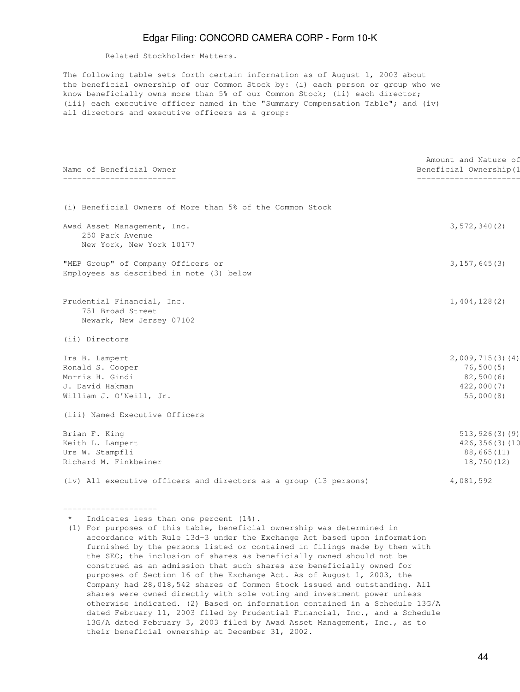Related Stockholder Matters.

The following table sets forth certain information as of August 1, 2003 about the beneficial ownership of our Common Stock by: (i) each person or group who we know beneficially owns more than 5% of our Common Stock; (ii) each director; (iii) each executive officer named in the "Summary Compensation Table"; and (iv) all directors and executive officers as a group:

| Name of Beneficial Owner                                                  | Amount and Nature of<br>Beneficial Ownership(1 |
|---------------------------------------------------------------------------|------------------------------------------------|
|                                                                           | ________________                               |
| (i) Beneficial Owners of More than 5% of the Common Stock                 |                                                |
| Awad Asset Management, Inc.                                               | 3, 572, 340(2)                                 |
| 250 Park Avenue                                                           |                                                |
| New York, New York 10177                                                  |                                                |
| "MEP Group" of Company Officers or                                        | 3, 157, 645(3)                                 |
| Employees as described in note (3) below                                  |                                                |
| Prudential Financial, Inc.                                                | 1,404,128(2)                                   |
| 751 Broad Street                                                          |                                                |
| Newark, New Jersey 07102                                                  |                                                |
| (ii) Directors                                                            |                                                |
| Ira B. Lampert                                                            | 2,009,715(3)(4)                                |
| Ronald S. Cooper                                                          | 76, 500(5)                                     |
| Morris H. Gindi                                                           | 82,500(6)                                      |
| J. David Hakman                                                           | 422,000(7)                                     |
| William J. O'Neill, Jr.                                                   | 55,000(8)                                      |
| (iii) Named Executive Officers                                            |                                                |
| Brian F. King                                                             | 513, 926(3)(9)                                 |
| Keith L. Lampert                                                          | $426, 356(3)$ (10                              |
| Urs W. Stampfli                                                           | 88,665(11)                                     |
| Richard M. Finkbeiner                                                     | 18,750 (12)                                    |
| (iv) All executive officers and directors as a group (13 persons)         | 4,081,592                                      |
|                                                                           |                                                |
| * Indicates less than one percent (1%).                                   |                                                |
| (1) For purposes of this table, beneficial ownership was determined in    |                                                |
| accordance with Rule 13d-3 under the Exchange Act based upon information  |                                                |
| furnished by the persons listed or contained in filings made by them with |                                                |

the SEC; the inclusion of shares as beneficially owned should not be construed as an admission that such shares are beneficially owned for purposes of Section 16 of the Exchange Act. As of August 1, 2003, the Company had 28,018,542 shares of Common Stock issued and outstanding. All shares were owned directly with sole voting and investment power unless otherwise indicated. (2) Based on information contained in a Schedule 13G/A dated February 11, 2003 filed by Prudential Financial, Inc., and a Schedule 13G/A dated February 3, 2003 filed by Awad Asset Management, Inc., as to their beneficial ownership at December 31, 2002.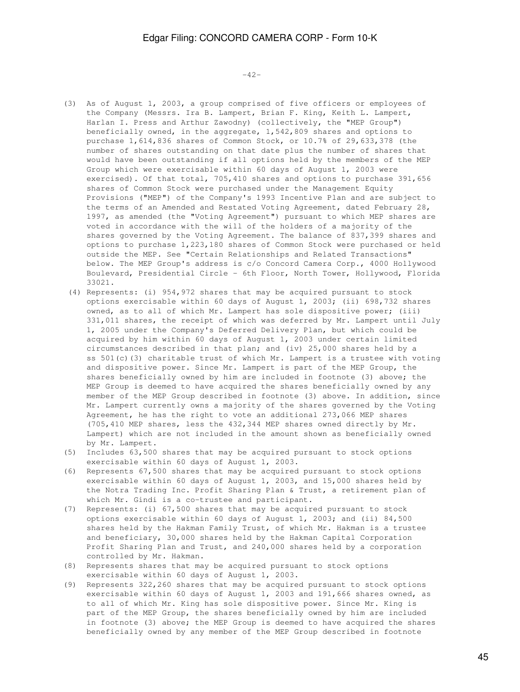$-42-$ 

- (3) As of August 1, 2003, a group comprised of five officers or employees of the Company (Messrs. Ira B. Lampert, Brian F. King, Keith L. Lampert, Harlan I. Press and Arthur Zawodny) (collectively, the "MEP Group") beneficially owned, in the aggregate, 1,542,809 shares and options to purchase 1,614,836 shares of Common Stock, or 10.7% of 29,633,378 (the number of shares outstanding on that date plus the number of shares that would have been outstanding if all options held by the members of the MEP Group which were exercisable within 60 days of August 1, 2003 were exercised). Of that total, 705,410 shares and options to purchase 391,656 shares of Common Stock were purchased under the Management Equity Provisions ("MEP") of the Company's 1993 Incentive Plan and are subject to the terms of an Amended and Restated Voting Agreement, dated February 28, 1997, as amended (the "Voting Agreement") pursuant to which MEP shares are voted in accordance with the will of the holders of a majority of the shares governed by the Voting Agreement. The balance of 837,399 shares and options to purchase 1,223,180 shares of Common Stock were purchased or held outside the MEP. See "Certain Relationships and Related Transactions" below. The MEP Group's address is c/o Concord Camera Corp., 4000 Hollywood Boulevard, Presidential Circle - 6th Floor, North Tower, Hollywood, Florida 33021.
- (4) Represents: (i) 954,972 shares that may be acquired pursuant to stock options exercisable within 60 days of August 1, 2003; (ii) 698,732 shares owned, as to all of which Mr. Lampert has sole dispositive power; (iii) 331,011 shares, the receipt of which was deferred by Mr. Lampert until July 1, 2005 under the Company's Deferred Delivery Plan, but which could be acquired by him within 60 days of August 1, 2003 under certain limited circumstances described in that plan; and (iv) 25,000 shares held by a ss 501(c)(3) charitable trust of which Mr. Lampert is a trustee with voting and dispositive power. Since Mr. Lampert is part of the MEP Group, the shares beneficially owned by him are included in footnote (3) above; the MEP Group is deemed to have acquired the shares beneficially owned by any member of the MEP Group described in footnote (3) above. In addition, since Mr. Lampert currently owns a majority of the shares governed by the Voting Agreement, he has the right to vote an additional 273,066 MEP shares (705,410 MEP shares, less the 432,344 MEP shares owned directly by Mr. Lampert) which are not included in the amount shown as beneficially owned by Mr. Lampert.
- (5) Includes 63,500 shares that may be acquired pursuant to stock options exercisable within 60 days of August 1, 2003.
- (6) Represents 67,500 shares that may be acquired pursuant to stock options exercisable within 60 days of August 1, 2003, and 15,000 shares held by the Notra Trading Inc. Profit Sharing Plan & Trust, a retirement plan of which Mr. Gindi is a co-trustee and participant.
- (7) Represents: (i) 67,500 shares that may be acquired pursuant to stock options exercisable within 60 days of August 1, 2003; and (ii) 84,500 shares held by the Hakman Family Trust, of which Mr. Hakman is a trustee and beneficiary, 30,000 shares held by the Hakman Capital Corporation Profit Sharing Plan and Trust, and 240,000 shares held by a corporation controlled by Mr. Hakman.
- (8) Represents shares that may be acquired pursuant to stock options exercisable within 60 days of August 1, 2003.
- (9) Represents 322,260 shares that may be acquired pursuant to stock options exercisable within 60 days of August 1, 2003 and 191,666 shares owned, as to all of which Mr. King has sole dispositive power. Since Mr. King is part of the MEP Group, the shares beneficially owned by him are included in footnote (3) above; the MEP Group is deemed to have acquired the shares beneficially owned by any member of the MEP Group described in footnote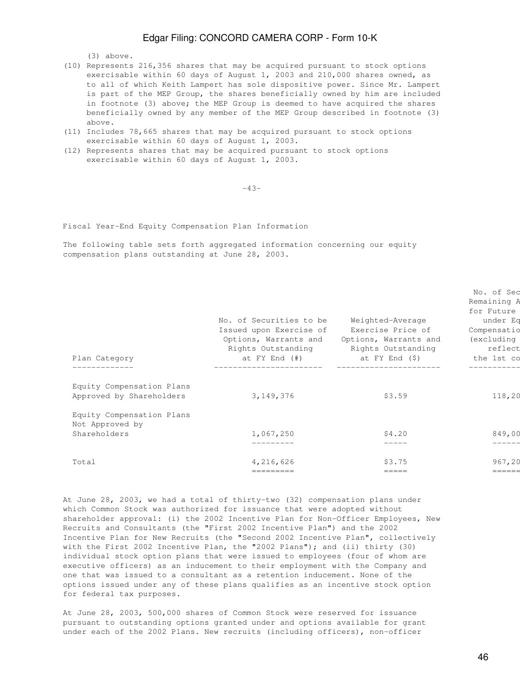(3) above.

- (10) Represents 216,356 shares that may be acquired pursuant to stock options exercisable within 60 days of August 1, 2003 and 210,000 shares owned, as to all of which Keith Lampert has sole dispositive power. Since Mr. Lampert is part of the MEP Group, the shares beneficially owned by him are included in footnote (3) above; the MEP Group is deemed to have acquired the shares beneficially owned by any member of the MEP Group described in footnote (3) above.
- (11) Includes 78,665 shares that may be acquired pursuant to stock options exercisable within 60 days of August 1, 2003.
- (12) Represents shares that may be acquired pursuant to stock options exercisable within 60 days of August 1, 2003.

-43-

Fiscal Year-End Equity Compensation Plan Information

The following table sets forth aggregated information concerning our equity compensation plans outstanding at June 28, 2003.

| Plan Category                                         | No. of Securities to be<br>Issued upon Exercise of<br>Options, Warrants and<br>Rights Outstanding<br>at FY End (#) | Weighted-Average<br>Exercise Price of<br>Options, Warrants and<br>Rights Outstanding<br>at FY End (\$) | No. of Sec<br>Remaining A<br>for Future<br>under Eq<br>Compensatio<br>(excluding<br>reflect<br>the 1st co |
|-------------------------------------------------------|--------------------------------------------------------------------------------------------------------------------|--------------------------------------------------------------------------------------------------------|-----------------------------------------------------------------------------------------------------------|
|                                                       |                                                                                                                    |                                                                                                        |                                                                                                           |
| Equity Compensation Plans<br>Approved by Shareholders | 3,149,376                                                                                                          | \$3.59                                                                                                 | 118,20                                                                                                    |
| Equity Compensation Plans<br>Not Approved by          |                                                                                                                    |                                                                                                        |                                                                                                           |
| Shareholders                                          | 1,067,250                                                                                                          | \$4.20                                                                                                 | 849,00                                                                                                    |
|                                                       |                                                                                                                    |                                                                                                        |                                                                                                           |
| Total                                                 | 4,216,626                                                                                                          | \$3.75                                                                                                 | 967,20                                                                                                    |
|                                                       | =========                                                                                                          | =====                                                                                                  | ======                                                                                                    |

At June 28, 2003, we had a total of thirty-two (32) compensation plans under which Common Stock was authorized for issuance that were adopted without shareholder approval: (i) the 2002 Incentive Plan for Non-Officer Employees, New Recruits and Consultants (the "First 2002 Incentive Plan") and the 2002 Incentive Plan for New Recruits (the "Second 2002 Incentive Plan", collectively with the First 2002 Incentive Plan, the "2002 Plans"); and (ii) thirty (30) individual stock option plans that were issued to employees (four of whom are executive officers) as an inducement to their employment with the Company and one that was issued to a consultant as a retention inducement. None of the options issued under any of these plans qualifies as an incentive stock option for federal tax purposes.

At June 28, 2003, 500,000 shares of Common Stock were reserved for issuance pursuant to outstanding options granted under and options available for grant under each of the 2002 Plans. New recruits (including officers), non-officer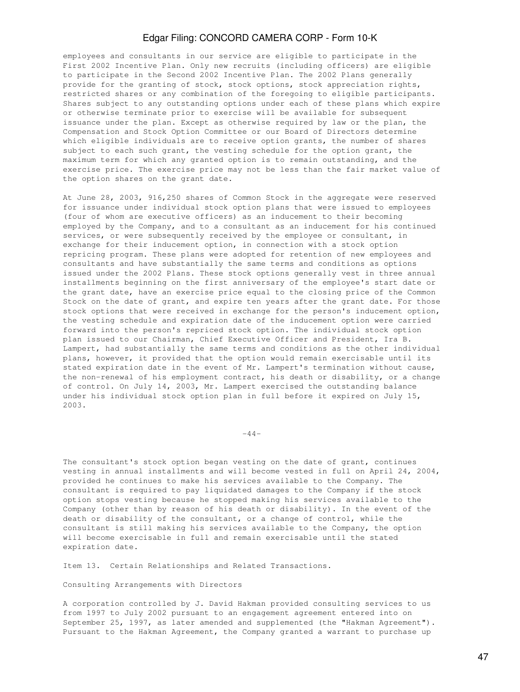employees and consultants in our service are eligible to participate in the First 2002 Incentive Plan. Only new recruits (including officers) are eligible to participate in the Second 2002 Incentive Plan. The 2002 Plans generally provide for the granting of stock, stock options, stock appreciation rights, restricted shares or any combination of the foregoing to eligible participants. Shares subject to any outstanding options under each of these plans which expire or otherwise terminate prior to exercise will be available for subsequent issuance under the plan. Except as otherwise required by law or the plan, the Compensation and Stock Option Committee or our Board of Directors determine which eligible individuals are to receive option grants, the number of shares subject to each such grant, the vesting schedule for the option grant, the maximum term for which any granted option is to remain outstanding, and the exercise price. The exercise price may not be less than the fair market value of the option shares on the grant date.

At June 28, 2003, 916,250 shares of Common Stock in the aggregate were reserved for issuance under individual stock option plans that were issued to employees (four of whom are executive officers) as an inducement to their becoming employed by the Company, and to a consultant as an inducement for his continued services, or were subsequently received by the employee or consultant, in exchange for their inducement option, in connection with a stock option repricing program. These plans were adopted for retention of new employees and consultants and have substantially the same terms and conditions as options issued under the 2002 Plans. These stock options generally vest in three annual installments beginning on the first anniversary of the employee's start date or the grant date, have an exercise price equal to the closing price of the Common Stock on the date of grant, and expire ten years after the grant date. For those stock options that were received in exchange for the person's inducement option, the vesting schedule and expiration date of the inducement option were carried forward into the person's repriced stock option. The individual stock option plan issued to our Chairman, Chief Executive Officer and President, Ira B. Lampert, had substantially the same terms and conditions as the other individual plans, however, it provided that the option would remain exercisable until its stated expiration date in the event of Mr. Lampert's termination without cause, the non-renewal of his employment contract, his death or disability, or a change of control. On July 14, 2003, Mr. Lampert exercised the outstanding balance under his individual stock option plan in full before it expired on July 15, 2003.

 $-44-$ 

The consultant's stock option began vesting on the date of grant, continues vesting in annual installments and will become vested in full on April 24, 2004, provided he continues to make his services available to the Company. The consultant is required to pay liquidated damages to the Company if the stock option stops vesting because he stopped making his services available to the Company (other than by reason of his death or disability). In the event of the death or disability of the consultant, or a change of control, while the consultant is still making his services available to the Company, the option will become exercisable in full and remain exercisable until the stated expiration date.

Item 13. Certain Relationships and Related Transactions.

Consulting Arrangements with Directors

A corporation controlled by J. David Hakman provided consulting services to us from 1997 to July 2002 pursuant to an engagement agreement entered into on September 25, 1997, as later amended and supplemented (the "Hakman Agreement"). Pursuant to the Hakman Agreement, the Company granted a warrant to purchase up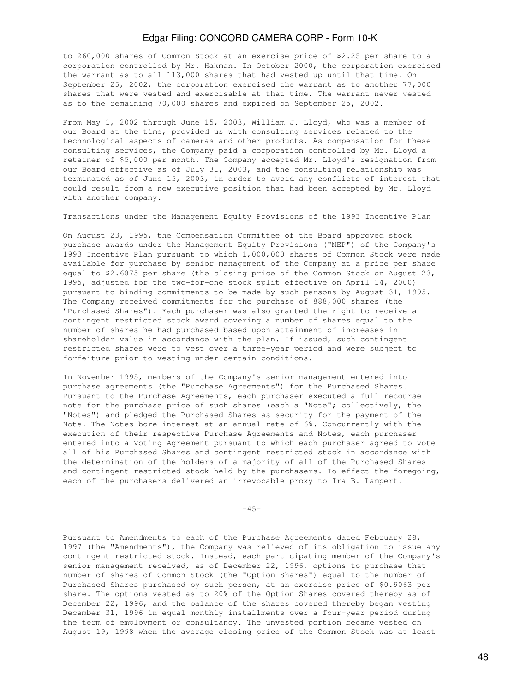to 260,000 shares of Common Stock at an exercise price of \$2.25 per share to a corporation controlled by Mr. Hakman. In October 2000, the corporation exercised the warrant as to all 113,000 shares that had vested up until that time. On September 25, 2002, the corporation exercised the warrant as to another 77,000 shares that were vested and exercisable at that time. The warrant never vested as to the remaining 70,000 shares and expired on September 25, 2002.

From May 1, 2002 through June 15, 2003, William J. Lloyd, who was a member of our Board at the time, provided us with consulting services related to the technological aspects of cameras and other products. As compensation for these consulting services, the Company paid a corporation controlled by Mr. Lloyd a retainer of \$5,000 per month. The Company accepted Mr. Lloyd's resignation from our Board effective as of July 31, 2003, and the consulting relationship was terminated as of June 15, 2003, in order to avoid any conflicts of interest that could result from a new executive position that had been accepted by Mr. Lloyd with another company.

Transactions under the Management Equity Provisions of the 1993 Incentive Plan

On August 23, 1995, the Compensation Committee of the Board approved stock purchase awards under the Management Equity Provisions ("MEP") of the Company's 1993 Incentive Plan pursuant to which 1,000,000 shares of Common Stock were made available for purchase by senior management of the Company at a price per share equal to \$2.6875 per share (the closing price of the Common Stock on August 23, 1995, adjusted for the two-for-one stock split effective on April 14, 2000) pursuant to binding commitments to be made by such persons by August 31, 1995. The Company received commitments for the purchase of 888,000 shares (the "Purchased Shares"). Each purchaser was also granted the right to receive a contingent restricted stock award covering a number of shares equal to the number of shares he had purchased based upon attainment of increases in shareholder value in accordance with the plan. If issued, such contingent restricted shares were to vest over a three-year period and were subject to forfeiture prior to vesting under certain conditions.

In November 1995, members of the Company's senior management entered into purchase agreements (the "Purchase Agreements") for the Purchased Shares. Pursuant to the Purchase Agreements, each purchaser executed a full recourse note for the purchase price of such shares (each a "Note"; collectively, the "Notes") and pledged the Purchased Shares as security for the payment of the Note. The Notes bore interest at an annual rate of 6%. Concurrently with the execution of their respective Purchase Agreements and Notes, each purchaser entered into a Voting Agreement pursuant to which each purchaser agreed to vote all of his Purchased Shares and contingent restricted stock in accordance with the determination of the holders of a majority of all of the Purchased Shares and contingent restricted stock held by the purchasers. To effect the foregoing, each of the purchasers delivered an irrevocable proxy to Ira B. Lampert.

 $-45-$ 

Pursuant to Amendments to each of the Purchase Agreements dated February 28, 1997 (the "Amendments"), the Company was relieved of its obligation to issue any contingent restricted stock. Instead, each participating member of the Company's senior management received, as of December 22, 1996, options to purchase that number of shares of Common Stock (the "Option Shares") equal to the number of Purchased Shares purchased by such person, at an exercise price of \$0.9063 per share. The options vested as to 20% of the Option Shares covered thereby as of December 22, 1996, and the balance of the shares covered thereby began vesting December 31, 1996 in equal monthly installments over a four-year period during the term of employment or consultancy. The unvested portion became vested on August 19, 1998 when the average closing price of the Common Stock was at least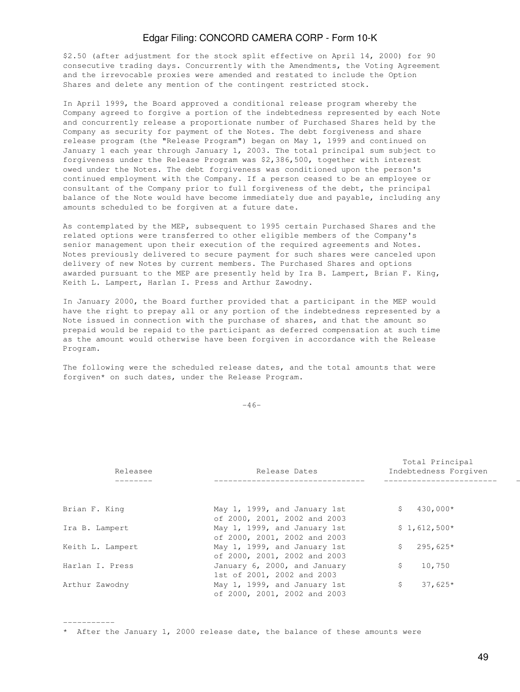\$2.50 (after adjustment for the stock split effective on April 14, 2000) for 90 consecutive trading days. Concurrently with the Amendments, the Voting Agreement and the irrevocable proxies were amended and restated to include the Option Shares and delete any mention of the contingent restricted stock.

In April 1999, the Board approved a conditional release program whereby the Company agreed to forgive a portion of the indebtedness represented by each Note and concurrently release a proportionate number of Purchased Shares held by the Company as security for payment of the Notes. The debt forgiveness and share release program (the "Release Program") began on May 1, 1999 and continued on January 1 each year through January 1, 2003. The total principal sum subject to forgiveness under the Release Program was \$2,386,500, together with interest owed under the Notes. The debt forgiveness was conditioned upon the person's continued employment with the Company. If a person ceased to be an employee or consultant of the Company prior to full forgiveness of the debt, the principal balance of the Note would have become immediately due and payable, including any amounts scheduled to be forgiven at a future date.

As contemplated by the MEP, subsequent to 1995 certain Purchased Shares and the related options were transferred to other eligible members of the Company's senior management upon their execution of the required agreements and Notes. Notes previously delivered to secure payment for such shares were canceled upon delivery of new Notes by current members. The Purchased Shares and options awarded pursuant to the MEP are presently held by Ira B. Lampert, Brian F. King, Keith L. Lampert, Harlan I. Press and Arthur Zawodny.

In January 2000, the Board further provided that a participant in the MEP would have the right to prepay all or any portion of the indebtedness represented by a Note issued in connection with the purchase of shares, and that the amount so prepaid would be repaid to the participant as deferred compensation at such time as the amount would otherwise have been forgiven in accordance with the Release Program.

The following were the scheduled release dates, and the total amounts that were forgiven\* on such dates, under the Release Program.

 $-46-$ 

| Releasee         | Release Dates                                                | Total Principal<br>Indebtedness Forgiven |
|------------------|--------------------------------------------------------------|------------------------------------------|
|                  |                                                              |                                          |
| Brian F. King    | May 1, 1999, and January 1st<br>of 2000, 2001, 2002 and 2003 | 430,000*<br>S.                           |
| Ira B. Lampert   | May 1, 1999, and January 1st<br>of 2000, 2001, 2002 and 2003 | $$1,612,500*$                            |
| Keith L. Lampert | May 1, 1999, and January 1st<br>of 2000, 2001, 2002 and 2003 | $295,625*$<br>\$                         |
| Harlan I. Press  | January 6, 2000, and January<br>1st of 2001, 2002 and 2003   | 10,750<br>\$                             |
| Arthur Zawodny   | May 1, 1999, and January 1st<br>of 2000, 2001, 2002 and 2003 | $37,625*$<br>\$                          |

\* After the January 1, 2000 release date, the balance of these amounts were

-----------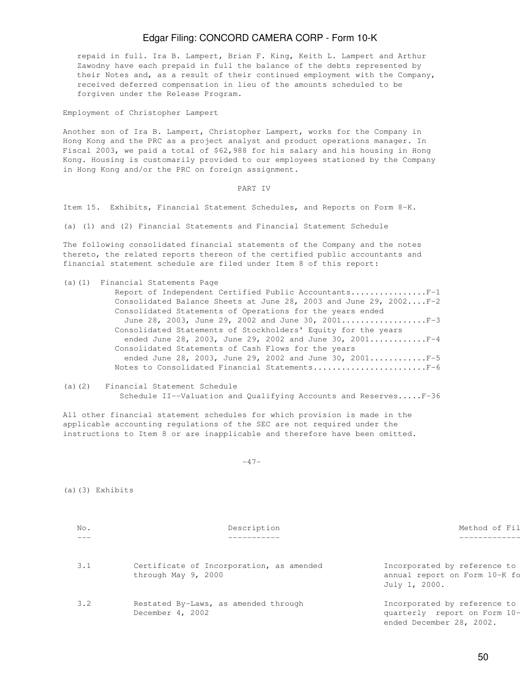repaid in full. Ira B. Lampert, Brian F. King, Keith L. Lampert and Arthur Zawodny have each prepaid in full the balance of the debts represented by their Notes and, as a result of their continued employment with the Company, received deferred compensation in lieu of the amounts scheduled to be forgiven under the Release Program.

Employment of Christopher Lampert

Another son of Ira B. Lampert, Christopher Lampert, works for the Company in Hong Kong and the PRC as a project analyst and product operations manager. In Fiscal 2003, we paid a total of \$62,988 for his salary and his housing in Hong Kong. Housing is customarily provided to our employees stationed by the Company in Hong Kong and/or the PRC on foreign assignment.

PART IV

Item 15. Exhibits, Financial Statement Schedules, and Reports on Form 8-K.

(a) (1) and (2) Financial Statements and Financial Statement Schedule

The following consolidated financial statements of the Company and the notes thereto, the related reports thereon of the certified public accountants and financial statement schedule are filed under Item 8 of this report:

(a)(1) Financial Statements Page

| Report of Independent Certified Public AccountantsF-1             |
|-------------------------------------------------------------------|
| Consolidated Balance Sheets at June 28, 2003 and June 29, 2002F-2 |
| Consolidated Statements of Operations for the years ended         |
| June 28, 2003, June 29, 2002 and June 30, 2001F-3                 |
| Consolidated Statements of Stockholders' Equity for the years     |
| ended June 28, 2003, June 29, 2002 and June 30, 2001F-4           |
| Consolidated Statements of Cash Flows for the years               |
| ended June 28, 2003, June 29, 2002 and June 30, 2001F-5           |
| Notes to Consolidated Financial StatementsF-6                     |
|                                                                   |

(a)(2) Financial Statement Schedule Schedule II--Valuation and Qualifying Accounts and Reserves.....F-36

All other financial statement schedules for which provision is made in the applicable accounting regulations of the SEC are not required under the instructions to Item 8 or are inapplicable and therefore have been omitted.

-47-

(a)(3) Exhibits

| No. | Description                                                     | Method of Fil                                                                            |
|-----|-----------------------------------------------------------------|------------------------------------------------------------------------------------------|
| --- |                                                                 |                                                                                          |
| 3.1 | Certificate of Incorporation, as amended<br>through May 9, 2000 | Incorporated by reference to<br>annual report on Form 10-K fo<br>July 1, 2000.           |
| 3.2 | Restated By-Laws, as amended through<br>December 4, 2002        | Incorporated by reference to<br>quarterly report on Form 10-<br>ended December 28, 2002. |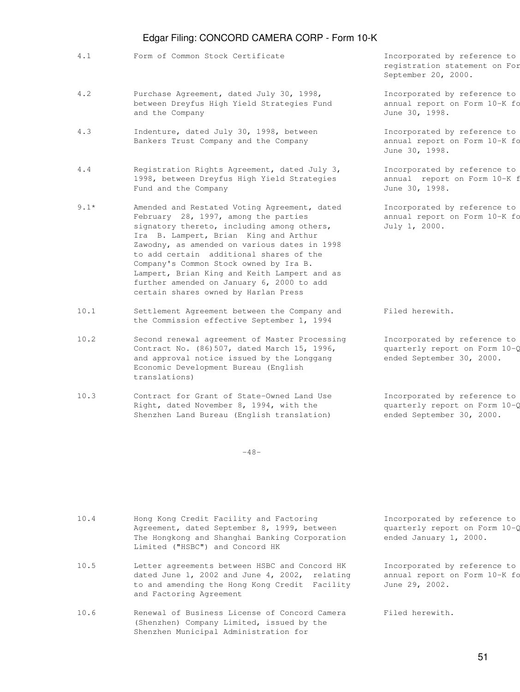- 4.1 Form of Common Stock Certificate Incorporated by reference to
- 4.2 Purchase Agreement, dated July 30, 1998, Incorporated by reference to between Dreyfus High Yield Strategies Fund annual report on Form 10-K for and the Company and the Company and the Company and the Company and the Company and the  $J$ une 30, 1998.
- 4.3 Indenture, dated July 30, 1998, between Incorporated by reference to Bankers Trust Company and the Company annual report on Form 10-K form
- 4.4 Registration Rights Agreement, dated July 3, Incorporated by reference to 1998, between Dreyfus High Yield Strategies annual report on Form 10-K for Fund and the Company and the Company and the Company and the Company and the Company and the Company and the Company and the Company and the Company and the Company and the Company and the Company and the Company and the C
- 9.1\* Amended and Restated Voting Agreement, dated Incorporated by reference to February 28, 1997, among the parties annual report on Form 10-K form signatory thereto, including among others, July 1, 2000. Ira B. Lampert, Brian King and Arthur Zawodny, as amended on various dates in 1998 to add certain additional shares of the Company's Common Stock owned by Ira B. Lampert, Brian King and Keith Lampert and as further amended on January 6, 2000 to add certain shares owned by Harlan Press
- 10.1 Settlement Agreement between the Company and Filed herewith. the Commission effective September 1, 1994
- 10.2 Second renewal agreement of Master Processing Incorporated by reference to Contract No. (86)507, dated March 15, 1996,  $q$ uarterly report on Form 10-Q and approval notice issued by the Longgang ended September 30, 2000. Economic Development Bureau (English translations)
- 10.3 Contract for Grant of State-Owned Land Use Incorporated by reference to Right, dated November 8, 1994, with the  $q$  quarterly report on Form 10- $\zeta$ Shenzhen Land Bureau (English translation) ended September 30, 2000.

Shenzhen Municipal Administration for

 $-48-$ 

10.4 Hong Kong Credit Facility and Factoring Theorporated by reference to Agreement, dated September 8, 1999, between quarterly report on Form  $10-\zeta$  The Hongkong and Shanghai Banking Corporation ended January 1, 2000. Limited ("HSBC") and Concord HK 10.5 Letter agreements between HSBC and Concord HK Incorporated by reference to dated June 1, 2002 and June 4, 2002, relating annual report on Form  $10-K$  for to and amending the Hong Kong Credit Facility June 29, 2002. and Factoring Agreement 10.6 Renewal of Business License of Concord Camera Filed herewith. (Shenzhen) Company Limited, issued by the

registration statement on For September 20, 2000.

June 30, 1998.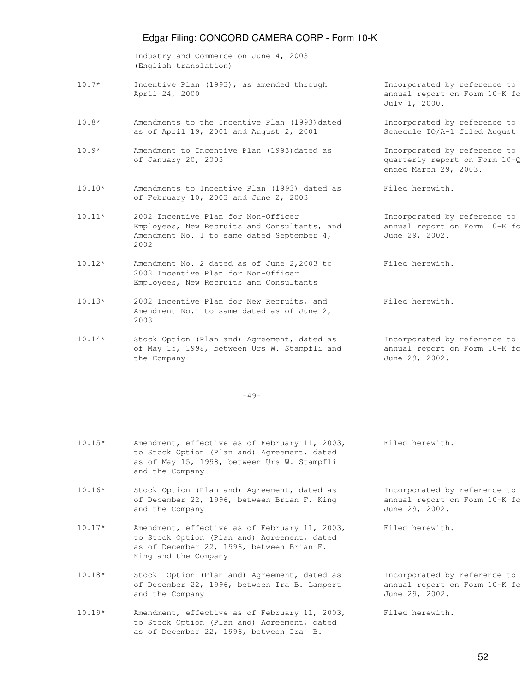Industry and Commerce on June 4, 2003 (English translation)

- 10.7\* Incentive Plan (1993), as amended through Incorporated by reference to April 24, 2000 annual report on Form 10-K form  $\frac{1}{2}$
- 10.8\* Amendments to the Incentive Plan (1993)dated Incorporated by reference to as of April 19, 2001 and August 2, 2001 Schedule  $TO/A-1$  filed August
- $10.9*$  Amendment to Incentive Plan (1993)dated as Incorporated by reference to of January 20, 2003 **discussed as a contract on Form 10-Q** for the quarterly report on Form 10-Q
- 10.10\* Amendments to Incentive Plan (1993) dated as Filed herewith. of February 10, 2003 and June 2, 2003
- 10.11\* 2002 Incentive Plan for Non-Officer Incorporated by reference to Employees, New Recruits and Consultants, and annual report on Form 10-K for Amendment No. 1 to same dated September 4, June 29, 2002. 2002
- 10.12\* Amendment No. 2 dated as of June 2,2003 to Filed herewith. 2002 Incentive Plan for Non-Officer Employees, New Recruits and Consultants
- 10.13\* 2002 Incentive Plan for New Recruits, and Filed herewith. Amendment No.1 to same dated as of June 2, 2003
- $10.14*$  Stock Option (Plan and) Agreement, dated as Incorporated by reference to of May 15, 1998, between Urs W. Stampfli and annual report on Form 10-K for the Company  $J$ une 29, 2002.

 $-49-$ 

- 10.15\* Amendment, effective as of February 11, 2003, Filed herewith. to Stock Option (Plan and) Agreement, dated as of May 15, 1998, between Urs W. Stampfli and the Company
- 10.16\* Stock Option (Plan and) Agreement, dated as Incorporated by reference to of December 22, 1996, between Brian F. King annual report on Form 10-K for and the Company  $J$ une 29, 2002.
- 10.17\* Amendment, effective as of February 11, 2003, Filed herewith. to Stock Option (Plan and) Agreement, dated as of December 22, 1996, between Brian F. King and the Company
- 10.18\* Stock Option (Plan and) Agreement, dated as Incorporated by reference to of December 22, 1996, between Ira B. Lampert annual report on Form 10-K for and the Company  $June 29$ , 2002.
- 10.19\* Amendment, effective as of February 11, 2003, Filed herewith. to Stock Option (Plan and) Agreement, dated as of December 22, 1996, between Ira B.

July 1, 2000.

ended March 29, 2003.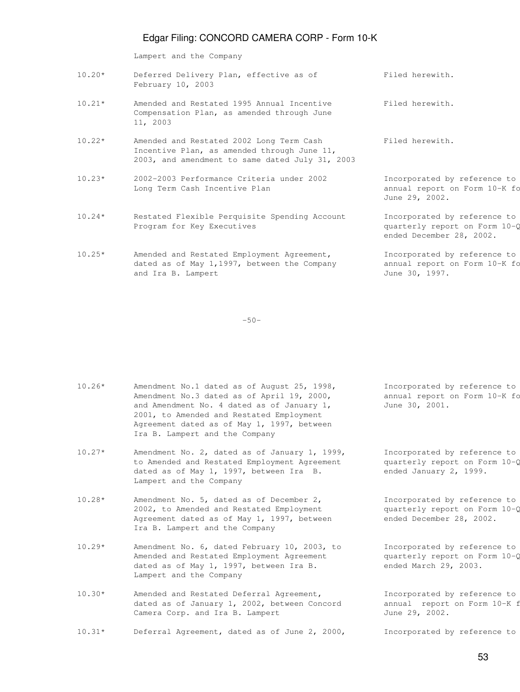Lampert and the Company

| $10.20*$ | Deferred Delivery Plan, effective as of<br>February 10, 2003                                                                               | Filed herewith.                                                                           |
|----------|--------------------------------------------------------------------------------------------------------------------------------------------|-------------------------------------------------------------------------------------------|
| $10.21*$ | Amended and Restated 1995 Annual Incentive<br>Compensation Plan, as amended through June<br>11, 2003                                       | Filed herewith.                                                                           |
| $10.22*$ | Amended and Restated 2002 Long Term Cash<br>Incentive Plan, as amended through June 11,<br>2003, and amendment to same dated July 31, 2003 | Filed herewith.                                                                           |
| $10.23*$ | 2002-2003 Performance Criteria under 2002<br>Long Term Cash Incentive Plan                                                                 | Incorporated by reference to<br>annual report on Form 10-K fo<br>June 29, 2002.           |
| $10.24*$ | Restated Flexible Perquisite Spending Account<br>Program for Key Executives                                                                | Incorporated by reference to<br>quarterly report on Form 10-Q<br>ended December 28, 2002. |
| $10.25*$ | Amended and Restated Employment Agreement,<br>dated as of May 1,1997, between the Company<br>and Ira B. Lampert                            | Incorporated by reference to<br>annual report on Form 10-K fo<br>June 30, 1997.           |

-50-

| $10.26*$ | Amendment No.1 dated as of August 25, 1998, |
|----------|---------------------------------------------|
|          | Amendment No.3 dated as of April 19, 2000,  |
|          | and Amendment No. 4 dated as of January 1,  |
|          | 2001, to Amended and Restated Employment    |
|          | Agreement dated as of May 1, 1997, between  |
|          | Ira B. Lampert and the Company              |
|          |                                             |

 $10.27*$  Amendment No. 2, dated as of January 1, 1999, Incorporated by reference to to Amended and Restated Employment Agreement quarterly report on Form 10-Q dated as of May 1, 1997, between Ira B. ended January 2, 1999. Lampert and the Company

- $10.28*$  Amendment No. 5, dated as of December 2,  $\qquad \qquad$  Incorporated by reference to 2002, to Amended and Restated Employment quarterly report on Form 10-Q Agreement dated as of May 1, 1997, between ended December 28, 2002. Ira B. Lampert and the Company
- $10.29*$  Amendment No. 6, dated February 10, 2003, to Incorporated by reference to Amended and Restated Employment Agreement quarterly report on Form 10-Q dated as of May 1, 1997, between Ira B. ended March 29, 2003. Lampert and the Company
- $10.30*$  Amended and Restated Deferral Agreement,  $\qquad \qquad$  Incorporated by reference to dated as of January 1, 2002, between Concord annual report on Form 10-K for Camera Corp. and Ira B. Lampert June 29, 2002.
- $10.31*$  Deferral Agreement, dated as of June 2, 2000, Incorporated by reference to

Incorporated by reference to annual report on Form 10-K form June 30, 2001.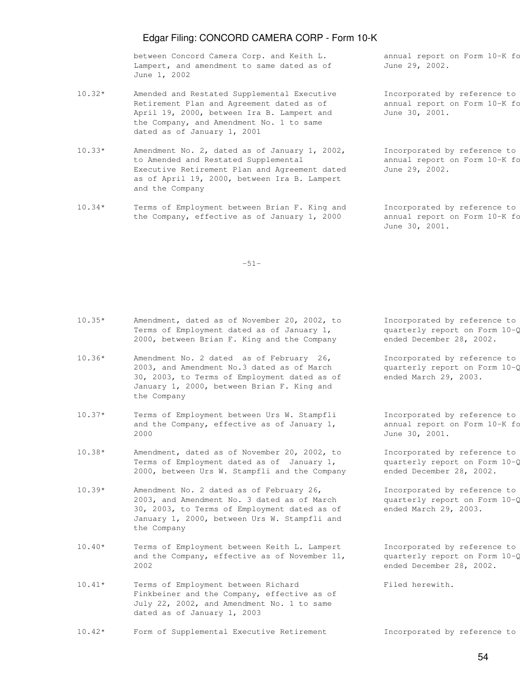between Concord Camera Corp. and Keith L. annual report on Form 10-K form Lampert, and amendment to same dated as of June 29, 2002. June 1, 2002

- 10.32\* Amended and Restated Supplemental Executive Incorporated by reference to Retirement Plan and Agreement dated as of annual report on Form 10-K form April 19, 2000, between Ira B. Lampert and June 30, 2001. the Company, and Amendment No. 1 to same dated as of January 1, 2001
- $10.33*$  Amendment No. 2, dated as of January 1, 2002, Incorporated by reference to to Amended and Restated Supplemental annual report on Form 10-K form Executive Retirement Plan and Agreement dated June 29, 2002. as of April 19, 2000, between Ira B. Lampert and the Company
- 10.34\* Terms of Employment between Brian F. King and Incorporated by reference to the Company, effective as of January 1, 2000 annual report on Form 10-K form

June 30, 2001.

-51-

 2000, between Brian F. King and the Company ended December 28, 2002.  $10.36*$  Amendment No. 2 dated as of February 26, Incorporated by reference to 2003, and Amendment No.3 dated as of March quarterly report on Form 10-Q 30, 2003, to Terms of Employment dated as of ended March 29, 2003. January 1, 2000, between Brian F. King and the Company  $10.37*$  Terms of Employment between Urs W. Stampfli Incorporated by reference to and the Company, effective as of January 1, annual report on Form  $10-K$  for 2000 June 30, 2001. 10.38\* Amendment, dated as of November 20, 2002, to Incorporated by reference to Terms of Employment dated as of January 1,  $quarterly report on Form 10-\mathcal{Q}$  2000, between Urs W. Stampfli and the Company ended December 28, 2002.  $10.39*$  Amendment No. 2 dated as of February 26, Theorporated by reference to 2003, and Amendment No. 3 dated as of March  $quarterly$  report on Form  $10-\zeta$  30, 2003, to Terms of Employment dated as of ended March 29, 2003. January 1, 2000, between Urs W. Stampfli and the Company  $10.40*$  Terms of Employment between Keith L. Lampert Incorporated by reference to and the Company, effective as of November 11, quarterly report on Form  $10-\zeta$  2002 ended December 28, 2002. 10.41\* Terms of Employment between Richard Filed herewith. Finkbeiner and the Company, effective as of July 22, 2002, and Amendment No. 1 to same dated as of January 1, 2003 10.42\* Form of Supplemental Executive Retirement Incorporated by reference to

 $10.35*$  Amendment, dated as of November 20, 2002, to Incorporated by reference to

Terms of Employment dated as of January 1,  $q$  quarterly report on Form  $10-\zeta$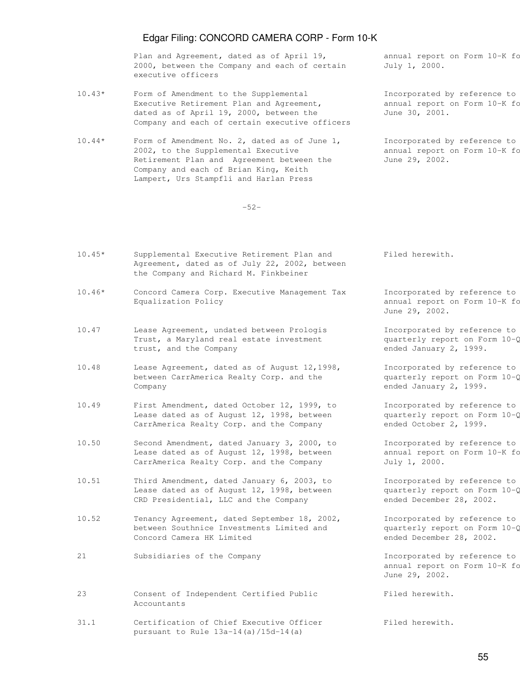Plan and Agreement, dated as of April 19, annual report on Form 10-K for 2000, between the Company and each of certain July 1, 2000. executive officers

- 10.43\* Form of Amendment to the Supplemental Incorporated by reference to Executive Retirement Plan and Agreement, annual report on Form 10-K form dated as of April 19, 2000, between the June 30, 2001. Company and each of certain executive officers
- $10.44*$  Form of Amendment No. 2, dated as of June 1, Incorporated by reference to 2002, to the Supplemental Executive annual report on Form 10-K form Retirement Plan and Agreement between the June 29, 2002. Company and each of Brian King, Keith Lampert, Urs Stampfli and Harlan Press

-52-

- 10.45\* Supplemental Executive Retirement Plan and Filed herewith. Agreement, dated as of July 22, 2002, between the Company and Richard M. Finkbeiner
- 10.46\* Concord Camera Corp. Executive Management Tax Incorporated by reference to Equalization Policy annual report on Form 10-K form the year ended the year ended the year ended the year ended
- 10.47 Lease Agreement, undated between Prologis Sand Company Incorporated by reference to Trust, a Maryland real estate investment  $q$  quarterly report on Form  $10-\zeta$ trust, and the Company ended January 2, 1999.
- 10.48 Lease Agreement, dated as of August 12,1998, Incorporated by reference to between CarrAmerica Realty Corp. and the quarterly report on Form 10-Q Company ended January 2, 1999.
- 10.49 First Amendment, dated October 12, 1999, to Incorporated by reference to Lease dated as of August 12, 1998, between  $\frac{10-\text{C}}{\text{CarrAmerican}}$  report on Form 10- $\text{CarrAmerican}}$ CarrAmerica Realty Corp. and the Company
- 10.50 Second Amendment, dated January 3, 2000, to Incorporated by reference to Lease dated as of August 12, 1998, between annual report on Form 10-K form CarrAmerica Realty Corp. and the Company July 1, 2000.
- 10.51 Third Amendment, dated January 6, 2003, to Incorporated by reference to Lease dated as of August 12, 1998, between  $q$ uarterly report on Form  $10-\zeta$ CRD Presidential, LLC and the Company ended December 28, 2002.
- 10.52 Tenancy Agreement, dated September 18, 2002, Incorporated by reference to between Southnice Investments Limited and quarterly report on Form 10-Q Concord Camera HK Limited ended December 28, 2002.
- 21 Subsidiaries of the Company **Incorporated** by reference to
- 23 Consent of Independent Certified Public Filed herewith. Accountants
- 31.1 Certification of Chief Executive Officer Filed herewith. pursuant to Rule 13a-14(a)/15d-14(a)

June 29, 2002.

annual report on Form 10-K fo June 29, 2002.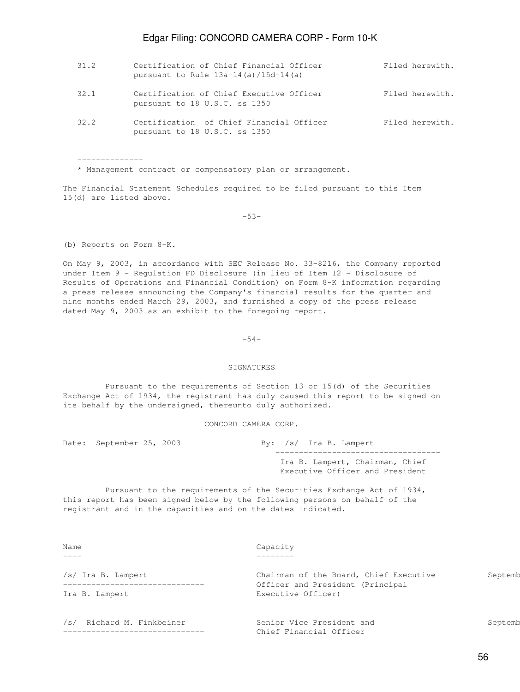| 31.2 | Certification of Chief Financial Officer<br>pursuant to Rule $13a-14$ (a) $/15d-14$ (a) | Filed herewith. |
|------|-----------------------------------------------------------------------------------------|-----------------|
| 32.1 | Certification of Chief Executive Officer<br>pursuant to 18 U.S.C. ss 1350               | Filed herewith. |
| 32.2 | Certification of Chief Financial Officer<br>pursuant to 18 U.S.C. ss 1350               | Filed herewith. |

\* Management contract or compensatory plan or arrangement.

The Financial Statement Schedules required to be filed pursuant to this Item 15(d) are listed above.

 $-53-$ 

(b) Reports on Form 8-K.

--------------

On May 9, 2003, in accordance with SEC Release No. 33-8216, the Company reported under Item 9 - Regulation FD Disclosure (in lieu of Item 12 - Disclosure of Results of Operations and Financial Condition) on Form 8-K information regarding a press release announcing the Company's financial results for the quarter and nine months ended March 29, 2003, and furnished a copy of the press release dated May 9, 2003 as an exhibit to the foregoing report.

 $-54-$ 

#### SIGNATURES

 Pursuant to the requirements of Section 13 or 15(d) of the Securities Exchange Act of 1934, the registrant has duly caused this report to be signed on its behalf by the undersigned, thereunto duly authorized.

CONCORD CAMERA CORP.

Date: September 25, 2003 By: /s/ Ira B. Lampert ----------------------------------- Ira B. Lampert, Chairman, Chief Executive Officer and President

 Pursuant to the requirements of the Securities Exchange Act of 1934, this report has been signed below by the following persons on behalf of the registrant and in the capacities and on the dates indicated.

| Name<br>$\frac{1}{2}$        | Capacity                                               |         |
|------------------------------|--------------------------------------------------------|---------|
| /s/ Ira B. Lampert           | Chairman of the Board, Chief Executive                 | Septemb |
| Ira B. Lampert               | Officer and President (Principal<br>Executive Officer) |         |
| Richard M. Finkbeiner<br>/s/ | Senior Vice President and<br>Chief Financial Officer   | Septemb |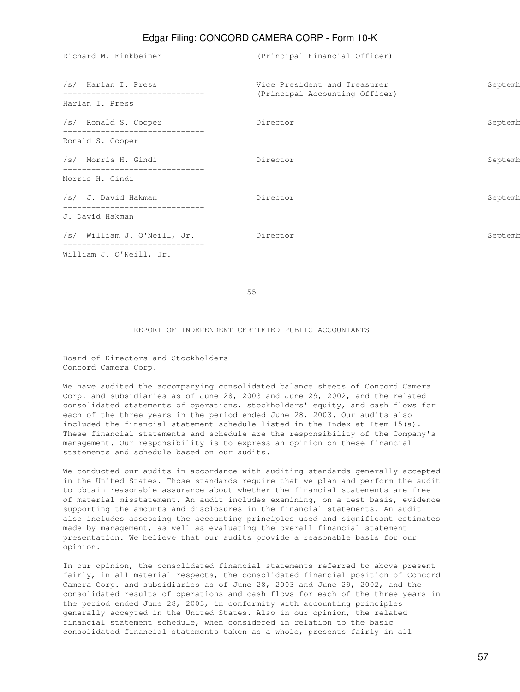Richard M. Finkbeiner (Principal Financial Officer) /s/ Harlan I. Press The September 2016 Vice President and Treasurer September 2003 ------------------------------ (Principal Accounting Officer) Harlan I. Press /s/ Ronald S. Cooper 25, 2003 Director 25, 2003 September 25, 2003 September 25, 2003 ------------------------------ Ronald S. Cooper /s/ Morris H. Gindi Director September 25, 2003 ------------------------------ Morris H. Gindi /s/ J. David Hakman September 2003 Director September 2003 September 2003 September 2003 ------------------------------ J. David Hakman /s/ William J. O'Neill, Jr. Director Septemb ------------------------------ William J. O'Neill, Jr.

 $-55-$ 

#### REPORT OF INDEPENDENT CERTIFIED PUBLIC ACCOUNTANTS

Board of Directors and Stockholders Concord Camera Corp.

We have audited the accompanying consolidated balance sheets of Concord Camera Corp. and subsidiaries as of June 28, 2003 and June 29, 2002, and the related consolidated statements of operations, stockholders' equity, and cash flows for each of the three years in the period ended June 28, 2003. Our audits also included the financial statement schedule listed in the Index at Item 15(a). These financial statements and schedule are the responsibility of the Company's management. Our responsibility is to express an opinion on these financial statements and schedule based on our audits.

We conducted our audits in accordance with auditing standards generally accepted in the United States. Those standards require that we plan and perform the audit to obtain reasonable assurance about whether the financial statements are free of material misstatement. An audit includes examining, on a test basis, evidence supporting the amounts and disclosures in the financial statements. An audit also includes assessing the accounting principles used and significant estimates made by management, as well as evaluating the overall financial statement presentation. We believe that our audits provide a reasonable basis for our opinion.

In our opinion, the consolidated financial statements referred to above present fairly, in all material respects, the consolidated financial position of Concord Camera Corp. and subsidiaries as of June 28, 2003 and June 29, 2002, and the consolidated results of operations and cash flows for each of the three years in the period ended June 28, 2003, in conformity with accounting principles generally accepted in the United States. Also in our opinion, the related financial statement schedule, when considered in relation to the basic consolidated financial statements taken as a whole, presents fairly in all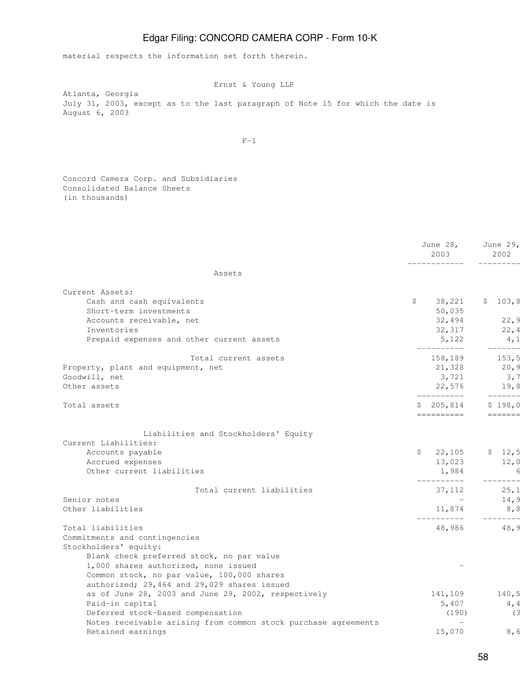material respects the information set forth therein.

Ernst & Young LLP

Atlanta, Georgia July 31, 2003, except as to the last paragraph of Note 15 for which the date is August 6, 2003

 $F-1$ 

Concord Camera Corp. and Subsidiaries Consolidated Balance Sheets (in thousands)

|                                                                                                                                   | June 28,<br>2003                          | June 29,<br>2002 |
|-----------------------------------------------------------------------------------------------------------------------------------|-------------------------------------------|------------------|
| Assets                                                                                                                            |                                           |                  |
| Current Assets:                                                                                                                   |                                           |                  |
| Cash and cash equivalents                                                                                                         | \$<br>38,221                              | \$103,8          |
| Short-term investments                                                                                                            | 50,035                                    |                  |
| Accounts receivable, net                                                                                                          | 32,494                                    | 22,9             |
| Inventories                                                                                                                       | 32,317                                    | 22,4             |
| Prepaid expenses and other current assets                                                                                         | 5,122                                     | 4,1<br>------    |
| Total current assets                                                                                                              | 158,189                                   | 153, 5           |
| Property, plant and equipment, net                                                                                                | 21,328                                    | 20, 9            |
| Goodwill, net                                                                                                                     | 3,721                                     | 3,7              |
| Other assets                                                                                                                      | 22,576<br>__________                      | 19,8<br>$------$ |
| Total assets                                                                                                                      | 205,814<br>==========                     | \$198,0          |
| Liabilities and Stockholders' Equity<br>Current Liabilities:<br>Accounts payable<br>Accrued expenses<br>Other current liabilities | \$22,105<br>13,023<br>1,984<br>__________ | \$12,5<br>12,0   |
| Total current liabilities                                                                                                         | 37,112                                    | 25,1             |
| Senior notes                                                                                                                      |                                           | 14,9             |
| Other liabilities                                                                                                                 | 11,874                                    | 8, 8             |
| Total liabilities                                                                                                                 | 48,986                                    | 48, 9            |
| Commitments and contingencies                                                                                                     |                                           |                  |
| Stockholders' equity:                                                                                                             |                                           |                  |
| Blank check preferred stock, no par value                                                                                         |                                           |                  |
| 1,000 shares authorized, none issued                                                                                              |                                           |                  |
| Common stock, no par value, 100,000 shares                                                                                        |                                           |                  |
| authorized; 29,464 and 29,029 shares issued                                                                                       |                                           |                  |
| as of June 28, 2003 and June 29, 2002, respectively                                                                               | 141,109                                   | 140,5            |
| Paid-in capital                                                                                                                   | 5,407                                     | 4, 4             |
| Deferred stock-based compensation                                                                                                 | (190)                                     | (3               |
| Notes receivable arising from common stock purchase agreements                                                                    |                                           |                  |
| Retained earnings                                                                                                                 | 15,070                                    | 8,6              |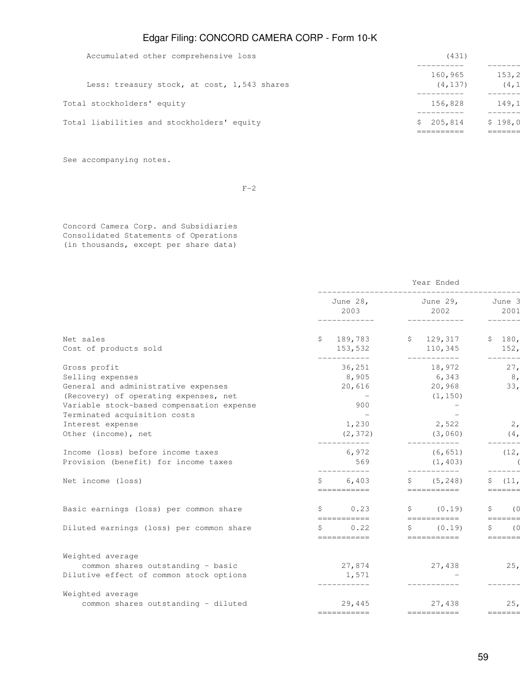| Accumulated other comprehensive loss        | (431)        |         |  |  |  |
|---------------------------------------------|--------------|---------|--|--|--|
|                                             | 160,965      | 153, 2  |  |  |  |
| Less: treasury stock, at cost, 1,543 shares | (4, 137)     | (4, 1)  |  |  |  |
| Total stockholders' equity                  | 156,828      | 149,1   |  |  |  |
| Total liabilities and stockholders' equity  | 205,814<br>S | \$198,0 |  |  |  |
|                                             |              |         |  |  |  |

See accompanying notes.

 $F-2$ 

Concord Camera Corp. and Subsidiaries Consolidated Statements of Operations (in thousands, except per share data)

|                                                                              | Year Ended                          |                                     |                         |  |  |  |  |  |
|------------------------------------------------------------------------------|-------------------------------------|-------------------------------------|-------------------------|--|--|--|--|--|
|                                                                              | 2003<br>------------                | June 28, June 29,<br>2002           | June 3<br>2001          |  |  |  |  |  |
|                                                                              |                                     |                                     | -------<br>\$180,       |  |  |  |  |  |
| Net sales<br>Cost of products sold                                           | \$189,783<br>153,532<br>___________ | \$129,317<br>110,345<br>___________ | 152,<br>$-------$       |  |  |  |  |  |
| Gross profit                                                                 | 36,251                              | 18,972                              | 27,                     |  |  |  |  |  |
| Selling expenses                                                             | 8,905                               | 6,343                               | 8 <sub>l</sub>          |  |  |  |  |  |
| General and administrative expenses<br>(Recovery) of operating expenses, net | 20,616                              | 20,968<br>(1, 150)                  | 33,                     |  |  |  |  |  |
| Variable stock-based compensation expense                                    | 900                                 |                                     |                         |  |  |  |  |  |
| Terminated acquisition costs                                                 |                                     |                                     |                         |  |  |  |  |  |
| Interest expense                                                             | 1,230                               | 2,522                               | $\overline{2}$ ,        |  |  |  |  |  |
| Other (income), net                                                          | (2, 372)                            | (3,060)                             | (4,                     |  |  |  |  |  |
| Income (loss) before income taxes                                            | 6,972                               | (6, 651)                            | (12,                    |  |  |  |  |  |
| Provision (benefit) for income taxes                                         | 569                                 | (1, 403)                            | $- - -$                 |  |  |  |  |  |
| Net income (loss)                                                            | 6,403<br>Ŝ.<br>===========          | (5, 248)<br>S.<br>===========       | Ŝ.<br>(11,<br>=======   |  |  |  |  |  |
| Basic earnings (loss) per common share                                       | S<br>0.23                           | \$ (0.19)                           | (0)<br>S.               |  |  |  |  |  |
| Diluted earnings (loss) per common share                                     | ===========<br>0.22<br>S            | ===========<br>(0.19)<br>S.         | $=$ ======<br>Ŝ.<br>(0) |  |  |  |  |  |
|                                                                              | ===========                         | ===========                         | $=$ ======              |  |  |  |  |  |
| Weighted average                                                             |                                     |                                     |                         |  |  |  |  |  |
| common shares outstanding - basic                                            | 27,874                              | 27,438                              | 25 <sub>1</sub>         |  |  |  |  |  |
| Dilutive effect of common stock options                                      | 1,571                               |                                     |                         |  |  |  |  |  |
| Weighted average                                                             |                                     |                                     |                         |  |  |  |  |  |
| common shares outstanding - diluted                                          | 29,445                              | 27,438                              | 25.                     |  |  |  |  |  |
|                                                                              | -----------                         | ===========                         | =======                 |  |  |  |  |  |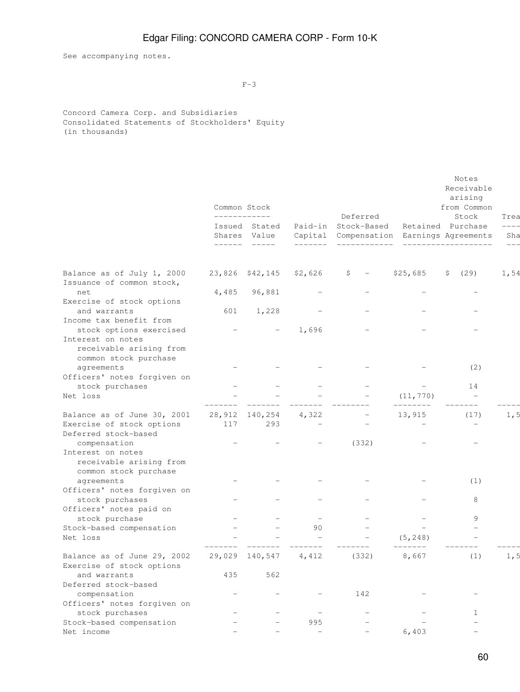See accompanying notes.

 $F-3$ 

Concord Camera Corp. and Subsidiaries Consolidated Statements of Stockholders' Equity (in thousands)

|                                                                       | Common Stock<br>____________ |                               |                          | Deferred                                                    |                          | Notes<br>Receivable<br>arising<br>from Common<br>Stock           | Trea         |
|-----------------------------------------------------------------------|------------------------------|-------------------------------|--------------------------|-------------------------------------------------------------|--------------------------|------------------------------------------------------------------|--------------|
|                                                                       | ------                       | Issued Stated<br>Shares Value | -------                  | Paid-in Stock-Based<br>Capital Compensation<br>____________ |                          | Retained Purchase<br>Earnings Agreements<br>____________________ | Sha<br>$---$ |
| Balance as of July 1, 2000<br>Issuance of common stock,               | 23,826                       | \$42,145                      | \$2,626                  | \$                                                          | \$25,685                 | (29)<br>\$                                                       | 1,54         |
| net<br>Exercise of stock options                                      | 4,485                        | 96,881                        |                          |                                                             |                          |                                                                  |              |
| and warrants<br>Income tax benefit from<br>stock options exercised    | 601                          | 1,228                         | 1,696                    |                                                             |                          |                                                                  |              |
| Interest on notes<br>receivable arising from<br>common stock purchase |                              |                               |                          |                                                             |                          |                                                                  |              |
| agreements<br>Officers' notes forgiven on                             |                              |                               |                          |                                                             |                          | (2)                                                              |              |
| stock purchases                                                       |                              |                               |                          |                                                             |                          | 14                                                               |              |
| Net loss                                                              |                              |                               |                          |                                                             | (11, 770)<br>________    | $\overline{\phantom{m}}$                                         |              |
| Balance as of June 30, 2001                                           |                              | 28,912 140,254                | 4,322                    |                                                             | 13,915                   | (17)                                                             | 1, 5         |
| Exercise of stock options<br>Deferred stock-based                     | 117                          | 293                           | $\overline{\phantom{0}}$ |                                                             | $\overline{\phantom{m}}$ | $\overline{\phantom{m}}$                                         |              |
| compensation<br>Interest on notes                                     |                              |                               |                          | (332)                                                       |                          |                                                                  |              |
| receivable arising from<br>common stock purchase                      |                              |                               |                          |                                                             |                          |                                                                  |              |
| agreements                                                            |                              |                               |                          |                                                             |                          | (1)                                                              |              |
| Officers' notes forgiven on<br>stock purchases                        |                              |                               |                          |                                                             |                          | 8                                                                |              |
| Officers' notes paid on                                               |                              |                               |                          |                                                             |                          |                                                                  |              |
| stock purchase                                                        |                              |                               |                          |                                                             |                          | 9                                                                |              |
| Stock-based compensation                                              |                              |                               | 90                       |                                                             |                          | $\overline{a}$                                                   |              |
| Net loss                                                              |                              |                               |                          |                                                             | (5, 248)                 |                                                                  |              |
| Balance as of June 29, 2002                                           |                              | 29,029 140,547                | 4,412                    | (332)                                                       | 8,667                    | (1)                                                              | 1, 5         |
| Exercise of stock options                                             |                              |                               |                          |                                                             |                          |                                                                  |              |
| and warrants<br>Deferred stock-based                                  | 435                          | 562                           |                          |                                                             |                          |                                                                  |              |
| compensation                                                          | —                            |                               |                          | 142                                                         |                          |                                                                  |              |
| Officers' notes forgiven on                                           |                              |                               |                          |                                                             |                          |                                                                  |              |
| stock purchases                                                       |                              |                               | $\qquad \qquad -$        | $\overline{\phantom{m}}$                                    |                          | $\mathbf{1}$                                                     |              |
| Stock-based compensation                                              |                              |                               | 995                      |                                                             |                          |                                                                  |              |
| Net income                                                            |                              |                               | $\equiv$                 |                                                             | 6,403                    |                                                                  |              |
|                                                                       |                              |                               |                          |                                                             |                          |                                                                  |              |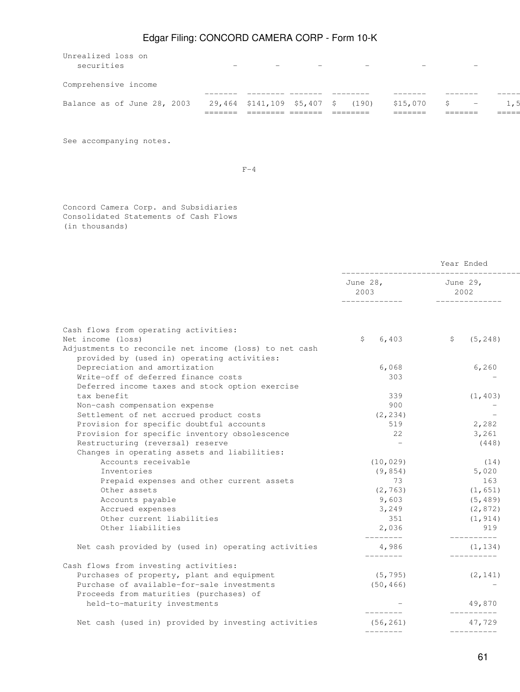| Unrealized loss on<br>securities | $\overline{\phantom{0}}$    | $\overline{\phantom{0}}$ |       |                    |    | $\overline{\phantom{0}}$ |       |
|----------------------------------|-----------------------------|--------------------------|-------|--------------------|----|--------------------------|-------|
| Comprehensive income             |                             |                          |       |                    |    |                          |       |
| Balance as of June 28, 2003      | 29,464 \$141,109 \$5,407 \$ |                          | (190) | \$15,070<br>------ | S. | $-$                      | ===== |

See accompanying notes.

 $F-4$ 

Concord Camera Corp. and Subsidiaries Consolidated Statements of Cash Flows (in thousands)

|                                                                                                       | ____________________________<br>June 28, June 29, |                            |
|-------------------------------------------------------------------------------------------------------|---------------------------------------------------|----------------------------|
|                                                                                                       | 2003                                              | 2002<br>______________     |
|                                                                                                       |                                                   |                            |
| Cash flows from operating activities:                                                                 |                                                   |                            |
| Net income (loss)                                                                                     | 6,403<br>\$                                       | (5, 248)<br>$\mathsf{S}^-$ |
| Adjustments to reconcile net income (loss) to net cash<br>provided by (used in) operating activities: |                                                   |                            |
| Depreciation and amortization                                                                         | 6,068                                             | 6, 260                     |
| Write-off of deferred finance costs                                                                   | 303                                               |                            |
| Deferred income taxes and stock option exercise                                                       |                                                   |                            |
| tax benefit                                                                                           | 339                                               | (1, 403)                   |
| Non-cash compensation expense                                                                         | 900                                               |                            |
| Settlement of net accrued product costs                                                               | (2, 234)                                          |                            |
| Provision for specific doubtful accounts                                                              | 519                                               | 2,282                      |
| Provision for specific inventory obsolescence                                                         | 22                                                | 3,261                      |
| Restructuring (reversal) reserve                                                                      | $\overline{\phantom{0}}$                          | (448)                      |
| Changes in operating assets and liabilities:                                                          |                                                   |                            |
| Accounts receivable                                                                                   | (10, 029)                                         | (14)                       |
| Inventories                                                                                           | (9, 854)                                          | 5,020                      |
| Prepaid expenses and other current assets                                                             | 73                                                | 163                        |
| Other assets                                                                                          | (2, 763)                                          | (1, 651)                   |
| Accounts payable                                                                                      | 9,603                                             | (5, 489)                   |
| Accrued expenses                                                                                      | 3,249                                             | (2, 872)                   |
| Other current liabilities                                                                             | 351                                               | (1, 914)                   |
| Other liabilities                                                                                     | 2,036<br>---------                                | 919<br>__________          |
| Net cash provided by (used in) operating activities                                                   | 4,986<br>---------                                | (1, 134)<br>-----------    |
| Cash flows from investing activities:                                                                 |                                                   |                            |
| Purchases of property, plant and equipment                                                            | (5, 795)                                          | (2, 141)                   |
| Purchase of available-for-sale investments                                                            | (50, 466)                                         |                            |
| Proceeds from maturities (purchases) of                                                               |                                                   |                            |
| held-to-maturity investments                                                                          | ---------                                         | 49,870<br>-----------      |
| Net cash (used in) provided by investing activities                                                   | (56, 261)                                         | 47,729                     |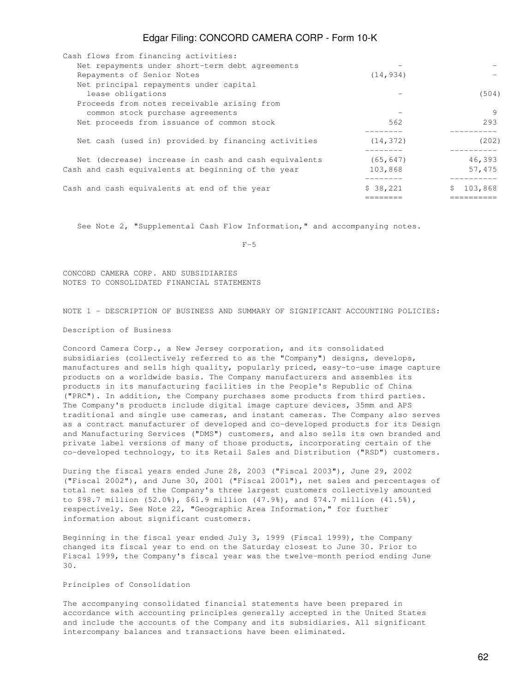| Cash flows from financing activities:                |                          |         |
|------------------------------------------------------|--------------------------|---------|
| Net repayments under short-term debt agreements      |                          |         |
| Repayments of Senior Notes                           | (14, 934)                |         |
| Net principal repayments under capital               |                          |         |
| lease obligations                                    |                          | (504)   |
| Proceeds from notes receivable arising from          |                          |         |
| common stock purchase agreements                     | $\overline{\phantom{a}}$ | 9       |
| Net proceeds from issuance of common stock           | 562                      | 293     |
|                                                      |                          |         |
| Net cash (used in) provided by financing activities  | (14, 372)                | (202)   |
|                                                      |                          |         |
| Net (decrease) increase in cash and cash equivalents | (65, 647)                | 46,393  |
| Cash and cash equivalents at beginning of the year   | 103,868                  | 57,475  |
|                                                      |                          |         |
| Cash and cash equivalents at end of the year         | \$38,221                 | 103,868 |
|                                                      |                          |         |

See Note 2, "Supplemental Cash Flow Information," and accompanying notes.

 $F-5$ 

CONCORD CAMERA CORP. AND SUBSIDIARIES NOTES TO CONSOLIDATED FINANCIAL STATEMENTS

NOTE 1 - DESCRIPTION OF BUSINESS AND SUMMARY OF SIGNIFICANT ACCOUNTING POLICIES:

Description of Business

Concord Camera Corp., a New Jersey corporation, and its consolidated subsidiaries (collectively referred to as the "Company") designs, develops, manufactures and sells high quality, popularly priced, easy-to-use image capture products on a worldwide basis. The Company manufacturers and assembles its products in its manufacturing facilities in the People's Republic of China ("PRC"). In addition, the Company purchases some products from third parties. The Company's products include digital image capture devices, 35mm and APS traditional and single use cameras, and instant cameras. The Company also serves as a contract manufacturer of developed and co-developed products for its Design and Manufacturing Services ("DMS") customers, and also sells its own branded and private label versions of many of those products, incorporating certain of the co-developed technology, to its Retail Sales and Distribution ("RSD") customers.

During the fiscal years ended June 28, 2003 ("Fiscal 2003"), June 29, 2002 ("Fiscal 2002"), and June 30, 2001 ("Fiscal 2001"), net sales and percentages of total net sales of the Company's three largest customers collectively amounted to \$98.7 million (52.0%), \$61.9 million (47.9%), and \$74.7 million (41.5%), respectively. See Note 22, "Geographic Area Information," for further information about significant customers.

Beginning in the fiscal year ended July 3, 1999 (Fiscal 1999), the Company changed its fiscal year to end on the Saturday closest to June 30. Prior to Fiscal 1999, the Company's fiscal year was the twelve-month period ending June 30.

#### Principles of Consolidation

The accompanying consolidated financial statements have been prepared in accordance with accounting principles generally accepted in the United States and include the accounts of the Company and its subsidiaries. All significant intercompany balances and transactions have been eliminated.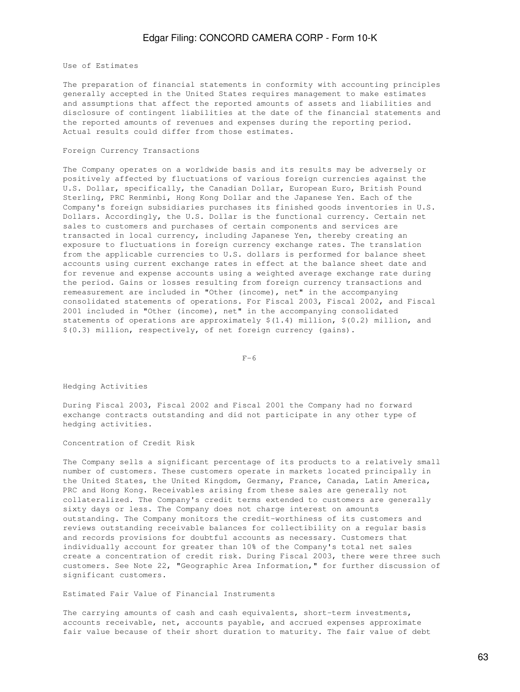Use of Estimates

The preparation of financial statements in conformity with accounting principles generally accepted in the United States requires management to make estimates and assumptions that affect the reported amounts of assets and liabilities and disclosure of contingent liabilities at the date of the financial statements and the reported amounts of revenues and expenses during the reporting period. Actual results could differ from those estimates.

#### Foreign Currency Transactions

The Company operates on a worldwide basis and its results may be adversely or positively affected by fluctuations of various foreign currencies against the U.S. Dollar, specifically, the Canadian Dollar, European Euro, British Pound Sterling, PRC Renminbi, Hong Kong Dollar and the Japanese Yen. Each of the Company's foreign subsidiaries purchases its finished goods inventories in U.S. Dollars. Accordingly, the U.S. Dollar is the functional currency. Certain net sales to customers and purchases of certain components and services are transacted in local currency, including Japanese Yen, thereby creating an exposure to fluctuations in foreign currency exchange rates. The translation from the applicable currencies to U.S. dollars is performed for balance sheet accounts using current exchange rates in effect at the balance sheet date and for revenue and expense accounts using a weighted average exchange rate during the period. Gains or losses resulting from foreign currency transactions and remeasurement are included in "Other (income), net" in the accompanying consolidated statements of operations. For Fiscal 2003, Fiscal 2002, and Fiscal 2001 included in "Other (income), net" in the accompanying consolidated statements of operations are approximately  $$(1.4)$  million,  $$(0.2)$  million, and \$(0.3) million, respectively, of net foreign currency (gains).

 $F-6$ 

Hedging Activities

During Fiscal 2003, Fiscal 2002 and Fiscal 2001 the Company had no forward exchange contracts outstanding and did not participate in any other type of hedging activities.

Concentration of Credit Risk

The Company sells a significant percentage of its products to a relatively small number of customers. These customers operate in markets located principally in the United States, the United Kingdom, Germany, France, Canada, Latin America, PRC and Hong Kong. Receivables arising from these sales are generally not collateralized. The Company's credit terms extended to customers are generally sixty days or less. The Company does not charge interest on amounts outstanding. The Company monitors the credit-worthiness of its customers and reviews outstanding receivable balances for collectibility on a regular basis and records provisions for doubtful accounts as necessary. Customers that individually account for greater than 10% of the Company's total net sales create a concentration of credit risk. During Fiscal 2003, there were three such customers. See Note 22, "Geographic Area Information," for further discussion of significant customers.

Estimated Fair Value of Financial Instruments

The carrying amounts of cash and cash equivalents, short-term investments, accounts receivable, net, accounts payable, and accrued expenses approximate fair value because of their short duration to maturity. The fair value of debt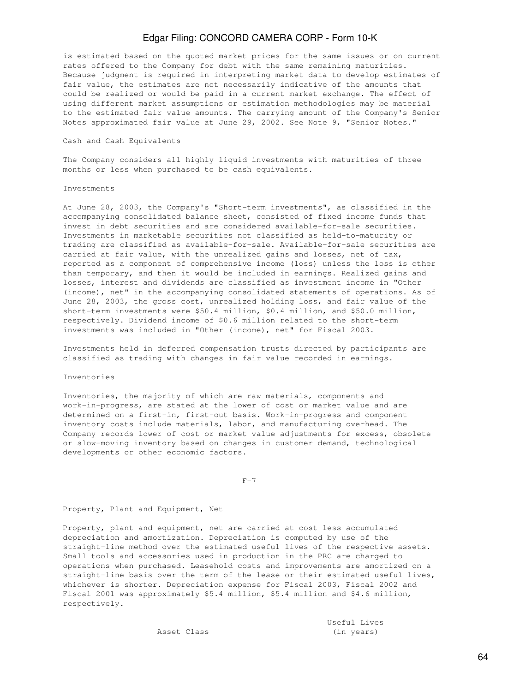is estimated based on the quoted market prices for the same issues or on current rates offered to the Company for debt with the same remaining maturities. Because judgment is required in interpreting market data to develop estimates of fair value, the estimates are not necessarily indicative of the amounts that could be realized or would be paid in a current market exchange. The effect of using different market assumptions or estimation methodologies may be material to the estimated fair value amounts. The carrying amount of the Company's Senior Notes approximated fair value at June 29, 2002. See Note 9, "Senior Notes."

#### Cash and Cash Equivalents

The Company considers all highly liquid investments with maturities of three months or less when purchased to be cash equivalents.

#### Investments

At June 28, 2003, the Company's "Short-term investments", as classified in the accompanying consolidated balance sheet, consisted of fixed income funds that invest in debt securities and are considered available-for-sale securities. Investments in marketable securities not classified as held-to-maturity or trading are classified as available-for-sale. Available-for-sale securities are carried at fair value, with the unrealized gains and losses, net of tax, reported as a component of comprehensive income (loss) unless the loss is other than temporary, and then it would be included in earnings. Realized gains and losses, interest and dividends are classified as investment income in "Other (income), net" in the accompanying consolidated statements of operations. As of June 28, 2003, the gross cost, unrealized holding loss, and fair value of the short-term investments were \$50.4 million, \$0.4 million, and \$50.0 million, respectively. Dividend income of \$0.6 million related to the short-term investments was included in "Other (income), net" for Fiscal 2003.

Investments held in deferred compensation trusts directed by participants are classified as trading with changes in fair value recorded in earnings.

#### Inventories

Inventories, the majority of which are raw materials, components and work-in-progress, are stated at the lower of cost or market value and are determined on a first-in, first-out basis. Work-in-progress and component inventory costs include materials, labor, and manufacturing overhead. The Company records lower of cost or market value adjustments for excess, obsolete or slow-moving inventory based on changes in customer demand, technological developments or other economic factors.

 $F-7$ 

Property, Plant and Equipment, Net

Property, plant and equipment, net are carried at cost less accumulated depreciation and amortization. Depreciation is computed by use of the straight-line method over the estimated useful lives of the respective assets. Small tools and accessories used in production in the PRC are charged to operations when purchased. Leasehold costs and improvements are amortized on a straight-line basis over the term of the lease or their estimated useful lives, whichever is shorter. Depreciation expense for Fiscal 2003, Fiscal 2002 and Fiscal 2001 was approximately \$5.4 million, \$5.4 million and \$4.6 million, respectively.

> Useful Lives Asset Class (in years)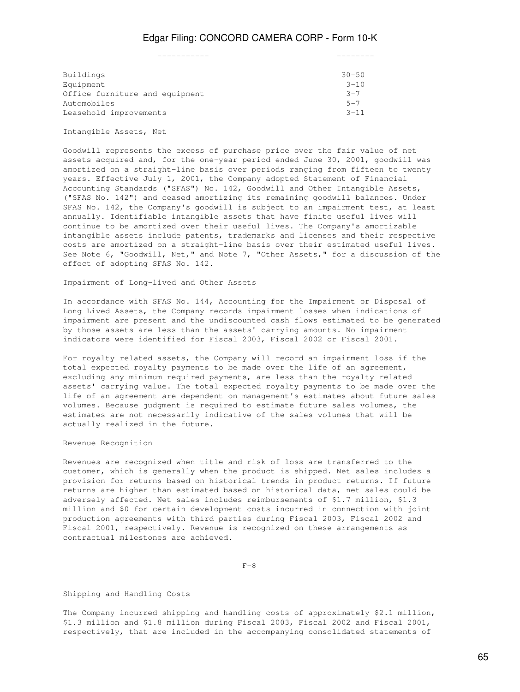| Buildings                      | $30 - 50$ |
|--------------------------------|-----------|
| Equipment                      | $3 - 10$  |
| Office furniture and equipment | $3 - 7$   |
| Automobiles                    | $5 - 7$   |
| Leasehold improvements         | $3 - 11$  |
|                                |           |

#### Intangible Assets, Net

Goodwill represents the excess of purchase price over the fair value of net assets acquired and, for the one-year period ended June 30, 2001, goodwill was amortized on a straight-line basis over periods ranging from fifteen to twenty years. Effective July 1, 2001, the Company adopted Statement of Financial Accounting Standards ("SFAS") No. 142, Goodwill and Other Intangible Assets, ("SFAS No. 142") and ceased amortizing its remaining goodwill balances. Under SFAS No. 142, the Company's goodwill is subject to an impairment test, at least annually. Identifiable intangible assets that have finite useful lives will continue to be amortized over their useful lives. The Company's amortizable intangible assets include patents, trademarks and licenses and their respective costs are amortized on a straight-line basis over their estimated useful lives. See Note 6, "Goodwill, Net," and Note 7, "Other Assets," for a discussion of the effect of adopting SFAS No. 142.

Impairment of Long-lived and Other Assets

In accordance with SFAS No. 144, Accounting for the Impairment or Disposal of Long Lived Assets, the Company records impairment losses when indications of impairment are present and the undiscounted cash flows estimated to be generated by those assets are less than the assets' carrying amounts. No impairment indicators were identified for Fiscal 2003, Fiscal 2002 or Fiscal 2001.

For royalty related assets, the Company will record an impairment loss if the total expected royalty payments to be made over the life of an agreement, excluding any minimum required payments, are less than the royalty related assets' carrying value. The total expected royalty payments to be made over the life of an agreement are dependent on management's estimates about future sales volumes. Because judgment is required to estimate future sales volumes, the estimates are not necessarily indicative of the sales volumes that will be actually realized in the future.

#### Revenue Recognition

Revenues are recognized when title and risk of loss are transferred to the customer, which is generally when the product is shipped. Net sales includes a provision for returns based on historical trends in product returns. If future returns are higher than estimated based on historical data, net sales could be adversely affected. Net sales includes reimbursements of \$1.7 million, \$1.3 million and \$0 for certain development costs incurred in connection with joint production agreements with third parties during Fiscal 2003, Fiscal 2002 and Fiscal 2001, respectively. Revenue is recognized on these arrangements as contractual milestones are achieved.

 $F-8$ 

#### Shipping and Handling Costs

The Company incurred shipping and handling costs of approximately \$2.1 million, \$1.3 million and \$1.8 million during Fiscal 2003, Fiscal 2002 and Fiscal 2001, respectively, that are included in the accompanying consolidated statements of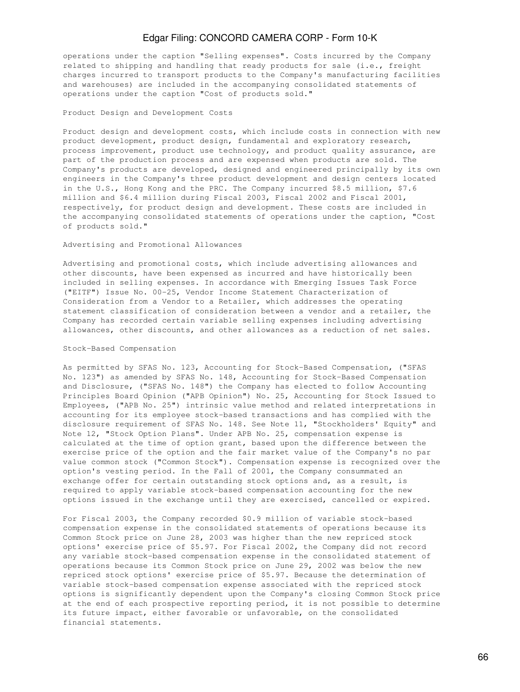operations under the caption "Selling expenses". Costs incurred by the Company related to shipping and handling that ready products for sale (i.e., freight charges incurred to transport products to the Company's manufacturing facilities and warehouses) are included in the accompanying consolidated statements of operations under the caption "Cost of products sold."

#### Product Design and Development Costs

Product design and development costs, which include costs in connection with new product development, product design, fundamental and exploratory research, process improvement, product use technology, and product quality assurance, are part of the production process and are expensed when products are sold. The Company's products are developed, designed and engineered principally by its own engineers in the Company's three product development and design centers located in the U.S., Hong Kong and the PRC. The Company incurred \$8.5 million, \$7.6 million and \$6.4 million during Fiscal 2003, Fiscal 2002 and Fiscal 2001, respectively, for product design and development. These costs are included in the accompanying consolidated statements of operations under the caption, "Cost of products sold."

#### Advertising and Promotional Allowances

Advertising and promotional costs, which include advertising allowances and other discounts, have been expensed as incurred and have historically been included in selling expenses. In accordance with Emerging Issues Task Force ("EITF") Issue No. 00-25, Vendor Income Statement Characterization of Consideration from a Vendor to a Retailer, which addresses the operating statement classification of consideration between a vendor and a retailer, the Company has recorded certain variable selling expenses including advertising allowances, other discounts, and other allowances as a reduction of net sales.

#### Stock-Based Compensation

As permitted by SFAS No. 123, Accounting for Stock-Based Compensation, ("SFAS No. 123") as amended by SFAS No. 148, Accounting for Stock-Based Compensation and Disclosure, ("SFAS No. 148") the Company has elected to follow Accounting Principles Board Opinion ("APB Opinion") No. 25, Accounting for Stock Issued to Employees, ("APB No. 25") intrinsic value method and related interpretations in accounting for its employee stock-based transactions and has complied with the disclosure requirement of SFAS No. 148. See Note 11, "Stockholders' Equity" and Note 12, "Stock Option Plans". Under APB No. 25, compensation expense is calculated at the time of option grant, based upon the difference between the exercise price of the option and the fair market value of the Company's no par value common stock ("Common Stock"). Compensation expense is recognized over the option's vesting period. In the Fall of 2001, the Company consummated an exchange offer for certain outstanding stock options and, as a result, is required to apply variable stock-based compensation accounting for the new options issued in the exchange until they are exercised, cancelled or expired.

For Fiscal 2003, the Company recorded \$0.9 million of variable stock-based compensation expense in the consolidated statements of operations because its Common Stock price on June 28, 2003 was higher than the new repriced stock options' exercise price of \$5.97. For Fiscal 2002, the Company did not record any variable stock-based compensation expense in the consolidated statement of operations because its Common Stock price on June 29, 2002 was below the new repriced stock options' exercise price of \$5.97. Because the determination of variable stock-based compensation expense associated with the repriced stock options is significantly dependent upon the Company's closing Common Stock price at the end of each prospective reporting period, it is not possible to determine its future impact, either favorable or unfavorable, on the consolidated financial statements.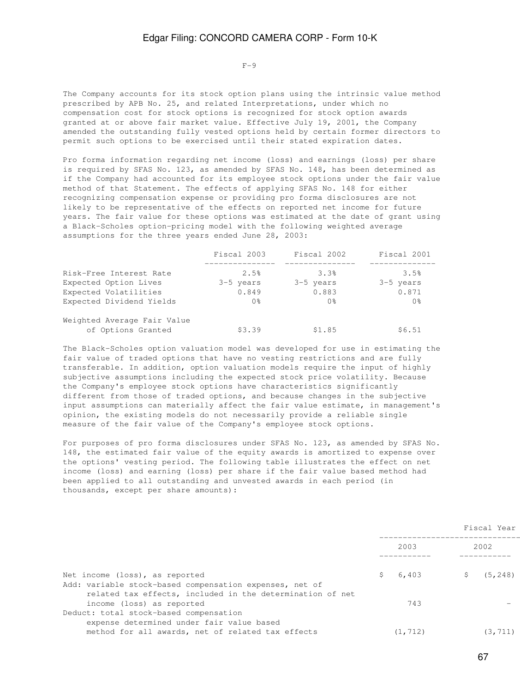$F-9$ 

The Company accounts for its stock option plans using the intrinsic value method prescribed by APB No. 25, and related Interpretations, under which no compensation cost for stock options is recognized for stock option awards granted at or above fair market value. Effective July 19, 2001, the Company amended the outstanding fully vested options held by certain former directors to permit such options to be exercised until their stated expiration dates.

Pro forma information regarding net income (loss) and earnings (loss) per share is required by SFAS No. 123, as amended by SFAS No. 148, has been determined as if the Company had accounted for its employee stock options under the fair value method of that Statement. The effects of applying SFAS No. 148 for either recognizing compensation expense or providing pro forma disclosures are not likely to be representative of the effects on reported net income for future years. The fair value for these options was estimated at the date of grant using a Black-Scholes option-pricing model with the following weighted average assumptions for the three years ended June 28, 2003:

|                             | Fiscal 2003    | Fiscal 2002 | Fiscal 2001 |
|-----------------------------|----------------|-------------|-------------|
| Risk-Free Interest Rate     | 2.5%           | 3.3%        | 3.5%        |
| Expected Option Lives       | 3-5 years      | 3-5 years   | 3-5 years   |
| Expected Volatilities       | 0.849          | 0.883       | 0.871       |
| Expected Dividend Yields    | 0 <sup>8</sup> | 0 %         | 0응          |
| Weighted Average Fair Value |                |             |             |
| of Options Granted          | \$3.39         | \$1.85      | \$6.51      |

The Black-Scholes option valuation model was developed for use in estimating the fair value of traded options that have no vesting restrictions and are fully transferable. In addition, option valuation models require the input of highly subjective assumptions including the expected stock price volatility. Because the Company's employee stock options have characteristics significantly different from those of traded options, and because changes in the subjective input assumptions can materially affect the fair value estimate, in management's opinion, the existing models do not necessarily provide a reliable single measure of the fair value of the Company's employee stock options.

For purposes of pro forma disclosures under SFAS No. 123, as amended by SFAS No. 148, the estimated fair value of the equity awards is amortized to expense over the options' vesting period. The following table illustrates the effect on net income (loss) and earning (loss) per share if the fair value based method had been applied to all outstanding and unvested awards in each period (in thousands, except per share amounts):

|                                                                                                                      |    |          | Fiscal Year |
|----------------------------------------------------------------------------------------------------------------------|----|----------|-------------|
|                                                                                                                      |    | 2003     | 2002        |
| Net income (loss), as reported                                                                                       | S. | 6,403    | (5, 248)    |
| Add: variable stock-based compensation expenses, net of<br>related tax effects, included in the determination of net |    |          |             |
| income (loss) as reported                                                                                            |    | 743      |             |
| Deduct: total stock-based compensation                                                                               |    |          |             |
| expense determined under fair value based                                                                            |    |          |             |
| method for all awards, net of related tax effects                                                                    |    | (1, 712) | (3, 711)    |
|                                                                                                                      |    |          |             |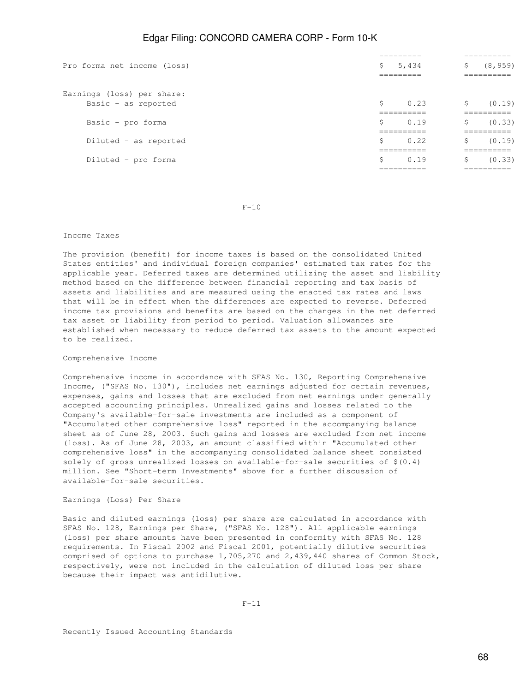|                             |                                                      | ---------                 | ----------                |
|-----------------------------|------------------------------------------------------|---------------------------|---------------------------|
| Pro forma net income (loss) | \$                                                   | 5,434                     | \$<br>(8, 959)            |
|                             |                                                      | _________<br>=====----    | _________<br>__________   |
| Earnings (loss) per share:  |                                                      |                           |                           |
| Basic - as reported         | \$                                                   | 0.23                      | \$<br>(0.19)              |
|                             |                                                      | ----------<br>__________  | -----------<br>__________ |
| Basic - pro forma           | Ŝ                                                    | 0.19                      | \$<br>(0.33)              |
|                             |                                                      | -----------<br>__________ | -----------<br>__________ |
| Diluted - as reported       | Ŝ                                                    | 0.22                      | \$<br>(0.19)              |
|                             | _________<br>-----------<br>__________<br>__________ |                           |                           |
| Diluted - pro forma         | S                                                    | 0.19                      | \$<br>(0.33)              |
|                             |                                                      | __________<br>__________  | _________<br>__________   |
|                             |                                                      |                           |                           |

 $F-10$ 

#### Income Taxes

The provision (benefit) for income taxes is based on the consolidated United States entities' and individual foreign companies' estimated tax rates for the applicable year. Deferred taxes are determined utilizing the asset and liability method based on the difference between financial reporting and tax basis of assets and liabilities and are measured using the enacted tax rates and laws that will be in effect when the differences are expected to reverse. Deferred income tax provisions and benefits are based on the changes in the net deferred tax asset or liability from period to period. Valuation allowances are established when necessary to reduce deferred tax assets to the amount expected to be realized.

#### Comprehensive Income

Comprehensive income in accordance with SFAS No. 130, Reporting Comprehensive Income, ("SFAS No. 130"), includes net earnings adjusted for certain revenues, expenses, gains and losses that are excluded from net earnings under generally accepted accounting principles. Unrealized gains and losses related to the Company's available-for-sale investments are included as a component of "Accumulated other comprehensive loss" reported in the accompanying balance sheet as of June 28, 2003. Such gains and losses are excluded from net income (loss). As of June 28, 2003, an amount classified within "Accumulated other comprehensive loss" in the accompanying consolidated balance sheet consisted solely of gross unrealized losses on available-for-sale securities of \$(0.4) million. See "Short-term Investments" above for a further discussion of available-for-sale securities.

#### Earnings (Loss) Per Share

Basic and diluted earnings (loss) per share are calculated in accordance with SFAS No. 128, Earnings per Share, ("SFAS No. 128"). All applicable earnings (loss) per share amounts have been presented in conformity with SFAS No. 128 requirements. In Fiscal 2002 and Fiscal 2001, potentially dilutive securities comprised of options to purchase 1,705,270 and 2,439,440 shares of Common Stock, respectively, were not included in the calculation of diluted loss per share because their impact was antidilutive.

Recently Issued Accounting Standards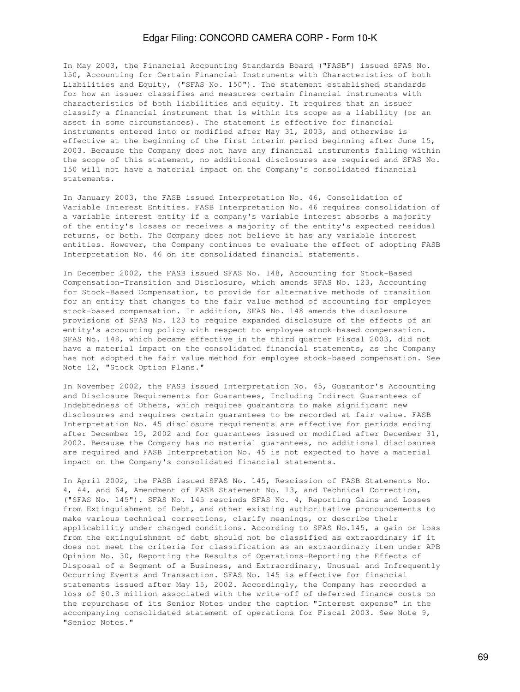In May 2003, the Financial Accounting Standards Board ("FASB") issued SFAS No. 150, Accounting for Certain Financial Instruments with Characteristics of both Liabilities and Equity, ("SFAS No. 150"). The statement established standards for how an issuer classifies and measures certain financial instruments with characteristics of both liabilities and equity. It requires that an issuer classify a financial instrument that is within its scope as a liability (or an asset in some circumstances). The statement is effective for financial instruments entered into or modified after May 31, 2003, and otherwise is effective at the beginning of the first interim period beginning after June 15, 2003. Because the Company does not have any financial instruments falling within the scope of this statement, no additional disclosures are required and SFAS No. 150 will not have a material impact on the Company's consolidated financial statements.

In January 2003, the FASB issued Interpretation No. 46, Consolidation of Variable Interest Entities. FASB Interpretation No. 46 requires consolidation of a variable interest entity if a company's variable interest absorbs a majority of the entity's losses or receives a majority of the entity's expected residual returns, or both. The Company does not believe it has any variable interest entities. However, the Company continues to evaluate the effect of adopting FASB Interpretation No. 46 on its consolidated financial statements.

In December 2002, the FASB issued SFAS No. 148, Accounting for Stock-Based Compensation-Transition and Disclosure, which amends SFAS No. 123, Accounting for Stock-Based Compensation, to provide for alternative methods of transition for an entity that changes to the fair value method of accounting for employee stock-based compensation. In addition, SFAS No. 148 amends the disclosure provisions of SFAS No. 123 to require expanded disclosure of the effects of an entity's accounting policy with respect to employee stock-based compensation. SFAS No. 148, which became effective in the third quarter Fiscal 2003, did not have a material impact on the consolidated financial statements, as the Company has not adopted the fair value method for employee stock-based compensation. See Note 12, "Stock Option Plans."

In November 2002, the FASB issued Interpretation No. 45, Guarantor's Accounting and Disclosure Requirements for Guarantees, Including Indirect Guarantees of Indebtedness of Others, which requires guarantors to make significant new disclosures and requires certain guarantees to be recorded at fair value. FASB Interpretation No. 45 disclosure requirements are effective for periods ending after December 15, 2002 and for guarantees issued or modified after December 31, 2002. Because the Company has no material guarantees, no additional disclosures are required and FASB Interpretation No. 45 is not expected to have a material impact on the Company's consolidated financial statements.

In April 2002, the FASB issued SFAS No. 145, Rescission of FASB Statements No. 4, 44, and 64, Amendment of FASB Statement No. 13, and Technical Correction, ("SFAS No. 145"). SFAS No. 145 rescinds SFAS No. 4, Reporting Gains and Losses from Extinguishment of Debt, and other existing authoritative pronouncements to make various technical corrections, clarify meanings, or describe their applicability under changed conditions. According to SFAS No.145, a gain or loss from the extinguishment of debt should not be classified as extraordinary if it does not meet the criteria for classification as an extraordinary item under APB Opinion No. 30, Reporting the Results of Operations-Reporting the Effects of Disposal of a Segment of a Business, and Extraordinary, Unusual and Infrequently Occurring Events and Transaction. SFAS No. 145 is effective for financial statements issued after May 15, 2002. Accordingly, the Company has recorded a loss of \$0.3 million associated with the write-off of deferred finance costs on the repurchase of its Senior Notes under the caption "Interest expense" in the accompanying consolidated statement of operations for Fiscal 2003. See Note 9, "Senior Notes."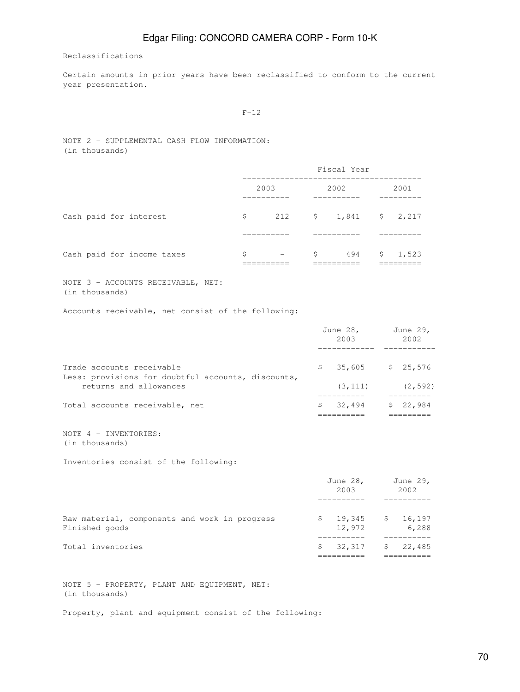Reclassifications

Certain amounts in prior years have been reclassified to conform to the current year presentation.

#### $F-12$

NOTE 2 - SUPPLEMENTAL CASH FLOW INFORMATION: (in thousands)

|                            | Fiscal Year   |                          |      |                                     |  |                    |  |  |  |
|----------------------------|---------------|--------------------------|------|-------------------------------------|--|--------------------|--|--|--|
|                            | 2003          |                          | 2002 |                                     |  | 2001               |  |  |  |
| Cash paid for interest     | \$            |                          |      | 212 $\frac{1}{2}$ \$ 1,841 \$ 2,217 |  |                    |  |  |  |
|                            |               |                          |      |                                     |  |                    |  |  |  |
| Cash paid for income taxes | \$<br>_______ | $\overline{\phantom{0}}$ | \$   | 494                                 |  | \$1,523<br>_______ |  |  |  |

NOTE 3 - ACCOUNTS RECEIVABLE, NET: (in thousands)

Accounts receivable, net consist of the following:

|                                                                                 |  | June 28,<br>2003    | June 29,<br>2002 |  |
|---------------------------------------------------------------------------------|--|---------------------|------------------|--|
| Trade accounts receivable<br>Less: provisions for doubtful accounts, discounts, |  | $$35,605$ $$25,576$ |                  |  |
| returns and allowances                                                          |  | (3, 111)            | (2, 592)         |  |
| Total accounts receivable, net                                                  |  | 32,494              | \$22,984         |  |
|                                                                                 |  |                     |                  |  |

NOTE 4 - INVENTORIES: (in thousands)

Inventories consist of the following:

|                                                                 | June 28,<br>2003   | June 29,<br>2002  |
|-----------------------------------------------------------------|--------------------|-------------------|
|                                                                 |                    |                   |
| Raw material, components and work in progress<br>Finished goods | \$19,345<br>12,972 | \$16,197<br>6,288 |
| Total inventories                                               | 32,317             | \$22,485          |

NOTE 5 - PROPERTY, PLANT AND EQUIPMENT, NET: (in thousands)

Property, plant and equipment consist of the following: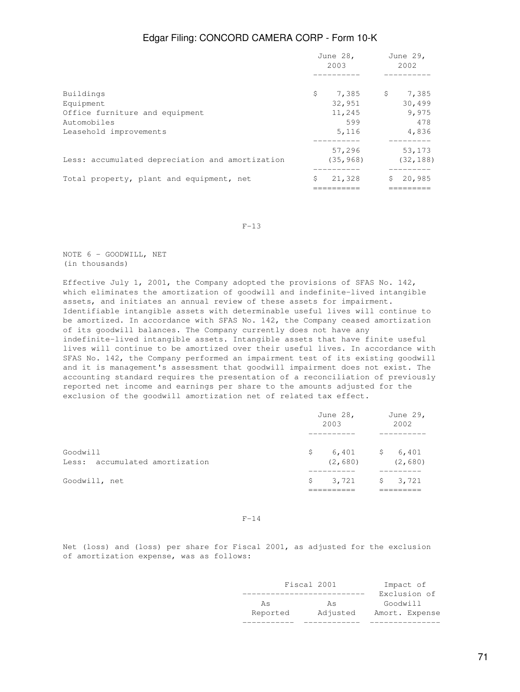|                                                 | June 28,<br>2003 |           | June 29,<br>2002 |           |
|-------------------------------------------------|------------------|-----------|------------------|-----------|
|                                                 |                  |           |                  |           |
| Buildings                                       | \$               | 7,385 \$  |                  | 7,385     |
| Equipment                                       |                  | 32,951    |                  | 30,499    |
| Office furniture and equipment                  |                  | 11,245    |                  | 9,975     |
| Automobiles                                     |                  | 599       |                  | 478       |
| Leasehold improvements                          |                  | 5,116     |                  | 4,836     |
|                                                 |                  | 57,296    |                  | 53,173    |
| Less: accumulated depreciation and amortization |                  | (35, 968) |                  | (32, 188) |
| Total property, plant and equipment, net        | \$               | 21,328    | $\mathsf{S}^-$   | 20,985    |
|                                                 |                  |           |                  |           |

#### $F-13$

NOTE 6 - GOODWILL, NET (in thousands)

Effective July 1, 2001, the Company adopted the provisions of SFAS No. 142, which eliminates the amortization of goodwill and indefinite-lived intangible assets, and initiates an annual review of these assets for impairment. Identifiable intangible assets with determinable useful lives will continue to be amortized. In accordance with SFAS No. 142, the Company ceased amortization of its goodwill balances. The Company currently does not have any indefinite-lived intangible assets. Intangible assets that have finite useful lives will continue to be amortized over their useful lives. In accordance with SFAS No. 142, the Company performed an impairment test of its existing goodwill and it is management's assessment that goodwill impairment does not exist. The accounting standard requires the presentation of a reconciliation of previously reported net income and earnings per share to the amounts adjusted for the exclusion of the goodwill amortization net of related tax effect.

|                                            | June 28,<br>2003 |                                         | June 29,<br>2002 |         |
|--------------------------------------------|------------------|-----------------------------------------|------------------|---------|
|                                            |                  |                                         |                  |         |
| Goodwill<br>Less: accumulated amortization |                  | $$6,401$ $$6,401$<br>(2,680)            |                  | (2,680) |
| Goodwill, net                              |                  | $\frac{1}{2}$ 3,721 $\frac{1}{2}$ 3,721 |                  |         |

#### $F-14$

Net (loss) and (loss) per share for Fiscal 2001, as adjusted for the exclusion of amortization expense, was as follows:

|          | Fiscal 2001 | Impact of      |
|----------|-------------|----------------|
|          |             | Exclusion of   |
| As       | As          | Goodwill       |
| Reported | Adjusted    | Amort. Expense |
|          |             |                |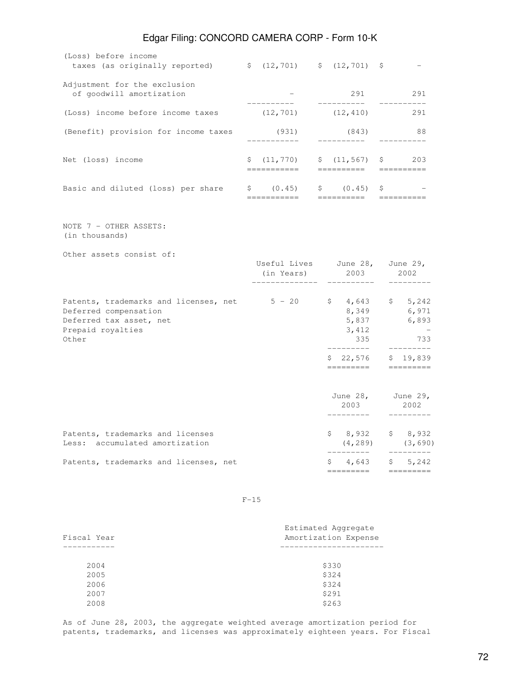|                                                                                                                                |                                                    | ---------                                                             |  |                                                                                                                                                                                                                                                                                                                                                                                                                                                                                        |
|--------------------------------------------------------------------------------------------------------------------------------|----------------------------------------------------|-----------------------------------------------------------------------|--|----------------------------------------------------------------------------------------------------------------------------------------------------------------------------------------------------------------------------------------------------------------------------------------------------------------------------------------------------------------------------------------------------------------------------------------------------------------------------------------|
| Patents, trademarks and licenses, net                                                                                          |                                                    | ----------                                                            |  | ---------<br>$$4,643$ $$5,242$                                                                                                                                                                                                                                                                                                                                                                                                                                                         |
| Patents, trademarks and licenses<br>Less: accumulated amortization                                                             |                                                    | \$8,932                                                               |  | \$8,932<br>$(4, 289)$ $(3, 690)$                                                                                                                                                                                                                                                                                                                                                                                                                                                       |
|                                                                                                                                |                                                    | June $28$ ,<br>2003<br>_________                                      |  | June 29,<br>2002<br>----------                                                                                                                                                                                                                                                                                                                                                                                                                                                         |
|                                                                                                                                |                                                    | $$22,576$ $$19,839$<br>=========                                      |  | ----------                                                                                                                                                                                                                                                                                                                                                                                                                                                                             |
| Patents, trademarks and licenses, net 5 - 20<br>Deferred compensation<br>Deferred tax asset, net<br>Prepaid royalties<br>Other |                                                    | 8,349<br>3,412<br>335<br>_________                                    |  | $$4,643$ $$5,242$<br>6,971<br>5,837 6,893<br>$\sim$ $-$<br>733<br>---------                                                                                                                                                                                                                                                                                                                                                                                                            |
| Other assets consist of:                                                                                                       |                                                    | Useful Lives June 28, June 29,<br>(in Years) 2003 2002<br>----------- |  |                                                                                                                                                                                                                                                                                                                                                                                                                                                                                        |
| NOTE 7 - OTHER ASSETS:<br>(in thousands)                                                                                       |                                                    |                                                                       |  |                                                                                                                                                                                                                                                                                                                                                                                                                                                                                        |
| Basic and diluted (loss) per share                                                                                             | \$ (0.45)<br>-----------                           | $\begin{array}{ccccc} \xi & (0.45) & \xi \end{array}$<br>==========   |  | $\begin{array}{cccccccccc} \multicolumn{2}{c}{} & \multicolumn{2}{c}{} & \multicolumn{2}{c}{} & \multicolumn{2}{c}{} & \multicolumn{2}{c}{} & \multicolumn{2}{c}{} & \multicolumn{2}{c}{} & \multicolumn{2}{c}{} & \multicolumn{2}{c}{} & \multicolumn{2}{c}{} & \multicolumn{2}{c}{} & \multicolumn{2}{c}{} & \multicolumn{2}{c}{} & \multicolumn{2}{c}{} & \multicolumn{2}{c}{} & \multicolumn{2}{c}{} & \multicolumn{2}{c}{} & \multicolumn{2}{c}{} & \multicolumn{2}{c}{} & \mult$ |
| Net (loss) income                                                                                                              | $$ (11, 770)$ $$ (11, 567)$ $$ 203$<br>----------- | ----------------------                                                |  |                                                                                                                                                                                                                                                                                                                                                                                                                                                                                        |
| (Benefit) provision for income taxes                                                                                           | (931)<br>___________                               | (843)<br>__________                                                   |  | 88<br>----------                                                                                                                                                                                                                                                                                                                                                                                                                                                                       |
| (Loss) income before income taxes                                                                                              | (12, 701)                                          | (12, 410)                                                             |  | 291                                                                                                                                                                                                                                                                                                                                                                                                                                                                                    |
| Adjustment for the exclusion<br>of goodwill amortization                                                                       |                                                    | 291 2012<br>----------                                                |  | 291<br>. _ _ _ _ _ _ _                                                                                                                                                                                                                                                                                                                                                                                                                                                                 |
| (Loss) before income<br>taxes (as originally reported) $\qquad$ (12,701) $\qquad$ (12,701) $\qquad$                            |                                                    |                                                                       |  |                                                                                                                                                                                                                                                                                                                                                                                                                                                                                        |

 $F-15$ 

| Fiscal Year | Estimated Aggregate<br>Amortization Expense |
|-------------|---------------------------------------------|
|             |                                             |
| 2004        | \$330                                       |
| 2005        | \$324                                       |
| 2006        | \$324                                       |
| 2007        | \$291                                       |
| 2008        | \$263                                       |
|             |                                             |

As of June 28, 2003, the aggregate weighted average amortization period for patents, trademarks, and licenses was approximately eighteen years. For Fiscal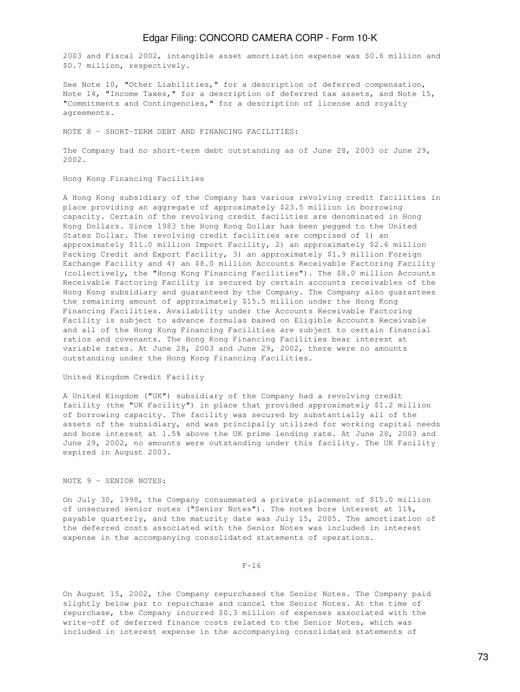2003 and Fiscal 2002, intangible asset amortization expense was \$0.6 million and \$0.7 million, respectively.

See Note 10, "Other Liabilities," for a description of deferred compensation, Note 14, "Income Taxes," for a description of deferred tax assets, and Note 15, "Commitments and Contingencies," for a description of license and royalty agreements.

NOTE 8 - SHORT-TERM DEBT AND FINANCING FACILITIES:

The Company had no short-term debt outstanding as of June 28, 2003 or June 29, 2002.

#### Hong Kong Financing Facilities

A Hong Kong subsidiary of the Company has various revolving credit facilities in place providing an aggregate of approximately \$23.5 million in borrowing capacity. Certain of the revolving credit facilities are denominated in Hong Kong Dollars. Since 1983 the Hong Kong Dollar has been pegged to the United States Dollar. The revolving credit facilities are comprised of 1) an approximately \$11.0 million Import Facility, 2) an approximately \$2.6 million Packing Credit and Export Facility, 3) an approximately \$1.9 million Foreign Exchange Facility and 4) an \$8.0 million Accounts Receivable Factoring Facility (collectively, the "Hong Kong Financing Facilities"). The \$8.0 million Accounts Receivable Factoring Facility is secured by certain accounts receivables of the Hong Kong subsidiary and guaranteed by the Company. The Company also guarantees the remaining amount of approximately \$15.5 million under the Hong Kong Financing Facilities. Availability under the Accounts Receivable Factoring Facility is subject to advance formulas based on Eligible Accounts Receivable and all of the Hong Kong Financing Facilities are subject to certain financial ratios and covenants. The Hong Kong Financing Facilities bear interest at variable rates. At June 28, 2003 and June 29, 2002, there were no amounts outstanding under the Hong Kong Financing Facilities.

#### United Kingdom Credit Facility

A United Kingdom ("UK") subsidiary of the Company had a revolving credit facility (the "UK Facility") in place that provided approximately \$1.2 million of borrowing capacity. The facility was secured by substantially all of the assets of the subsidiary, and was principally utilized for working capital needs and bore interest at 1.5% above the UK prime lending rate. At June 28, 2003 and June 29, 2002, no amounts were outstanding under this facility. The UK Facility expired in August 2003.

### NOTE 9 - SENIOR NOTES:

On July 30, 1998, the Company consummated a private placement of \$15.0 million of unsecured senior notes ("Senior Notes"). The notes bore interest at 11%, payable quarterly, and the maturity date was July 15, 2005. The amortization of the deferred costs associated with the Senior Notes was included in interest expense in the accompanying consolidated statements of operations.

#### $F-16$

On August 15, 2002, the Company repurchased the Senior Notes. The Company paid slightly below par to repurchase and cancel the Senior Notes. At the time of repurchase, the Company incurred \$0.3 million of expenses associated with the write-off of deferred finance costs related to the Senior Notes, which was included in interest expense in the accompanying consolidated statements of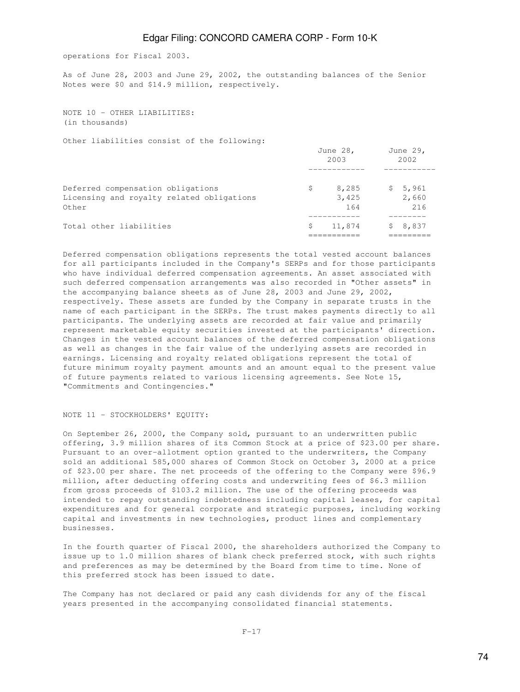operations for Fiscal 2003.

As of June 28, 2003 and June 29, 2002, the outstanding balances of the Senior Notes were \$0 and \$14.9 million, respectively.

NOTE 10 - OTHER LIABILITIES: (in thousands)

Other liabilities consist of the following:

|                                                                                         |   | June 28,<br>2003      | June 29,<br>2002        |
|-----------------------------------------------------------------------------------------|---|-----------------------|-------------------------|
| Deferred compensation obligations<br>Licensing and royalty related obligations<br>Other | S | 8,285<br>3,425<br>164 | \$5,961<br>2,660<br>216 |
| Total other liabilities                                                                 | S | 11,874                | \$8,837                 |

Deferred compensation obligations represents the total vested account balances for all participants included in the Company's SERPs and for those participants who have individual deferred compensation agreements. An asset associated with such deferred compensation arrangements was also recorded in "Other assets" in the accompanying balance sheets as of June 28, 2003 and June 29, 2002, respectively. These assets are funded by the Company in separate trusts in the name of each participant in the SERPs. The trust makes payments directly to all participants. The underlying assets are recorded at fair value and primarily represent marketable equity securities invested at the participants' direction. Changes in the vested account balances of the deferred compensation obligations as well as changes in the fair value of the underlying assets are recorded in earnings. Licensing and royalty related obligations represent the total of future minimum royalty payment amounts and an amount equal to the present value of future payments related to various licensing agreements. See Note 15, "Commitments and Contingencies."

#### NOTE 11 - STOCKHOLDERS' EQUITY:

On September 26, 2000, the Company sold, pursuant to an underwritten public offering, 3.9 million shares of its Common Stock at a price of \$23.00 per share. Pursuant to an over-allotment option granted to the underwriters, the Company sold an additional 585,000 shares of Common Stock on October 3, 2000 at a price of \$23.00 per share. The net proceeds of the offering to the Company were \$96.9 million, after deducting offering costs and underwriting fees of \$6.3 million from gross proceeds of \$103.2 million. The use of the offering proceeds was intended to repay outstanding indebtedness including capital leases, for capital expenditures and for general corporate and strategic purposes, including working capital and investments in new technologies, product lines and complementary businesses.

In the fourth quarter of Fiscal 2000, the shareholders authorized the Company to issue up to 1.0 million shares of blank check preferred stock, with such rights and preferences as may be determined by the Board from time to time. None of this preferred stock has been issued to date.

The Company has not declared or paid any cash dividends for any of the fiscal years presented in the accompanying consolidated financial statements.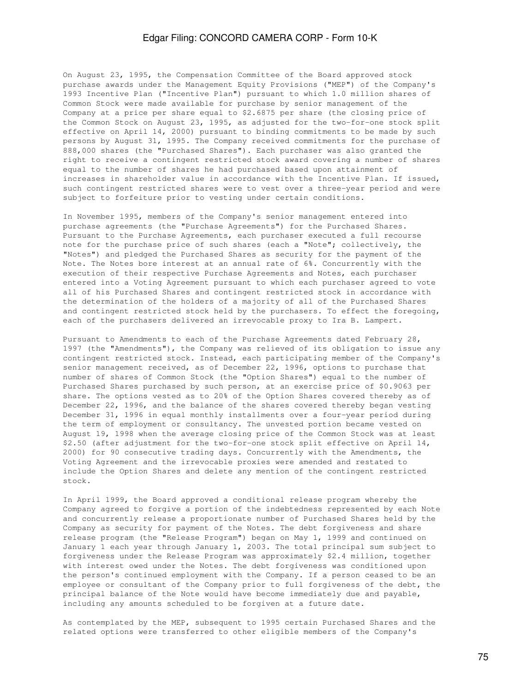On August 23, 1995, the Compensation Committee of the Board approved stock purchase awards under the Management Equity Provisions ("MEP") of the Company's 1993 Incentive Plan ("Incentive Plan") pursuant to which 1.0 million shares of Common Stock were made available for purchase by senior management of the Company at a price per share equal to \$2.6875 per share (the closing price of the Common Stock on August 23, 1995, as adjusted for the two-for-one stock split effective on April 14, 2000) pursuant to binding commitments to be made by such persons by August 31, 1995. The Company received commitments for the purchase of 888,000 shares (the "Purchased Shares"). Each purchaser was also granted the right to receive a contingent restricted stock award covering a number of shares equal to the number of shares he had purchased based upon attainment of increases in shareholder value in accordance with the Incentive Plan. If issued, such contingent restricted shares were to vest over a three-year period and were subject to forfeiture prior to vesting under certain conditions.

In November 1995, members of the Company's senior management entered into purchase agreements (the "Purchase Agreements") for the Purchased Shares. Pursuant to the Purchase Agreements, each purchaser executed a full recourse note for the purchase price of such shares (each a "Note"; collectively, the "Notes") and pledged the Purchased Shares as security for the payment of the Note. The Notes bore interest at an annual rate of 6%. Concurrently with the execution of their respective Purchase Agreements and Notes, each purchaser entered into a Voting Agreement pursuant to which each purchaser agreed to vote all of his Purchased Shares and contingent restricted stock in accordance with the determination of the holders of a majority of all of the Purchased Shares and contingent restricted stock held by the purchasers. To effect the foregoing, each of the purchasers delivered an irrevocable proxy to Ira B. Lampert.

Pursuant to Amendments to each of the Purchase Agreements dated February 28, 1997 (the "Amendments"), the Company was relieved of its obligation to issue any contingent restricted stock. Instead, each participating member of the Company's senior management received, as of December 22, 1996, options to purchase that number of shares of Common Stock (the "Option Shares") equal to the number of Purchased Shares purchased by such person, at an exercise price of \$0.9063 per share. The options vested as to 20% of the Option Shares covered thereby as of December 22, 1996, and the balance of the shares covered thereby began vesting December 31, 1996 in equal monthly installments over a four-year period during the term of employment or consultancy. The unvested portion became vested on August 19, 1998 when the average closing price of the Common Stock was at least \$2.50 (after adjustment for the two-for-one stock split effective on April 14, 2000) for 90 consecutive trading days. Concurrently with the Amendments, the Voting Agreement and the irrevocable proxies were amended and restated to include the Option Shares and delete any mention of the contingent restricted stock.

In April 1999, the Board approved a conditional release program whereby the Company agreed to forgive a portion of the indebtedness represented by each Note and concurrently release a proportionate number of Purchased Shares held by the Company as security for payment of the Notes. The debt forgiveness and share release program (the "Release Program") began on May 1, 1999 and continued on January 1 each year through January 1, 2003. The total principal sum subject to forgiveness under the Release Program was approximately \$2.4 million, together with interest owed under the Notes. The debt forgiveness was conditioned upon the person's continued employment with the Company. If a person ceased to be an employee or consultant of the Company prior to full forgiveness of the debt, the principal balance of the Note would have become immediately due and payable, including any amounts scheduled to be forgiven at a future date.

As contemplated by the MEP, subsequent to 1995 certain Purchased Shares and the related options were transferred to other eligible members of the Company's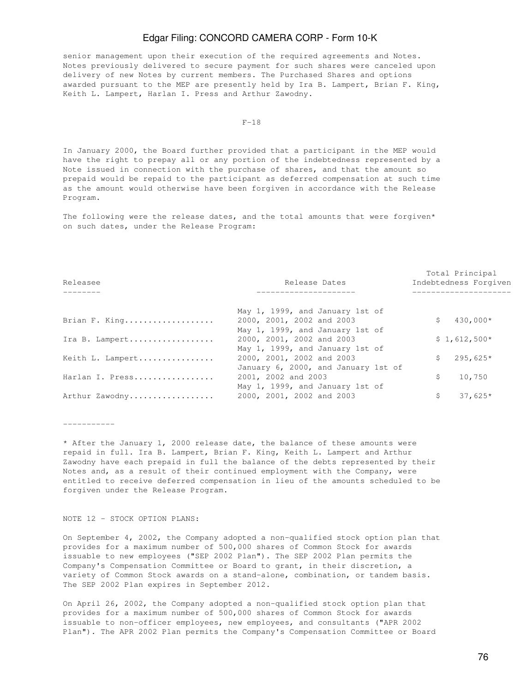senior management upon their execution of the required agreements and Notes. Notes previously delivered to secure payment for such shares were canceled upon delivery of new Notes by current members. The Purchased Shares and options awarded pursuant to the MEP are presently held by Ira B. Lampert, Brian F. King, Keith L. Lampert, Harlan I. Press and Arthur Zawodny.

#### $F-18$

In January 2000, the Board further provided that a participant in the MEP would have the right to prepay all or any portion of the indebtedness represented by a Note issued in connection with the purchase of shares, and that the amount so prepaid would be repaid to the participant as deferred compensation at such time as the amount would otherwise have been forgiven in accordance with the Release Program.

The following were the release dates, and the total amounts that were forgiven\* on such dates, under the Release Program:

| Releasee         | Release Dates                       | Total Principal<br>Indebtedness Forgiven |               |  |
|------------------|-------------------------------------|------------------------------------------|---------------|--|
|                  |                                     |                                          |               |  |
|                  | May 1, 1999, and January 1st of     |                                          |               |  |
| Brian F. King    | 2000, 2001, 2002 and 2003           | S.                                       | 430,000*      |  |
|                  | May 1, 1999, and January 1st of     |                                          |               |  |
| Ira B. Lampert   | 2000, 2001, 2002 and 2003           |                                          | $$1,612,500*$ |  |
|                  | May 1, 1999, and January 1st of     |                                          |               |  |
| Keith L. Lampert | 2000, 2001, 2002 and 2003           | S.                                       | $295,625*$    |  |
|                  | January 6, 2000, and January 1st of |                                          |               |  |
| Harlan I. Press  | 2001, 2002 and 2003                 | Ŝ.                                       | 10,750        |  |
|                  | May 1, 1999, and January 1st of     |                                          |               |  |
| Arthur Zawodny   | 2000, 2001, 2002 and 2003           | \$.                                      | $37,625*$     |  |
|                  |                                     |                                          |               |  |

-----------

\* After the January 1, 2000 release date, the balance of these amounts were repaid in full. Ira B. Lampert, Brian F. King, Keith L. Lampert and Arthur Zawodny have each prepaid in full the balance of the debts represented by their Notes and, as a result of their continued employment with the Company, were entitled to receive deferred compensation in lieu of the amounts scheduled to be forgiven under the Release Program.

#### NOTE 12 - STOCK OPTION PLANS:

On September 4, 2002, the Company adopted a non-qualified stock option plan that provides for a maximum number of 500,000 shares of Common Stock for awards issuable to new employees ("SEP 2002 Plan"). The SEP 2002 Plan permits the Company's Compensation Committee or Board to grant, in their discretion, a variety of Common Stock awards on a stand-alone, combination, or tandem basis. The SEP 2002 Plan expires in September 2012.

On April 26, 2002, the Company adopted a non-qualified stock option plan that provides for a maximum number of 500,000 shares of Common Stock for awards issuable to non-officer employees, new employees, and consultants ("APR 2002 Plan"). The APR 2002 Plan permits the Company's Compensation Committee or Board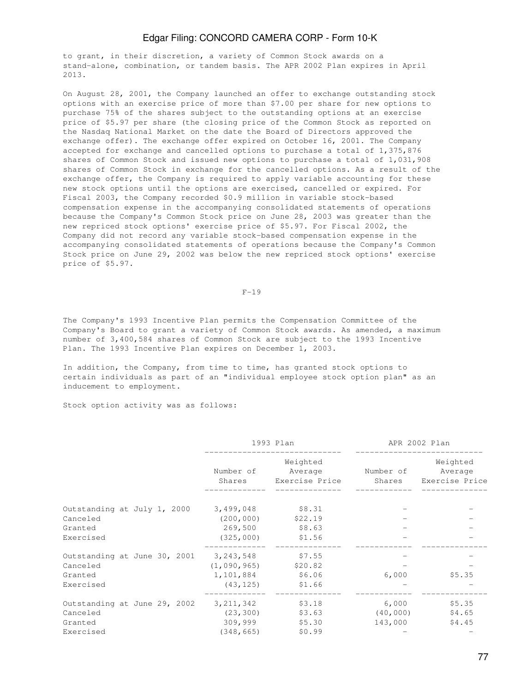to grant, in their discretion, a variety of Common Stock awards on a stand-alone, combination, or tandem basis. The APR 2002 Plan expires in April 2013.

On August 28, 2001, the Company launched an offer to exchange outstanding stock options with an exercise price of more than \$7.00 per share for new options to purchase 75% of the shares subject to the outstanding options at an exercise price of \$5.97 per share (the closing price of the Common Stock as reported on the Nasdaq National Market on the date the Board of Directors approved the exchange offer). The exchange offer expired on October 16, 2001. The Company accepted for exchange and cancelled options to purchase a total of 1,375,876 shares of Common Stock and issued new options to purchase a total of 1,031,908 shares of Common Stock in exchange for the cancelled options. As a result of the exchange offer, the Company is required to apply variable accounting for these new stock options until the options are exercised, cancelled or expired. For Fiscal 2003, the Company recorded \$0.9 million in variable stock-based compensation expense in the accompanying consolidated statements of operations because the Company's Common Stock price on June 28, 2003 was greater than the new repriced stock options' exercise price of \$5.97. For Fiscal 2002, the Company did not record any variable stock-based compensation expense in the accompanying consolidated statements of operations because the Company's Common Stock price on June 29, 2002 was below the new repriced stock options' exercise price of \$5.97.

 $F-19$ 

The Company's 1993 Incentive Plan permits the Compensation Committee of the Company's Board to grant a variety of Common Stock awards. As amended, a maximum number of 3,400,584 shares of Common Stock are subject to the 1993 Incentive Plan. The 1993 Incentive Plan expires on December 1, 2003.

In addition, the Company, from time to time, has granted stock options to certain individuals as part of an "individual employee stock option plan" as an inducement to employment.

Stock option activity was as follows:

|                                                                  | 1993 Plan                                          |                                       | APR 2002 Plan                 |                                       |
|------------------------------------------------------------------|----------------------------------------------------|---------------------------------------|-------------------------------|---------------------------------------|
|                                                                  | Number of<br>Shares                                | Weighted<br>Average<br>Exercise Price | Number of<br>Shares           | Weighted<br>Average<br>Exercise Price |
| Outstanding at July 1, 2000<br>Canceled                          | 3,499,048<br>(200, 000)                            | \$8.31<br>\$22.19                     |                               |                                       |
| Granted<br>Exercised                                             | 269,500<br>(325,000)                               | \$8.63<br>\$1.56                      |                               |                                       |
| Outstanding at June 30, 2001<br>Canceled<br>Granted<br>Exercised | 3,243,548<br>(1,090,965)<br>1,101,884<br>(43, 125) | \$7.55<br>\$20.82<br>\$6.06<br>\$1.66 | 6,000                         | \$5.35                                |
| Outstanding at June 29, 2002<br>Canceled<br>Granted<br>Exercised | 3, 211, 342<br>(23, 300)<br>309,999<br>(348, 665)  | \$3.18<br>\$3.63<br>\$5.30<br>\$0.99  | 6,000<br>(40, 000)<br>143,000 | \$5.35<br>\$4.65<br>\$4.45            |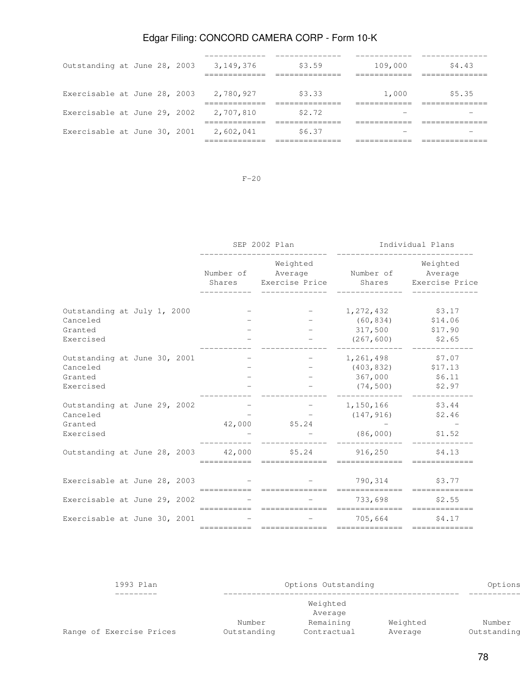| Outstanding at June 28, 2003 |  |  | 3,149,376 | \$3.59 | 109,000 | \$4.43 |
|------------------------------|--|--|-----------|--------|---------|--------|
| Exercisable at June 28, 2003 |  |  | 2,780,927 | \$3.33 | 1,000   | \$5.35 |
| Exercisable at June 29, 2002 |  |  | 2,707,810 | \$2.72 |         |        |
| Exercisable at June 30, 2001 |  |  | 2,602,041 | \$6.37 |         |        |
|                              |  |  |           |        |         |        |

F-20

|                              |  |  | SEP 2002 Plan |                                                                      |                                             | Individual Plans               |  |
|------------------------------|--|--|---------------|----------------------------------------------------------------------|---------------------------------------------|--------------------------------|--|
|                              |  |  | Number of     | Weighted<br>Shares Exercise Price Shares Exercise Price              | Average Number of Average                   | Weighted                       |  |
| Outstanding at July 1, 2000  |  |  |               | $-$                                                                  | 1, 272, 432 \$3.17                          |                                |  |
| Canceled                     |  |  |               |                                                                      | $(60, 834)$ \$14.06                         |                                |  |
| Granted                      |  |  |               |                                                                      | 317,500                                     | \$17.90                        |  |
| Exercised                    |  |  |               |                                                                      |                                             | $(267, 600)$ \$2.65            |  |
| Outstanding at June 30, 2001 |  |  |               | $\mathcal{L} = \{1, \ldots, n\}$                                     | 1,261,498 \$7.07                            |                                |  |
| Canceled                     |  |  |               |                                                                      | $(403, 832)$ \$17.13                        |                                |  |
| Granted                      |  |  |               |                                                                      | 367,000 \$6.11                              |                                |  |
| Exercised                    |  |  |               |                                                                      | $(74, 500)$ \$2.97                          |                                |  |
| Outstanding at June 29, 2002 |  |  |               | the contract of the contract of the                                  | 1, 150, 166 \$3.44                          |                                |  |
| Canceled                     |  |  |               |                                                                      | $(147, 916)$ \$2.46                         |                                |  |
| Granted                      |  |  |               | 42,000 \$5.24                                                        |                                             |                                |  |
| Exercised                    |  |  |               |                                                                      | $(86,000)$ \$1.52                           |                                |  |
|                              |  |  |               | Outstanding at June 28, 2003 42,000 \$5.24 916,250<br>============== | ==============                              | \$4.13                         |  |
| Exercisable at June 28, 2003 |  |  |               |                                                                      | 790,314 \$3.77                              |                                |  |
| Exercisable at June 29, 2002 |  |  |               |                                                                      | . _ _ _ _ _ _ _ _ _ _ _ _<br>733,698 \$2.55 |                                |  |
|                              |  |  |               | ===========================                                          |                                             | ============================== |  |
| Exercisable at June 30, 2001 |  |  |               |                                                                      | 705,664                                     | \$4.17                         |  |
|                              |  |  | ===========   | ==============                                                       | ==============                              | =============                  |  |

| 1993 Plan                |                       | Options Outstanding      |                     |                       |  |  |
|--------------------------|-----------------------|--------------------------|---------------------|-----------------------|--|--|
|                          |                       |                          |                     |                       |  |  |
| Range of Exercise Prices | Number<br>Outstanding | Remaining<br>Contractual | Weighted<br>Average | Number<br>Outstanding |  |  |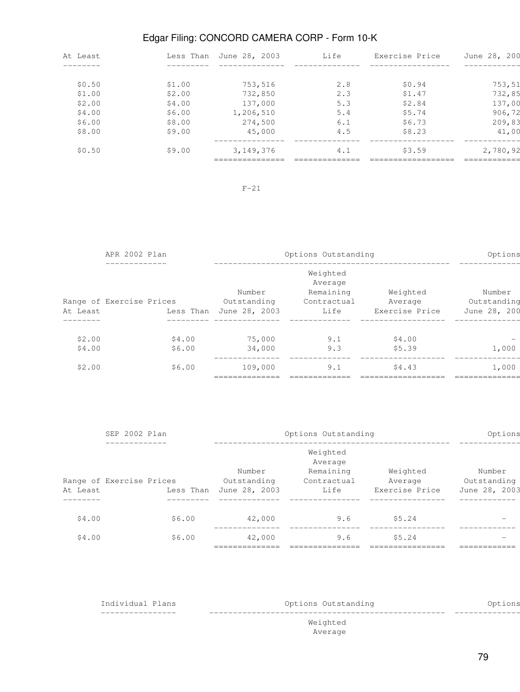| At Least | Less Than | June 28, 2003 | Life | Exercise Price | June 28, 200 |
|----------|-----------|---------------|------|----------------|--------------|
|          |           |               |      |                |              |
| \$0.50   | \$1.00    | 753,516       | 2.8  | \$0.94         | 753,51       |
| \$1.00   | \$2.00    | 732,850       | 2.3  | \$1.47         | 732,85       |
| \$2.00   | \$4.00    | 137,000       | 5.3  | \$2.84         | 137,00       |
| \$4.00   | \$6.00    | 1,206,510     | 5.4  | \$5.74         | 906,72       |
| \$6.00   | \$8.00    | 274,500       | 6.1  | \$6.73         | 209,83       |
| \$8.00   | \$9.00    | 45,000        | 4.5  | \$8.23         | 41,00        |
| \$0.50   | \$9.00    | 3, 149, 376   | 4.1  | \$3.59         | 2,780,92     |
|          |           |               |      |                |              |

# F-21

| APR 2002 Plan    |                          |                  |                                        | Options Outstanding                                     |                                       |                                       |  |  |
|------------------|--------------------------|------------------|----------------------------------------|---------------------------------------------------------|---------------------------------------|---------------------------------------|--|--|
| At Least         | Range of Exercise Prices | Less Than        | Number<br>Outstanding<br>June 28, 2003 | Weighted<br>Average<br>Remaining<br>Contractual<br>Life | Weighted<br>Average<br>Exercise Price | Number<br>Outstanding<br>June 28, 200 |  |  |
| \$2.00<br>\$4.00 |                          | \$4.00<br>\$6.00 | 75,000<br>34,000                       | 9.1<br>9.3                                              | \$4.00<br>\$5.39                      | 1,000                                 |  |  |
| \$2.00           |                          | \$6.00           | 109,000                                | 9.1                                                     | \$4.43                                | 1,000                                 |  |  |

|          | SEP 2002 Plan                                       |                                        | Options Outstanding                                     |                                       |                                        |  |  |
|----------|-----------------------------------------------------|----------------------------------------|---------------------------------------------------------|---------------------------------------|----------------------------------------|--|--|
| At Least | __________<br>Range of Exercise Prices<br>Less Than | Number<br>Outstanding<br>June 28, 2003 | Weighted<br>Average<br>Remaining<br>Contractual<br>Life | Weighted<br>Average<br>Exercise Price | Number<br>Outstanding<br>June 28, 2003 |  |  |
| \$4.00   | \$6.00                                              | 42,000                                 | 9.6                                                     | \$5.24                                | $\overline{\phantom{0}}$               |  |  |
| \$4.00   | \$6.00                                              | 42,000                                 | 9.6                                                     | \$5.24                                |                                        |  |  |
|          |                                                     |                                        |                                                         |                                       |                                        |  |  |

| Options |
|---------|
|         |
|         |
|         |
|         |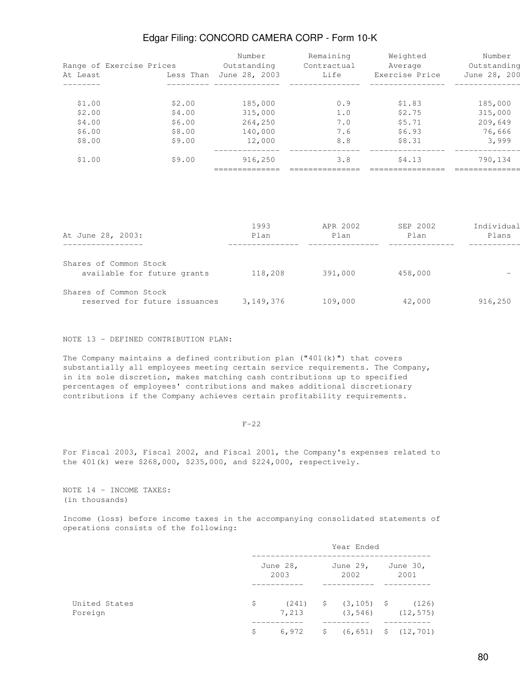|                      | Range of Exercise Prices | Number<br>Outstanding | Remaining<br>Contractual | Weighted<br>Average | Number<br>Outstanding |
|----------------------|--------------------------|-----------------------|--------------------------|---------------------|-----------------------|
| At Least<br>-------- | Less Than                | June 28, 2003         | Life                     | Exercise Price      | June 28, 200          |
|                      |                          |                       |                          |                     |                       |
| \$1.00               | \$2.00                   | 185,000               | 0.9                      | \$1.83              | 185,000               |
| \$2.00               | \$4.00                   | 315,000               | 1.0                      | \$2.75              | 315,000               |
| \$4.00               | \$6.00                   | 264,250               | 7.0                      | \$5.71              | 209,649               |
| \$6.00               | \$8.00                   | 140,000               | 7.6                      | \$6.93              | 76,666                |
| \$8.00               | \$9.00                   | 12,000                | 8.8                      | \$8.31              | 3,999                 |
| \$1.00               | \$9.00                   | 916,250               | 3.8                      | \$4.13              | 790,134               |
|                      |                          |                       |                          |                     |                       |

|                               | 1993      | APR 2002 | SEP 2002 | Individual |
|-------------------------------|-----------|----------|----------|------------|
| At June 28, 2003:             | Plan      | Plan     | Plan     | Plans      |
|                               |           |          |          |            |
| Shares of Common Stock        |           |          |          |            |
| available for future grants   | 118,208   | 391,000  | 458,000  |            |
| Shares of Common Stock        |           |          |          |            |
| reserved for future issuances | 3,149,376 | 109,000  | 42,000   | 916,250    |

NOTE 13 - DEFINED CONTRIBUTION PLAN:

The Company maintains a defined contribution plan  $("401(k)")$  that covers substantially all employees meeting certain service requirements. The Company, in its sole discretion, makes matching cash contributions up to specified percentages of employees' contributions and makes additional discretionary contributions if the Company achieves certain profitability requirements.

 $F-22$ 

For Fiscal 2003, Fiscal 2002, and Fiscal 2001, the Company's expenses related to the 401(k) were \$268,000, \$235,000, and \$224,000, respectively.

NOTE 14 - INCOME TAXES: (in thousands)

Income (loss) before income taxes in the accompanying consolidated statements of operations consists of the following:

|                          |    |                     | Year Ended                                   |                        |
|--------------------------|----|---------------------|----------------------------------------------|------------------------|
|                          |    | June $28$ ,<br>2003 | June 29,<br>2002                             | June 30,<br>2001       |
| United States<br>Foreign | \$ | 7,213               | $(241)$ \$ $(3, 105)$ \$ $(126)$             | $(3, 546)$ $(12, 575)$ |
|                          | Ş  | 6,972               | $\frac{1}{2}$ (6,651) $\frac{1}{2}$ (12,701) |                        |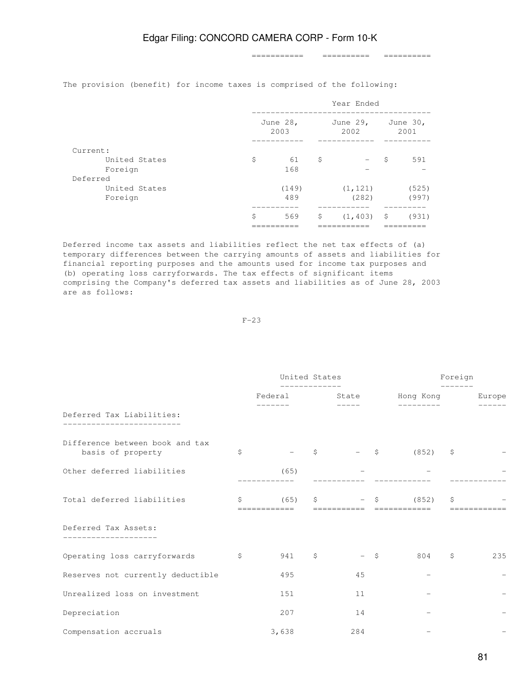=========== ========== ==========

The provision (benefit) for income taxes is comprised of the following:

|               | Year Ended |                  |    |                  |                  |       |  |
|---------------|------------|------------------|----|------------------|------------------|-------|--|
|               |            | June 28,<br>2003 |    | June 29,<br>2002 | June 30,<br>2001 |       |  |
| Current:      |            |                  |    |                  |                  |       |  |
| United States | \$         | 61               | \$ |                  | -S               | 591   |  |
| Foreign       |            | 168              |    |                  |                  |       |  |
| Deferred      |            |                  |    |                  |                  |       |  |
| United States |            | (149)            |    | (1, 121)         |                  | (525) |  |
| Foreign       |            | 489              |    | (282)            |                  | (997) |  |
|               |            |                  |    |                  |                  |       |  |
|               | \$         | 569              | \$ | $(1, 403)$ \$    |                  | (931) |  |
|               |            |                  |    |                  |                  |       |  |

Deferred income tax assets and liabilities reflect the net tax effects of (a) temporary differences between the carrying amounts of assets and liabilities for financial reporting purposes and the amounts used for income tax purposes and (b) operating loss carryforwards. The tax effects of significant items comprising the Company's deferred tax assets and liabilities as of June 28, 2003 are as follows:

 $F-23$ 

|                                                      |               | United States            |   |                     |        |                                      | Foreign |     |
|------------------------------------------------------|---------------|--------------------------|---|---------------------|--------|--------------------------------------|---------|-----|
|                                                      |               | -------------<br>Federal |   | $--- - - -$         |        | State Hong Kong Burope<br>---------- |         |     |
| Deferred Tax Liabilities:                            |               |                          |   |                     |        |                                      |         |     |
| Difference between book and tax<br>basis of property | \$            | $\overline{\phantom{a}}$ | S | $ \sim$ $\sim$      |        | $(852)$ \$                           |         |     |
| Other deferred liabilities                           |               | (65)                     |   |                     |        |                                      |         |     |
| Total deferred liabilities                           | $\mathsf{S}$  | (65)<br>============     | S | $-5$<br>=========== |        | (852)<br>============                | \$      |     |
| Deferred Tax Assets:                                 |               |                          |   |                     |        |                                      |         |     |
| Operating loss carryforwards                         | $\mathcal{S}$ | 941 \$                   |   |                     | $-$ \$ | $804$ \$                             |         | 235 |
| Reserves not currently deductible                    |               | 495                      |   | 45                  |        |                                      |         |     |
| Unrealized loss on investment                        |               | 151                      |   | 11                  |        |                                      |         |     |
| Depreciation                                         |               | 207                      |   | 14                  |        |                                      |         |     |
| Compensation accruals                                |               | 3,638                    |   | 284                 |        |                                      |         |     |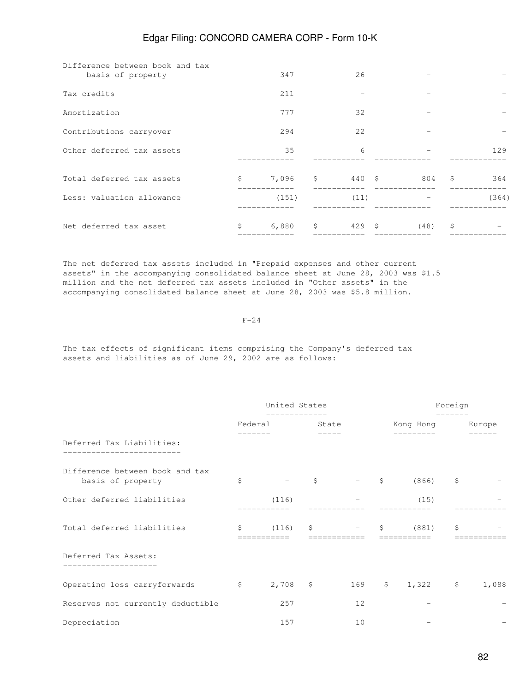| Difference between book and tax<br>basis of property | 347         |            | 26     |      |              |       |
|------------------------------------------------------|-------------|------------|--------|------|--------------|-------|
| Tax credits                                          | 211         |            |        |      |              |       |
| Amortization                                         | 777         |            | 32     |      |              |       |
| Contributions carryover                              | 294         |            | 22     |      |              |       |
| Other deferred tax assets                            | 35          |            | 6      |      |              | 129   |
| Total deferred tax assets                            | \$<br>7,096 | $\ddot{s}$ | 440 \$ | 804  | $\mathsf{S}$ | 364   |
| Less: valuation allowance                            | (151)       |            | (11)   |      |              | (364) |
| Net deferred tax asset                               | \$<br>6,880 | \$         | 429S   | (48) | \$           |       |

The net deferred tax assets included in "Prepaid expenses and other current assets" in the accompanying consolidated balance sheet at June 28, 2003 was \$1.5 million and the net deferred tax assets included in "Other assets" in the accompanying consolidated balance sheet at June 28, 2003 was \$5.8 million.

 $F-24$ 

The tax effects of significant items comprising the Company's deferred tax assets and liabilities as of June 29, 2002 are as follows:

|                                                      | United States              |       |                                            |                          | Foreign  |                          |
|------------------------------------------------------|----------------------------|-------|--------------------------------------------|--------------------------|----------|--------------------------|
|                                                      | -------------<br>Federal   | State |                                            | Kong Hong Europe         | -------- |                          |
| Deferred Tax Liabilities:                            |                            |       |                                            |                          |          |                          |
| Difference between book and tax<br>basis of property | \$                         |       | $ \zeta$ $ \zeta$                          | (866)                    | \$       |                          |
| Other deferred liabilities                           | (116)                      |       |                                            | (15)                     |          |                          |
| Total deferred liabilities                           | \$<br>(116)<br>=========== |       | $\mathsf{S}$ $ \mathsf{S}$<br>============ | (881)<br>===========     | \$       | ========                 |
| Deferred Tax Assets:                                 |                            |       |                                            |                          |          |                          |
| Operating loss carryforwards \$                      |                            |       |                                            | 2,708 \$ 169 \$ 1,322 \$ |          | 1,088                    |
| Reserves not currently deductible                    | 257                        |       | 12                                         |                          |          |                          |
| Depreciation                                         | 157                        |       | 10                                         |                          |          | $\overline{\phantom{m}}$ |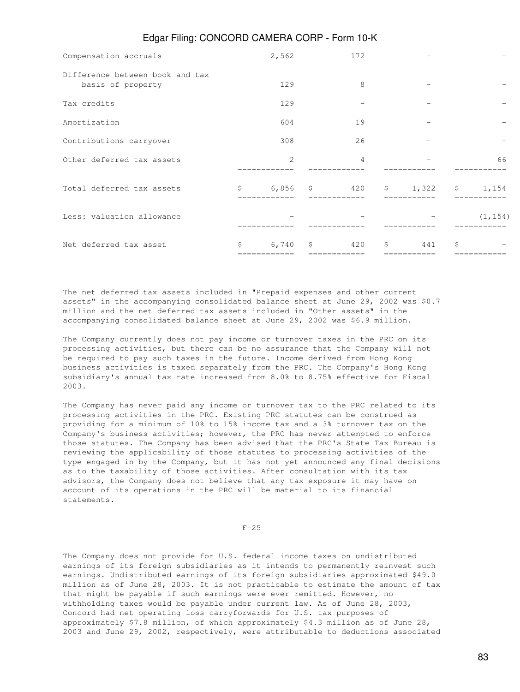| Compensation accruals                                | 2,562                    |              | 172            |              |    |    |
|------------------------------------------------------|--------------------------|--------------|----------------|--------------|----|----|
| Difference between book and tax<br>basis of property | 129                      |              | 8              |              |    |    |
| Tax credits                                          | 129                      |              |                |              |    |    |
| Amortization                                         | 604                      |              | 19             |              |    |    |
| Contributions carryover                              | 308                      |              | 26             |              |    |    |
| Other deferred tax assets                            | 2                        |              | $\overline{4}$ |              |    | 66 |
| Total deferred tax assets                            |                          |              |                |              |    |    |
| Less: valuation allowance                            | $\overline{\phantom{a}}$ |              |                | $-$ (1, 154) |    |    |
| Net deferred tax asset                               | \$<br>6,740              | $\mathsf{S}$ | 420            | \$<br>441    | Ŝ. |    |

The net deferred tax assets included in "Prepaid expenses and other current assets" in the accompanying consolidated balance sheet at June 29, 2002 was \$0.7 million and the net deferred tax assets included in "Other assets" in the accompanying consolidated balance sheet at June 29, 2002 was \$6.9 million.

The Company currently does not pay income or turnover taxes in the PRC on its processing activities, but there can be no assurance that the Company will not be required to pay such taxes in the future. Income derived from Hong Kong business activities is taxed separately from the PRC. The Company's Hong Kong subsidiary's annual tax rate increased from 8.0% to 8.75% effective for Fiscal 2003.

The Company has never paid any income or turnover tax to the PRC related to its processing activities in the PRC. Existing PRC statutes can be construed as providing for a minimum of 10% to 15% income tax and a 3% turnover tax on the Company's business activities; however, the PRC has never attempted to enforce those statutes. The Company has been advised that the PRC's State Tax Bureau is reviewing the applicability of those statutes to processing activities of the type engaged in by the Company, but it has not yet announced any final decisions as to the taxability of those activities. After consultation with its tax advisors, the Company does not believe that any tax exposure it may have on account of its operations in the PRC will be material to its financial statements.

 $F-25$ 

The Company does not provide for U.S. federal income taxes on undistributed earnings of its foreign subsidiaries as it intends to permanently reinvest such earnings. Undistributed earnings of its foreign subsidiaries approximated \$49.0 million as of June 28, 2003. It is not practicable to estimate the amount of tax that might be payable if such earnings were ever remitted. However, no withholding taxes would be payable under current law. As of June 28, 2003, Concord had net operating loss carryforwards for U.S. tax purposes of approximately \$7.8 million, of which approximately \$4.3 million as of June 28, 2003 and June 29, 2002, respectively, were attributable to deductions associated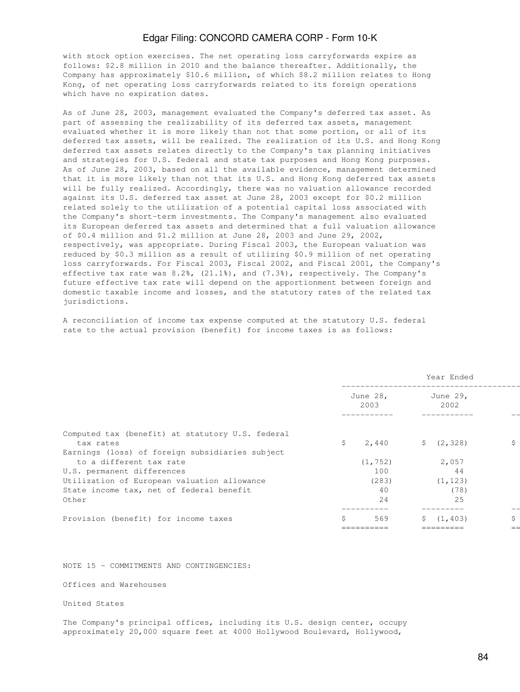with stock option exercises. The net operating loss carryforwards expire as follows: \$2.8 million in 2010 and the balance thereafter. Additionally, the Company has approximately \$10.6 million, of which \$8.2 million relates to Hong Kong, of net operating loss carryforwards related to its foreign operations which have no expiration dates.

As of June 28, 2003, management evaluated the Company's deferred tax asset. As part of assessing the realizability of its deferred tax assets, management evaluated whether it is more likely than not that some portion, or all of its deferred tax assets, will be realized. The realization of its U.S. and Hong Kong deferred tax assets relates directly to the Company's tax planning initiatives and strategies for U.S. federal and state tax purposes and Hong Kong purposes. As of June 28, 2003, based on all the available evidence, management determined that it is more likely than not that its U.S. and Hong Kong deferred tax assets will be fully realized. Accordingly, there was no valuation allowance recorded against its U.S. deferred tax asset at June 28, 2003 except for \$0.2 million related solely to the utilization of a potential capital loss associated with the Company's short-term investments. The Company's management also evaluated its European deferred tax assets and determined that a full valuation allowance of \$0.4 million and \$1.2 million at June 28, 2003 and June 29, 2002, respectively, was appropriate. During Fiscal 2003, the European valuation was reduced by \$0.3 million as a result of utilizing \$0.9 million of net operating loss carryforwards. For Fiscal 2003, Fiscal 2002, and Fiscal 2001, the Company's effective tax rate was 8.2%, (21.1%), and (7.3%), respectively. The Company's future effective tax rate will depend on the apportionment between foreign and domestic taxable income and losses, and the statutory rates of the related tax jurisdictions.

A reconciliation of income tax expense computed at the statutory U.S. federal rate to the actual provision (benefit) for income taxes is as follows:

|                                                               |                  | Year Ended            |    |
|---------------------------------------------------------------|------------------|-----------------------|----|
|                                                               | June 28,<br>2003 | June 29,<br>2002      |    |
|                                                               |                  |                       |    |
| Computed tax (benefit) at statutory U.S. federal<br>tax rates | Ŝ.<br>2,440      | $\frac{2}{3}$ (2,328) | \$ |
| Earnings (loss) of foreign subsidiaries subject               |                  |                       |    |
| to a different tax rate                                       | (1, 752)         | 2,057                 |    |
| U.S. permanent differences                                    | 100              | 44                    |    |
| Utilization of European valuation allowance                   | (283)            | (1, 123)              |    |
| State income tax, net of federal benefit                      | 40               | (78)                  |    |
| Other                                                         | 2.4              | 25                    |    |
|                                                               |                  |                       |    |
| Provision (benefit) for income taxes                          | Ś.<br>569        | (1, 403)              | \$ |
|                                                               |                  |                       |    |

NOTE 15 - COMMITMENTS AND CONTINGENCIES:

Offices and Warehouses

United States

The Company's principal offices, including its U.S. design center, occupy approximately 20,000 square feet at 4000 Hollywood Boulevard, Hollywood,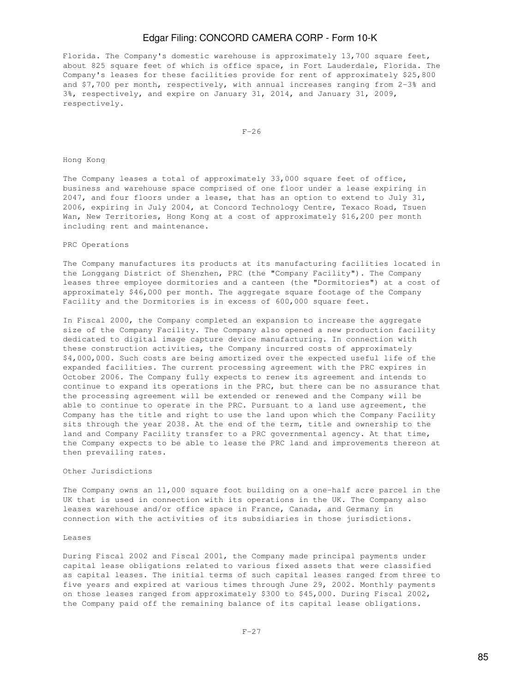Florida. The Company's domestic warehouse is approximately 13,700 square feet, about 825 square feet of which is office space, in Fort Lauderdale, Florida. The Company's leases for these facilities provide for rent of approximately \$25,800 and \$7,700 per month, respectively, with annual increases ranging from 2-3% and 3%, respectively, and expire on January 31, 2014, and January 31, 2009, respectively.

 $F-26$ 

Hong Kong

The Company leases a total of approximately 33,000 square feet of office, business and warehouse space comprised of one floor under a lease expiring in 2047, and four floors under a lease, that has an option to extend to July 31, 2006, expiring in July 2004, at Concord Technology Centre, Texaco Road, Tsuen Wan, New Territories, Hong Kong at a cost of approximately \$16,200 per month including rent and maintenance.

#### PRC Operations

The Company manufactures its products at its manufacturing facilities located in the Longgang District of Shenzhen, PRC (the "Company Facility"). The Company leases three employee dormitories and a canteen (the "Dormitories") at a cost of approximately \$46,000 per month. The aggregate square footage of the Company Facility and the Dormitories is in excess of 600,000 square feet.

In Fiscal 2000, the Company completed an expansion to increase the aggregate size of the Company Facility. The Company also opened a new production facility dedicated to digital image capture device manufacturing. In connection with these construction activities, the Company incurred costs of approximately \$4,000,000. Such costs are being amortized over the expected useful life of the expanded facilities. The current processing agreement with the PRC expires in October 2006. The Company fully expects to renew its agreement and intends to continue to expand its operations in the PRC, but there can be no assurance that the processing agreement will be extended or renewed and the Company will be able to continue to operate in the PRC. Pursuant to a land use agreement, the Company has the title and right to use the land upon which the Company Facility sits through the year 2038. At the end of the term, title and ownership to the land and Company Facility transfer to a PRC governmental agency. At that time, the Company expects to be able to lease the PRC land and improvements thereon at then prevailing rates.

### Other Jurisdictions

The Company owns an 11,000 square foot building on a one-half acre parcel in the UK that is used in connection with its operations in the UK. The Company also leases warehouse and/or office space in France, Canada, and Germany in connection with the activities of its subsidiaries in those jurisdictions.

#### Leases

During Fiscal 2002 and Fiscal 2001, the Company made principal payments under capital lease obligations related to various fixed assets that were classified as capital leases. The initial terms of such capital leases ranged from three to five years and expired at various times through June 29, 2002. Monthly payments on those leases ranged from approximately \$300 to \$45,000. During Fiscal 2002, the Company paid off the remaining balance of its capital lease obligations.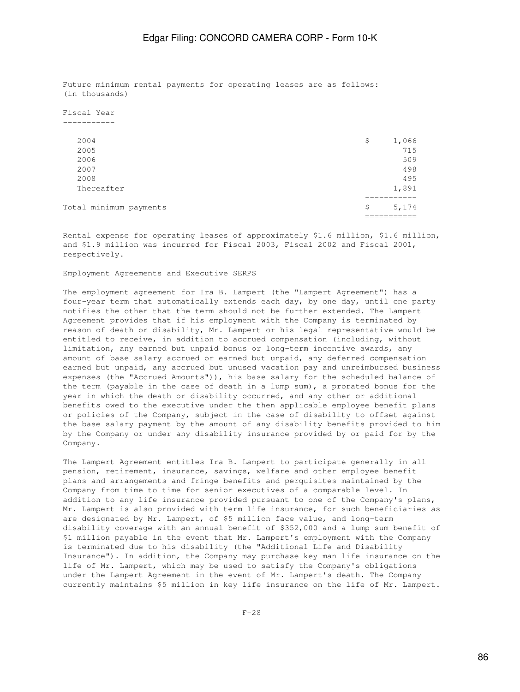Future minimum rental payments for operating leases are as follows: (in thousands)

Fiscal Year -----------

| Total minimum payments | S  | 5,174 |
|------------------------|----|-------|
|                        |    |       |
| Thereafter             |    | 1,891 |
| 2008                   |    | 495   |
| 2007                   |    | 498   |
| 2006                   |    | 509   |
| 2005                   |    | 715   |
| 2004                   | \$ | 1,066 |
|                        |    |       |

Rental expense for operating leases of approximately \$1.6 million, \$1.6 million, and \$1.9 million was incurred for Fiscal 2003, Fiscal 2002 and Fiscal 2001, respectively.

Employment Agreements and Executive SERPS

The employment agreement for Ira B. Lampert (the "Lampert Agreement") has a four-year term that automatically extends each day, by one day, until one party notifies the other that the term should not be further extended. The Lampert Agreement provides that if his employment with the Company is terminated by reason of death or disability, Mr. Lampert or his legal representative would be entitled to receive, in addition to accrued compensation (including, without limitation, any earned but unpaid bonus or long-term incentive awards, any amount of base salary accrued or earned but unpaid, any deferred compensation earned but unpaid, any accrued but unused vacation pay and unreimbursed business expenses (the "Accrued Amounts")), his base salary for the scheduled balance of the term (payable in the case of death in a lump sum), a prorated bonus for the year in which the death or disability occurred, and any other or additional benefits owed to the executive under the then applicable employee benefit plans or policies of the Company, subject in the case of disability to offset against the base salary payment by the amount of any disability benefits provided to him by the Company or under any disability insurance provided by or paid for by the Company.

The Lampert Agreement entitles Ira B. Lampert to participate generally in all pension, retirement, insurance, savings, welfare and other employee benefit plans and arrangements and fringe benefits and perquisites maintained by the Company from time to time for senior executives of a comparable level. In addition to any life insurance provided pursuant to one of the Company's plans, Mr. Lampert is also provided with term life insurance, for such beneficiaries as are designated by Mr. Lampert, of \$5 million face value, and long-term disability coverage with an annual benefit of \$352,000 and a lump sum benefit of \$1 million payable in the event that Mr. Lampert's employment with the Company is terminated due to his disability (the "Additional Life and Disability Insurance"). In addition, the Company may purchase key man life insurance on the life of Mr. Lampert, which may be used to satisfy the Company's obligations under the Lampert Agreement in the event of Mr. Lampert's death. The Company currently maintains \$5 million in key life insurance on the life of Mr. Lampert.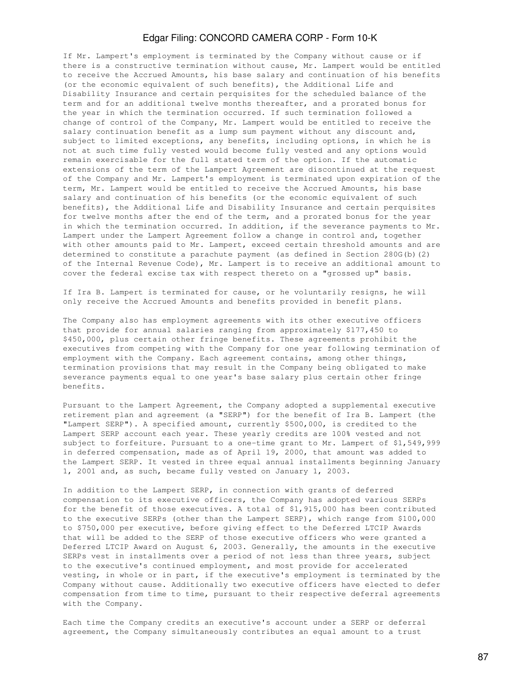If Mr. Lampert's employment is terminated by the Company without cause or if there is a constructive termination without cause, Mr. Lampert would be entitled to receive the Accrued Amounts, his base salary and continuation of his benefits (or the economic equivalent of such benefits), the Additional Life and Disability Insurance and certain perquisites for the scheduled balance of the term and for an additional twelve months thereafter, and a prorated bonus for the year in which the termination occurred. If such termination followed a change of control of the Company, Mr. Lampert would be entitled to receive the salary continuation benefit as a lump sum payment without any discount and, subject to limited exceptions, any benefits, including options, in which he is not at such time fully vested would become fully vested and any options would remain exercisable for the full stated term of the option. If the automatic extensions of the term of the Lampert Agreement are discontinued at the request of the Company and Mr. Lampert's employment is terminated upon expiration of the term, Mr. Lampert would be entitled to receive the Accrued Amounts, his base salary and continuation of his benefits (or the economic equivalent of such benefits), the Additional Life and Disability Insurance and certain perquisites for twelve months after the end of the term, and a prorated bonus for the year in which the termination occurred. In addition, if the severance payments to Mr. Lampert under the Lampert Agreement follow a change in control and, together with other amounts paid to Mr. Lampert, exceed certain threshold amounts and are determined to constitute a parachute payment (as defined in Section 280G(b)(2) of the Internal Revenue Code), Mr. Lampert is to receive an additional amount to cover the federal excise tax with respect thereto on a "grossed up" basis.

If Ira B. Lampert is terminated for cause, or he voluntarily resigns, he will only receive the Accrued Amounts and benefits provided in benefit plans.

The Company also has employment agreements with its other executive officers that provide for annual salaries ranging from approximately \$177,450 to \$450,000, plus certain other fringe benefits. These agreements prohibit the executives from competing with the Company for one year following termination of employment with the Company. Each agreement contains, among other things, termination provisions that may result in the Company being obligated to make severance payments equal to one year's base salary plus certain other fringe benefits.

Pursuant to the Lampert Agreement, the Company adopted a supplemental executive retirement plan and agreement (a "SERP") for the benefit of Ira B. Lampert (the "Lampert SERP"). A specified amount, currently \$500,000, is credited to the Lampert SERP account each year. These yearly credits are 100% vested and not subject to forfeiture. Pursuant to a one-time grant to Mr. Lampert of \$1,549,999 in deferred compensation, made as of April 19, 2000, that amount was added to the Lampert SERP. It vested in three equal annual installments beginning January 1, 2001 and, as such, became fully vested on January 1, 2003.

In addition to the Lampert SERP, in connection with grants of deferred compensation to its executive officers, the Company has adopted various SERPs for the benefit of those executives. A total of \$1,915,000 has been contributed to the executive SERPs (other than the Lampert SERP), which range from \$100,000 to \$750,000 per executive, before giving effect to the Deferred LTCIP Awards that will be added to the SERP of those executive officers who were granted a Deferred LTCIP Award on August 6, 2003. Generally, the amounts in the executive SERPs vest in installments over a period of not less than three years, subject to the executive's continued employment, and most provide for accelerated vesting, in whole or in part, if the executive's employment is terminated by the Company without cause. Additionally two executive officers have elected to defer compensation from time to time, pursuant to their respective deferral agreements with the Company.

Each time the Company credits an executive's account under a SERP or deferral agreement, the Company simultaneously contributes an equal amount to a trust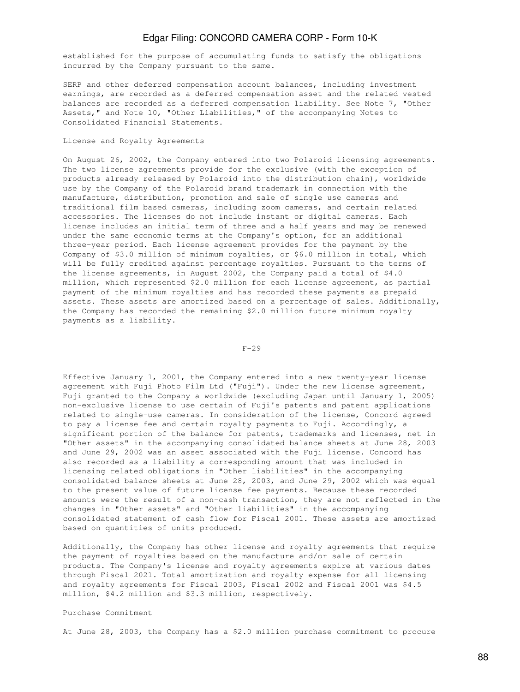established for the purpose of accumulating funds to satisfy the obligations incurred by the Company pursuant to the same.

SERP and other deferred compensation account balances, including investment earnings, are recorded as a deferred compensation asset and the related vested balances are recorded as a deferred compensation liability. See Note 7, "Other Assets," and Note 10, "Other Liabilities," of the accompanying Notes to Consolidated Financial Statements.

#### License and Royalty Agreements

On August 26, 2002, the Company entered into two Polaroid licensing agreements. The two license agreements provide for the exclusive (with the exception of products already released by Polaroid into the distribution chain), worldwide use by the Company of the Polaroid brand trademark in connection with the manufacture, distribution, promotion and sale of single use cameras and traditional film based cameras, including zoom cameras, and certain related accessories. The licenses do not include instant or digital cameras. Each license includes an initial term of three and a half years and may be renewed under the same economic terms at the Company's option, for an additional three-year period. Each license agreement provides for the payment by the Company of \$3.0 million of minimum royalties, or \$6.0 million in total, which will be fully credited against percentage royalties. Pursuant to the terms of the license agreements, in August 2002, the Company paid a total of \$4.0 million, which represented \$2.0 million for each license agreement, as partial payment of the minimum royalties and has recorded these payments as prepaid assets. These assets are amortized based on a percentage of sales. Additionally, the Company has recorded the remaining \$2.0 million future minimum royalty payments as a liability.

 $F-29$ 

Effective January 1, 2001, the Company entered into a new twenty-year license agreement with Fuji Photo Film Ltd ("Fuji"). Under the new license agreement, Fuji granted to the Company a worldwide (excluding Japan until January 1, 2005) non-exclusive license to use certain of Fuji's patents and patent applications related to single-use cameras. In consideration of the license, Concord agreed to pay a license fee and certain royalty payments to Fuji. Accordingly, a significant portion of the balance for patents, trademarks and licenses, net in "Other assets" in the accompanying consolidated balance sheets at June 28, 2003 and June 29, 2002 was an asset associated with the Fuji license. Concord has also recorded as a liability a corresponding amount that was included in licensing related obligations in "Other liabilities" in the accompanying consolidated balance sheets at June 28, 2003, and June 29, 2002 which was equal to the present value of future license fee payments. Because these recorded amounts were the result of a non-cash transaction, they are not reflected in the changes in "Other assets" and "Other liabilities" in the accompanying consolidated statement of cash flow for Fiscal 2001. These assets are amortized based on quantities of units produced.

Additionally, the Company has other license and royalty agreements that require the payment of royalties based on the manufacture and/or sale of certain products. The Company's license and royalty agreements expire at various dates through Fiscal 2021. Total amortization and royalty expense for all licensing and royalty agreements for Fiscal 2003, Fiscal 2002 and Fiscal 2001 was \$4.5 million, \$4.2 million and \$3.3 million, respectively.

#### Purchase Commitment

At June 28, 2003, the Company has a \$2.0 million purchase commitment to procure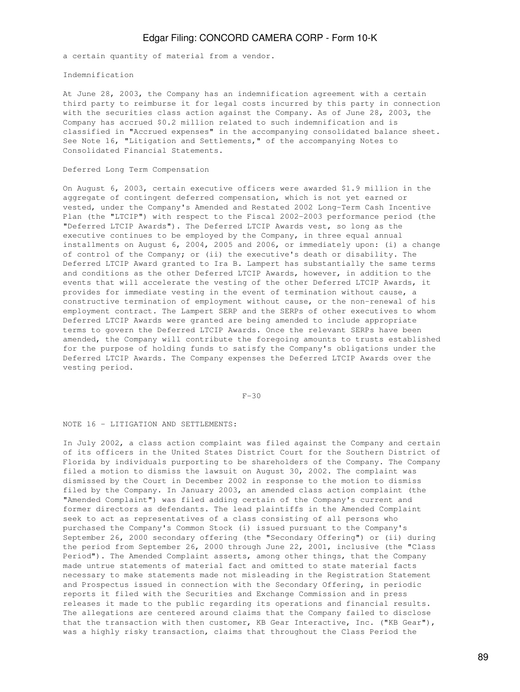a certain quantity of material from a vendor.

Indemnification

At June 28, 2003, the Company has an indemnification agreement with a certain third party to reimburse it for legal costs incurred by this party in connection with the securities class action against the Company. As of June 28, 2003, the Company has accrued \$0.2 million related to such indemnification and is classified in "Accrued expenses" in the accompanying consolidated balance sheet. See Note 16, "Litigation and Settlements," of the accompanying Notes to Consolidated Financial Statements.

#### Deferred Long Term Compensation

On August 6, 2003, certain executive officers were awarded \$1.9 million in the aggregate of contingent deferred compensation, which is not yet earned or vested, under the Company's Amended and Restated 2002 Long-Term Cash Incentive Plan (the "LTCIP") with respect to the Fiscal 2002-2003 performance period (the "Deferred LTCIP Awards"). The Deferred LTCIP Awards vest, so long as the executive continues to be employed by the Company, in three equal annual installments on August 6, 2004, 2005 and 2006, or immediately upon: (i) a change of control of the Company; or (ii) the executive's death or disability. The Deferred LTCIP Award granted to Ira B. Lampert has substantially the same terms and conditions as the other Deferred LTCIP Awards, however, in addition to the events that will accelerate the vesting of the other Deferred LTCIP Awards, it provides for immediate vesting in the event of termination without cause, a constructive termination of employment without cause, or the non-renewal of his employment contract. The Lampert SERP and the SERPs of other executives to whom Deferred LTCIP Awards were granted are being amended to include appropriate terms to govern the Deferred LTCIP Awards. Once the relevant SERPs have been amended, the Company will contribute the foregoing amounts to trusts established for the purpose of holding funds to satisfy the Company's obligations under the Deferred LTCIP Awards. The Company expenses the Deferred LTCIP Awards over the vesting period.

#### F-30

#### NOTE 16 - LITIGATION AND SETTLEMENTS:

In July 2002, a class action complaint was filed against the Company and certain of its officers in the United States District Court for the Southern District of Florida by individuals purporting to be shareholders of the Company. The Company filed a motion to dismiss the lawsuit on August 30, 2002. The complaint was dismissed by the Court in December 2002 in response to the motion to dismiss filed by the Company. In January 2003, an amended class action complaint (the "Amended Complaint") was filed adding certain of the Company's current and former directors as defendants. The lead plaintiffs in the Amended Complaint seek to act as representatives of a class consisting of all persons who purchased the Company's Common Stock (i) issued pursuant to the Company's September 26, 2000 secondary offering (the "Secondary Offering") or (ii) during the period from September 26, 2000 through June 22, 2001, inclusive (the "Class Period"). The Amended Complaint asserts, among other things, that the Company made untrue statements of material fact and omitted to state material facts necessary to make statements made not misleading in the Registration Statement and Prospectus issued in connection with the Secondary Offering, in periodic reports it filed with the Securities and Exchange Commission and in press releases it made to the public regarding its operations and financial results. The allegations are centered around claims that the Company failed to disclose that the transaction with then customer, KB Gear Interactive, Inc. ("KB Gear"), was a highly risky transaction, claims that throughout the Class Period the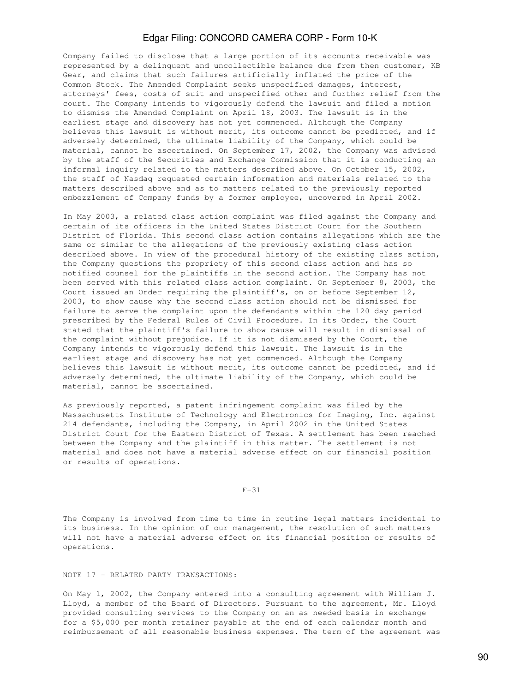Company failed to disclose that a large portion of its accounts receivable was represented by a delinquent and uncollectible balance due from then customer, KB Gear, and claims that such failures artificially inflated the price of the Common Stock. The Amended Complaint seeks unspecified damages, interest, attorneys' fees, costs of suit and unspecified other and further relief from the court. The Company intends to vigorously defend the lawsuit and filed a motion to dismiss the Amended Complaint on April 18, 2003. The lawsuit is in the earliest stage and discovery has not yet commenced. Although the Company believes this lawsuit is without merit, its outcome cannot be predicted, and if adversely determined, the ultimate liability of the Company, which could be material, cannot be ascertained. On September 17, 2002, the Company was advised by the staff of the Securities and Exchange Commission that it is conducting an informal inquiry related to the matters described above. On October 15, 2002, the staff of Nasdaq requested certain information and materials related to the matters described above and as to matters related to the previously reported embezzlement of Company funds by a former employee, uncovered in April 2002.

In May 2003, a related class action complaint was filed against the Company and certain of its officers in the United States District Court for the Southern District of Florida. This second class action contains allegations which are the same or similar to the allegations of the previously existing class action described above. In view of the procedural history of the existing class action, the Company questions the propriety of this second class action and has so notified counsel for the plaintiffs in the second action. The Company has not been served with this related class action complaint. On September 8, 2003, the Court issued an Order requiring the plaintiff's, on or before September 12, 2003, to show cause why the second class action should not be dismissed for failure to serve the complaint upon the defendants within the 120 day period prescribed by the Federal Rules of Civil Procedure. In its Order, the Court stated that the plaintiff's failure to show cause will result in dismissal of the complaint without prejudice. If it is not dismissed by the Court, the Company intends to vigorously defend this lawsuit. The lawsuit is in the earliest stage and discovery has not yet commenced. Although the Company believes this lawsuit is without merit, its outcome cannot be predicted, and if adversely determined, the ultimate liability of the Company, which could be material, cannot be ascertained.

As previously reported, a patent infringement complaint was filed by the Massachusetts Institute of Technology and Electronics for Imaging, Inc. against 214 defendants, including the Company, in April 2002 in the United States District Court for the Eastern District of Texas. A settlement has been reached between the Company and the plaintiff in this matter. The settlement is not material and does not have a material adverse effect on our financial position or results of operations.

F-31

The Company is involved from time to time in routine legal matters incidental to its business. In the opinion of our management, the resolution of such matters will not have a material adverse effect on its financial position or results of operations.

NOTE 17 - RELATED PARTY TRANSACTIONS:

On May 1, 2002, the Company entered into a consulting agreement with William J. Lloyd, a member of the Board of Directors. Pursuant to the agreement, Mr. Lloyd provided consulting services to the Company on an as needed basis in exchange for a \$5,000 per month retainer payable at the end of each calendar month and reimbursement of all reasonable business expenses. The term of the agreement was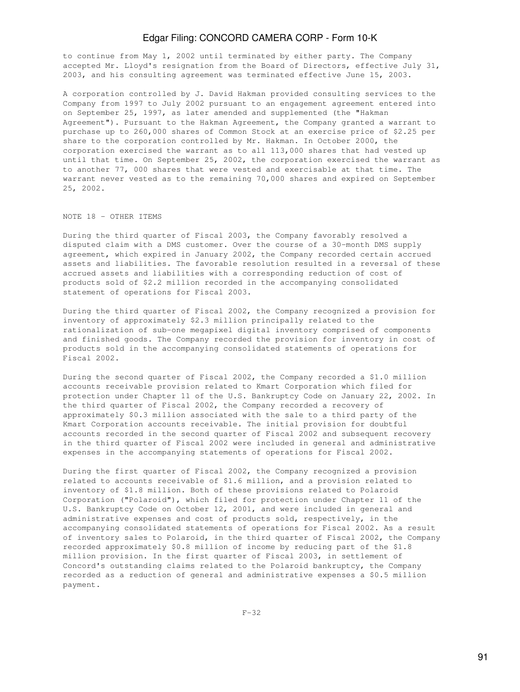to continue from May 1, 2002 until terminated by either party. The Company accepted Mr. Lloyd's resignation from the Board of Directors, effective July 31, 2003, and his consulting agreement was terminated effective June 15, 2003.

A corporation controlled by J. David Hakman provided consulting services to the Company from 1997 to July 2002 pursuant to an engagement agreement entered into on September 25, 1997, as later amended and supplemented (the "Hakman Agreement"). Pursuant to the Hakman Agreement, the Company granted a warrant to purchase up to 260,000 shares of Common Stock at an exercise price of \$2.25 per share to the corporation controlled by Mr. Hakman. In October 2000, the corporation exercised the warrant as to all 113,000 shares that had vested up until that time. On September 25, 2002, the corporation exercised the warrant as to another 77, 000 shares that were vested and exercisable at that time. The warrant never vested as to the remaining 70,000 shares and expired on September 25, 2002.

#### NOTE 18 - OTHER ITEMS

During the third quarter of Fiscal 2003, the Company favorably resolved a disputed claim with a DMS customer. Over the course of a 30-month DMS supply agreement, which expired in January 2002, the Company recorded certain accrued assets and liabilities. The favorable resolution resulted in a reversal of these accrued assets and liabilities with a corresponding reduction of cost of products sold of \$2.2 million recorded in the accompanying consolidated statement of operations for Fiscal 2003.

During the third quarter of Fiscal 2002, the Company recognized a provision for inventory of approximately \$2.3 million principally related to the rationalization of sub-one megapixel digital inventory comprised of components and finished goods. The Company recorded the provision for inventory in cost of products sold in the accompanying consolidated statements of operations for Fiscal 2002.

During the second quarter of Fiscal 2002, the Company recorded a \$1.0 million accounts receivable provision related to Kmart Corporation which filed for protection under Chapter 11 of the U.S. Bankruptcy Code on January 22, 2002. In the third quarter of Fiscal 2002, the Company recorded a recovery of approximately \$0.3 million associated with the sale to a third party of the Kmart Corporation accounts receivable. The initial provision for doubtful accounts recorded in the second quarter of Fiscal 2002 and subsequent recovery in the third quarter of Fiscal 2002 were included in general and administrative expenses in the accompanying statements of operations for Fiscal 2002.

During the first quarter of Fiscal 2002, the Company recognized a provision related to accounts receivable of \$1.6 million, and a provision related to inventory of \$1.8 million. Both of these provisions related to Polaroid Corporation ("Polaroid"), which filed for protection under Chapter 11 of the U.S. Bankruptcy Code on October 12, 2001, and were included in general and administrative expenses and cost of products sold, respectively, in the accompanying consolidated statements of operations for Fiscal 2002. As a result of inventory sales to Polaroid, in the third quarter of Fiscal 2002, the Company recorded approximately \$0.8 million of income by reducing part of the \$1.8 million provision. In the first quarter of Fiscal 2003, in settlement of Concord's outstanding claims related to the Polaroid bankruptcy, the Company recorded as a reduction of general and administrative expenses a \$0.5 million payment.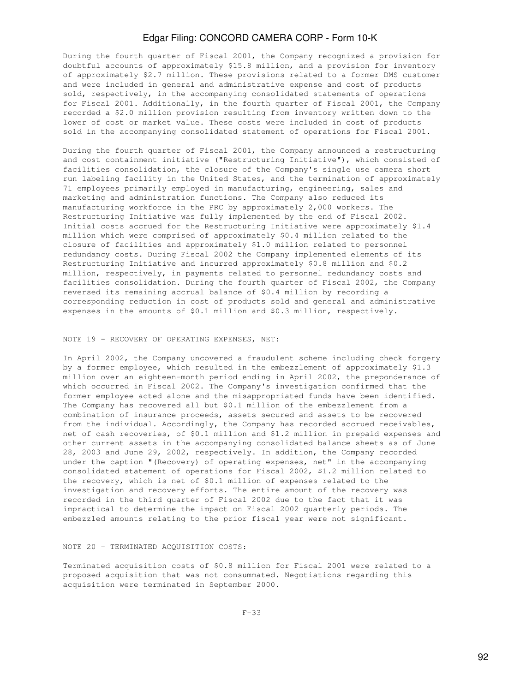During the fourth quarter of Fiscal 2001, the Company recognized a provision for doubtful accounts of approximately \$15.8 million, and a provision for inventory of approximately \$2.7 million. These provisions related to a former DMS customer and were included in general and administrative expense and cost of products sold, respectively, in the accompanying consolidated statements of operations for Fiscal 2001. Additionally, in the fourth quarter of Fiscal 2001, the Company recorded a \$2.0 million provision resulting from inventory written down to the lower of cost or market value. These costs were included in cost of products sold in the accompanying consolidated statement of operations for Fiscal 2001.

During the fourth quarter of Fiscal 2001, the Company announced a restructuring and cost containment initiative ("Restructuring Initiative"), which consisted of facilities consolidation, the closure of the Company's single use camera short run labeling facility in the United States, and the termination of approximately 71 employees primarily employed in manufacturing, engineering, sales and marketing and administration functions. The Company also reduced its manufacturing workforce in the PRC by approximately 2,000 workers. The Restructuring Initiative was fully implemented by the end of Fiscal 2002. Initial costs accrued for the Restructuring Initiative were approximately \$1.4 million which were comprised of approximately \$0.4 million related to the closure of facilities and approximately \$1.0 million related to personnel redundancy costs. During Fiscal 2002 the Company implemented elements of its Restructuring Initiative and incurred approximately \$0.8 million and \$0.2 million, respectively, in payments related to personnel redundancy costs and facilities consolidation. During the fourth quarter of Fiscal 2002, the Company reversed its remaining accrual balance of \$0.4 million by recording a corresponding reduction in cost of products sold and general and administrative expenses in the amounts of \$0.1 million and \$0.3 million, respectively.

#### NOTE 19 - RECOVERY OF OPERATING EXPENSES, NET:

In April 2002, the Company uncovered a fraudulent scheme including check forgery by a former employee, which resulted in the embezzlement of approximately \$1.3 million over an eighteen-month period ending in April 2002, the preponderance of which occurred in Fiscal 2002. The Company's investigation confirmed that the former employee acted alone and the misappropriated funds have been identified. The Company has recovered all but \$0.1 million of the embezzlement from a combination of insurance proceeds, assets secured and assets to be recovered from the individual. Accordingly, the Company has recorded accrued receivables, net of cash recoveries, of \$0.1 million and \$1.2 million in prepaid expenses and other current assets in the accompanying consolidated balance sheets as of June 28, 2003 and June 29, 2002, respectively. In addition, the Company recorded under the caption "(Recovery) of operating expenses, net" in the accompanying consolidated statement of operations for Fiscal 2002, \$1.2 million related to the recovery, which is net of \$0.1 million of expenses related to the investigation and recovery efforts. The entire amount of the recovery was recorded in the third quarter of Fiscal 2002 due to the fact that it was impractical to determine the impact on Fiscal 2002 quarterly periods. The embezzled amounts relating to the prior fiscal year were not significant.

### NOTE 20 - TERMINATED ACQUISITION COSTS:

Terminated acquisition costs of \$0.8 million for Fiscal 2001 were related to a proposed acquisition that was not consummated. Negotiations regarding this acquisition were terminated in September 2000.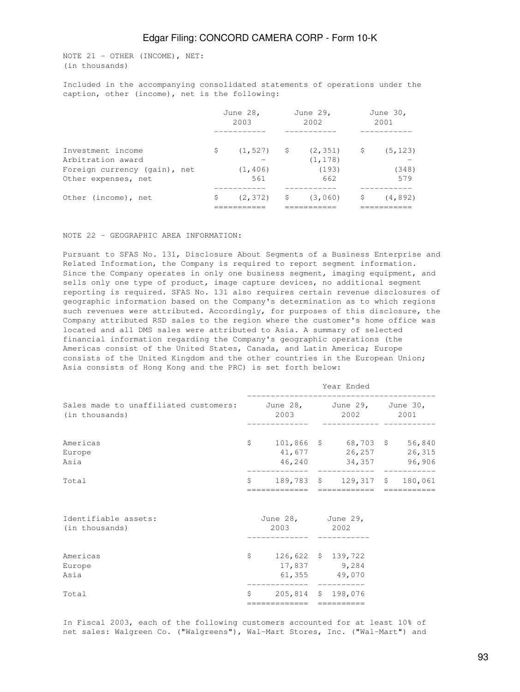NOTE 21 - OTHER (INCOME), NET: (in thousands)

Included in the accompanying consolidated statements of operations under the caption, other (income), net is the following:

|                                        |    | June 28,<br>2003 |    | June 29,<br>2002     |    | June 30,<br>2001 |
|----------------------------------------|----|------------------|----|----------------------|----|------------------|
| Investment income<br>Arbitration award | S  | $(1, 527)$ \$    |    | (2, 351)<br>(1, 178) | .S | (5, 123)         |
| Foreign currency (gain), net           |    | (1, 406)         |    | (193)                |    | (348)            |
| Other expenses, net                    |    | 561              |    | 662                  |    | 579              |
| Other (income), net                    | \$ | (2, 372)         | S. | (3,060)              | S  | (4, 892)         |

#### NOTE 22 - GEOGRAPHIC AREA INFORMATION:

Pursuant to SFAS No. 131, Disclosure About Segments of a Business Enterprise and Related Information, the Company is required to report segment information. Since the Company operates in only one business segment, imaging equipment, and sells only one type of product, image capture devices, no additional segment reporting is required. SFAS No. 131 also requires certain revenue disclosures of geographic information based on the Company's determination as to which regions such revenues were attributed. Accordingly, for purposes of this disclosure, the Company attributed RSD sales to the region where the customer's home office was located and all DMS sales were attributed to Asia. A summary of selected financial information regarding the Company's geographic operations (the Americas consist of the United States, Canada, and Latin America; Europe consists of the United Kingdom and the other countries in the European Union; Asia consists of Hong Kong and the PRC) is set forth below:

|                                                                                    | Year Ended   |                                                                |  |                                              |  |             |  |  |  |  |
|------------------------------------------------------------------------------------|--------------|----------------------------------------------------------------|--|----------------------------------------------|--|-------------|--|--|--|--|
| Sales made to unaffiliated customers: June 28, June 29, June 30,<br>(in thousands) |              |                                                                |  | 2003 2002 2001                               |  |             |  |  |  |  |
| Americas<br>Europe<br>Asia                                                         |              | $$101,866$ \$ 68,703 \$ 56,840                                 |  | 41,677 26,257 26,315<br>46,240 34,357 96,906 |  |             |  |  |  |  |
| Total                                                                              |              | $$189,783$ \$ 129,317 \$ 180,061<br>============= ============ |  |                                              |  | =========== |  |  |  |  |
| Identifiable assets:<br>(in thousands)                                             |              | June 28, June 29,<br>2003 2002                                 |  |                                              |  |             |  |  |  |  |
| Americas<br>Europe<br>Asia                                                         |              | $$126,622$$ \$ 139,722                                         |  | 17,837 9,284<br>61,355 49,070                |  |             |  |  |  |  |
| Total                                                                              | $\mathsf{S}$ | 205,814 \$ 198,076<br>=============                            |  | =========                                    |  |             |  |  |  |  |

In Fiscal 2003, each of the following customers accounted for at least 10% of net sales: Walgreen Co. ("Walgreens"), Wal-Mart Stores, Inc. ("Wal-Mart") and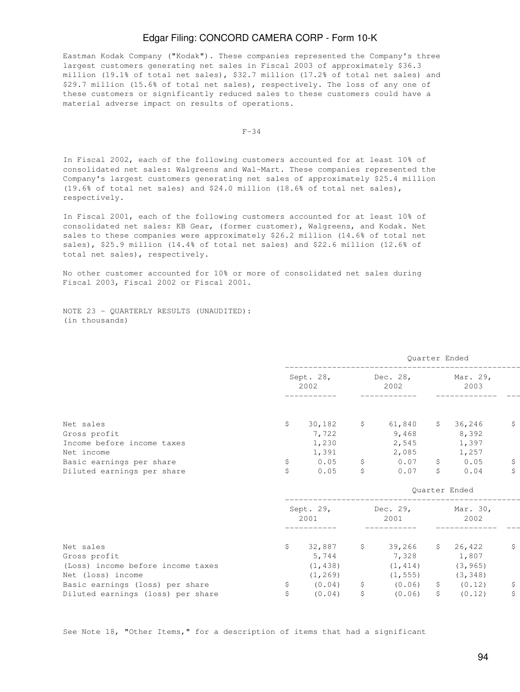Eastman Kodak Company ("Kodak"). These companies represented the Company's three largest customers generating net sales in Fiscal 2003 of approximately \$36.3 million (19.1% of total net sales), \$32.7 million (17.2% of total net sales) and \$29.7 million (15.6% of total net sales), respectively. The loss of any one of these customers or significantly reduced sales to these customers could have a material adverse impact on results of operations.

 $F-34$ 

In Fiscal 2002, each of the following customers accounted for at least 10% of consolidated net sales: Walgreens and Wal-Mart. These companies represented the Company's largest customers generating net sales of approximately \$25.4 million (19.6% of total net sales) and \$24.0 million (18.6% of total net sales), respectively.

In Fiscal 2001, each of the following customers accounted for at least 10% of consolidated net sales: KB Gear, (former customer), Walgreens, and Kodak. Net sales to these companies were approximately \$26.2 million (14.6% of total net sales), \$25.9 million (14.4% of total net sales) and \$22.6 million (12.6% of total net sales), respectively.

No other customer accounted for 10% or more of consolidated net sales during Fiscal 2003, Fiscal 2002 or Fiscal 2001.

NOTE 23 - QUARTERLY RESULTS (UNAUDITED): (in thousands)

|                                   |     |                               |              |                                  |                | Quarter Ended    |             |
|-----------------------------------|-----|-------------------------------|--------------|----------------------------------|----------------|------------------|-------------|
|                                   |     | Sept. 28, Dec. 28,<br>2002    |              | 2002                             |                | Mar. 29,<br>2003 |             |
|                                   |     |                               |              |                                  |                |                  |             |
| Net sales                         | \$  | 30,182                        | $\mathsf{S}$ | $61,840$ \$ 36,246               |                |                  | \$          |
| Gross profit                      |     | 7,722                         |              |                                  |                | $9,468$ 8,392    |             |
| Income before income taxes        |     | 1,230                         |              |                                  |                | 2,545 1,397      |             |
| Net income                        |     | 1,391                         |              | 2,085                            |                | 1,257            |             |
| Basic earnings per share          | \$  | 0.05                          |              | $$0.07$ \$ 0.05                  |                |                  | -\$         |
| Diluted earnings per share        | \$  | 0.05                          | \$           | 0.07                             |                | \$0.04           | \$          |
|                                   |     |                               |              |                                  |                | Quarter Ended    |             |
|                                   |     | Sept. 29,<br>2001             |              | Dec. 29, Mar. 30,<br>2001        |                | 2002             |             |
|                                   |     |                               |              |                                  |                |                  |             |
| Net sales                         |     | $$32,887$ $$39,266$ $$26,422$ |              |                                  |                |                  | \$          |
| Gross profit                      |     | 5,744                         |              | 7,328 1,807                      |                |                  |             |
| (Loss) income before income taxes |     | (1, 438)                      |              | (1, 414)                         |                | (3, 965)         |             |
| Net (loss) income                 |     | (1, 269)                      |              | (1, 555)                         |                | (3, 348)         |             |
| Basic earnings (loss) per share   | \$. |                               |              | $(0.04)$ \$ $(0.06)$ \$ $(0.12)$ |                |                  | $\varsigma$ |
| Diluted earnings (loss) per share | \$  | (0.04)                        | $\mathsf{S}$ | (0.06)                           | $\mathsf{S}^-$ | (0.12)           | \$          |

See Note 18, "Other Items," for a description of items that had a significant